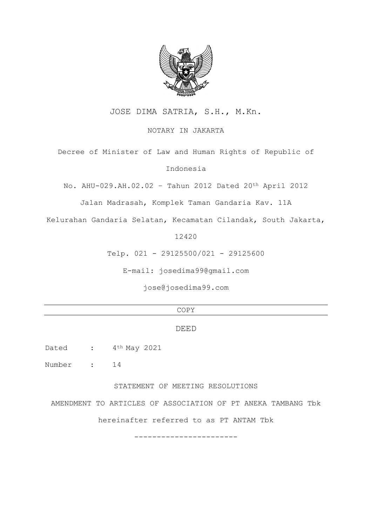

JOSE DIMA SATRIA, S.H., M.Kn.

NOTARY IN JAKARTA

Decree of Minister of Law and Human Rights of Republic of

Indonesia

No. AHU-029.AH.02.02 – Tahun 2012 Dated 20th April 2012

Jalan Madrasah, Komplek Taman Gandaria Kav. 11A

Kelurahan Gandaria Selatan, Kecamatan Cilandak, South Jakarta,

12420

Telp. 021 - 29125500/021 - 29125600

E-mail: josedima99@gmail.com

[jose@josedima99.com](mailto:jose@josedima99.com)

# COPY

# DEED

Dated :  $4<sup>th</sup>$  May 2021

Number : 14

STATEMENT OF MEETING RESOLUTIONS

AMENDMENT TO ARTICLES OF ASSOCIATION OF PT ANEKA TAMBANG Tbk

hereinafter referred to as PT ANTAM Tbk

-----------------------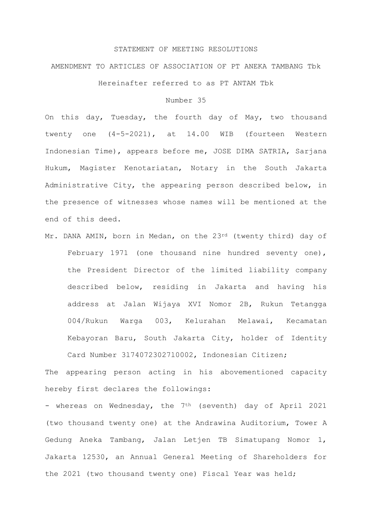#### STATEMENT OF MEETING RESOLUTIONS

# AMENDMENT TO ARTICLES OF ASSOCIATION OF PT ANEKA TAMBANG Tbk

Hereinafter referred to as PT ANTAM Tbk

## Number 35

On this day, Tuesday, the fourth day of May, two thousand twenty one (4-5-2021), at 14.00 WIB (fourteen Western Indonesian Time), appears before me, JOSE DIMA SATRIA, Sarjana Hukum, Magister Kenotariatan, Notary in the South Jakarta Administrative City, the appearing person described below, in the presence of witnesses whose names will be mentioned at the end of this deed.

Mr. DANA AMIN, born in Medan, on the 23rd (twenty third) day of February 1971 (one thousand nine hundred seventy one), the President Director of the limited liability company described below, residing in Jakarta and having his address at Jalan Wijaya XVI Nomor 2B, Rukun Tetangga 004/Rukun Warga 003, Kelurahan Melawai, Kecamatan Kebayoran Baru, South Jakarta City, holder of Identity Card Number 3l740723027l0002, Indonesian Citizen;

The appearing person acting in his abovementioned capacity hereby first declares the followings:

- whereas on Wednesday, the 7<sup>th</sup> (seventh) day of April 2021 (two thousand twenty one) at the Andrawina Auditorium, Tower A Gedung Aneka Tambang, Jalan Letjen TB Simatupang Nomor 1, Jakarta 12530, an Annual General Meeting of Shareholders for the 2021 (two thousand twenty one) Fiscal Year was held;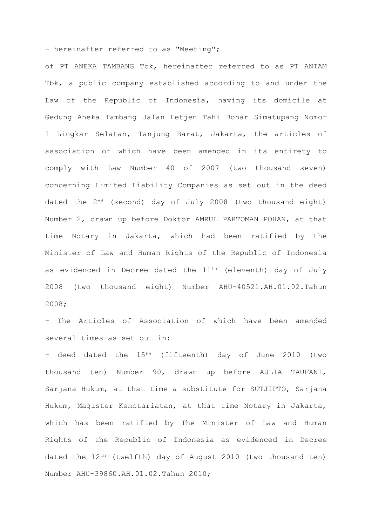- hereinafter referred to as "Meeting";

of PT ANEKA TAMBANG Tbk, hereinafter referred to as PT ANTAM Tbk, a public company established according to and under the Law of the Republic of Indonesia, having its domicile at Gedung Aneka Tambang Jalan Letjen Tahi Bonar Simatupang Nomor 1 Lingkar Selatan, Tanjung Barat, Jakarta, the articles of association of which have been amended in its entirety to comply with Law Number 40 of 2007 (two thousand seven) concerning Limited Liability Companies as set out in the deed dated the 2nd (second) day of July 2008 (two thousand eight) Number 2, drawn up before Doktor AMRUL PARTOMAN POHAN, at that time Notary in Jakarta, which had been ratified by the Minister of Law and Human Rights of the Republic of Indonesia as evidenced in Decree dated the 11<sup>th</sup> (eleventh) day of July 2008 (two thousand eight) Number AHU-40521.AH.01.02.Tahun 2008;

- The Articles of Association of which have been amended several times as set out in:

- deed dated the 15<sup>th</sup> (fifteenth) day of June 2010 (two thousand ten) Number 90, drawn up before AULIA TAUFANI, Sarjana Hukum, at that time a substitute for SUTJIPTO, Sarjana Hukum, Magister Kenotariatan, at that time Notary in Jakarta, which has been ratified by The Minister of Law and Human Rights of the Republic of Indonesia as evidenced in Decree dated the 12th (twelfth) day of August 2010 (two thousand ten) Number AHU-39860.AH.0l.02.Tahun 2010;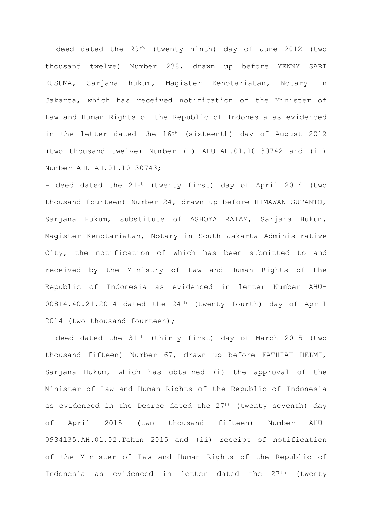- deed dated the 29<sup>th</sup> (twenty ninth) day of June 2012 (two thousand twelve) Number 238, drawn up before YENNY SARI KUSUMA, Sarjana hukum, Magister Kenotariatan, Notary in Jakarta, which has received notification of the Minister of Law and Human Rights of the Republic of Indonesia as evidenced in the letter dated the  $16<sup>th</sup>$  (sixteenth) day of August 2012 (two thousand twelve) Number (i) AHU-AH.0l.l0-30742 and (ii) Number AHU-AH.0l.l0-30743;

- deed dated the 21st (twenty first) day of April 2014 (two thousand fourteen) Number 24, drawn up before HIMAWAN SUTANTO, Sarjana Hukum, substitute of ASHOYA RATAM, Sarjana Hukum, Magister Kenotariatan, Notary in South Jakarta Administrative City, the notification of which has been submitted to and received by the Ministry of Law and Human Rights of the Republic of Indonesia as evidenced in letter Number AHU-00814.40.21.2014 dated the 24th (twenty fourth) day of April 2014 (two thousand fourteen);

- deed dated the 31st (thirty first) day of March 2015 (two thousand fifteen) Number 67, drawn up before FATHIAH HELMI, Sarjana Hukum, which has obtained (i) the approval of the Minister of Law and Human Rights of the Republic of Indonesia as evidenced in the Decree dated the 27<sup>th</sup> (twenty seventh) day of April 2015 (two thousand fifteen) Number AHU-0934l35.AH.0l.02.Tahun 2015 and (ii) receipt of notification of the Minister of Law and Human Rights of the Republic of Indonesia as evidenced in letter dated the 27th (twenty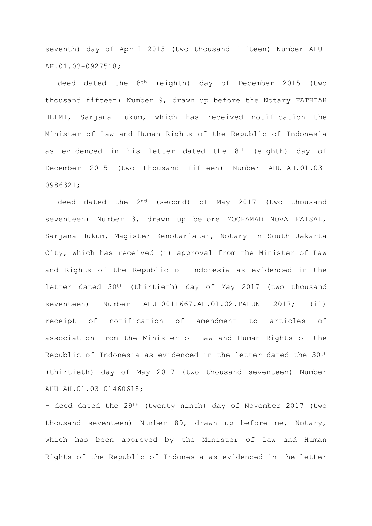seventh) day of April 2015 (two thousand fifteen) Number AHU-AH.01.03-0927518;

- deed dated the 8<sup>th</sup> (eighth) day of December 2015 (two thousand fifteen) Number 9, drawn up before the Notary FATHIAH HELMI, Sarjana Hukum, which has received notification the Minister of Law and Human Rights of the Republic of Indonesia as evidenced in his letter dated the 8<sup>th</sup> (eighth) day of December 2015 (two thousand fifteen) Number AHU-AH.0l.03- 0986321;

- deed dated the 2<sup>nd</sup> (second) of May 2017 (two thousand seventeen) Number 3, drawn up before MOCHAMAD NOVA FAISAL, Sarjana Hukum, Magister Kenotariatan, Notary in South Jakarta City, which has received (i) approval from the Minister of Law and Rights of the Republic of Indonesia as evidenced in the letter dated 30th (thirtieth) day of May 2017 (two thousand seventeen) Number AHU-0011667.AH.01.02.TAHUN 2017; (ii) receipt of notification of amendment to articles of association from the Minister of Law and Human Rights of the Republic of Indonesia as evidenced in the letter dated the 30<sup>th</sup> (thirtieth) day of May 2017 (two thousand seventeen) Number AHU-AH.01.03-01460618;

- deed dated the 29<sup>th</sup> (twenty ninth) day of November 2017 (two thousand seventeen) Number 89, drawn up before me, Notary, which has been approved by the Minister of Law and Human Rights of the Republic of Indonesia as evidenced in the letter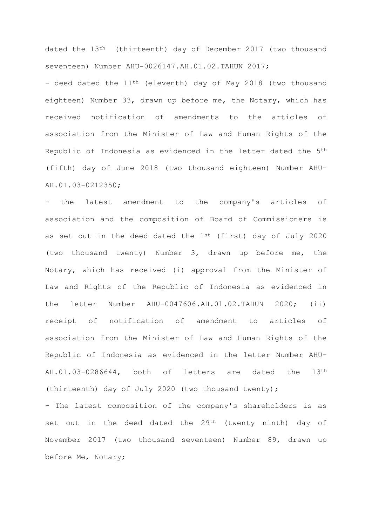dated the 13th (thirteenth) day of December 2017 (two thousand seventeen) Number AHU-0026147.AH.01.02.TAHUN 2017;

- deed dated the 11<sup>th</sup> (eleventh) day of May 2018 (two thousand eighteen) Number 33, drawn up before me, the Notary, which has received notification of amendments to the articles of association from the Minister of Law and Human Rights of the Republic of Indonesia as evidenced in the letter dated the 5th (fifth) day of June 2018 (two thousand eighteen) Number AHU-AH.01.03-0212350;

- the latest amendment to the company's articles of association and the composition of Board of Commissioners is as set out in the deed dated the  $1^{st}$  (first) day of July 2020 (two thousand twenty) Number 3, drawn up before me, the Notary, which has received (i) approval from the Minister of Law and Rights of the Republic of Indonesia as evidenced in the letter Number AHU-0047606.AH.0l.02.TAHUN 2020; (ii) receipt of notification of amendment to articles of association from the Minister of Law and Human Rights of the Republic of Indonesia as evidenced in the letter Number AHU-AH.01.03-0286644, both of letters are dated the 13th (thirteenth) day of July 2020 (two thousand twenty);

- The latest composition of the company's shareholders is as set out in the deed dated the 29<sup>th</sup> (twenty ninth) day of November 2017 (two thousand seventeen) Number 89, drawn up before Me, Notary;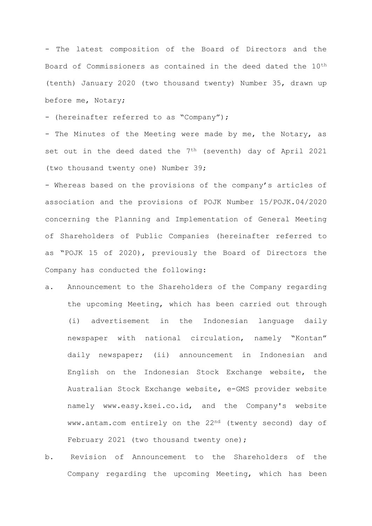- The latest composition of the Board of Directors and the Board of Commissioners as contained in the deed dated the 10th (tenth) January 2020 (two thousand twenty) Number 35, drawn up before me, Notary;

- (hereinafter referred to as "Company");

- The Minutes of the Meeting were made by me, the Notary, as set out in the deed dated the  $7<sup>th</sup>$  (seventh) day of April 2021 (two thousand twenty one) Number 39;

- Whereas based on the provisions of the company's articles of association and the provisions of POJK Number 15/POJK.04/2020 concerning the Planning and Implementation of General Meeting of Shareholders of Public Companies (hereinafter referred to as "POJK 15 of 2020), previously the Board of Directors the Company has conducted the following:

- a. Announcement to the Shareholders of the Company regarding the upcoming Meeting, which has been carried out through (i) advertisement in the Indonesian language daily newspaper with national circulation, namely "Kontan" daily newspaper; (ii) announcement in Indonesian and English on the Indonesian Stock Exchange website, the Australian Stock Exchange website, e-GMS provider website namely www.easy.ksei.co.id, and the Company's website www.antam.com entirely on the 22nd (twenty second) day of February 2021 (two thousand twenty one);
- b. Revision of Announcement to the Shareholders of the Company regarding the upcoming Meeting, which has been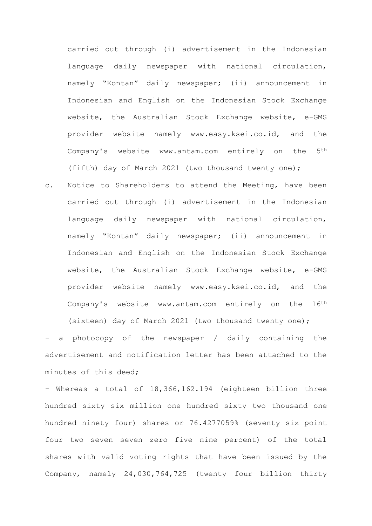carried out through (i) advertisement in the Indonesian language daily newspaper with national circulation, namely "Kontan" daily newspaper; (ii) announcement in Indonesian and English on the Indonesian Stock Exchange website, the Australian Stock Exchange website, e-GMS provider website namely www.easy.ksei.co.id, and the Company's website www.antam.com entirely on the 5th (fifth) day of March 2021 (two thousand twenty one);

c. Notice to Shareholders to attend the Meeting, have been carried out through (i) advertisement in the Indonesian language daily newspaper with national circulation, namely "Kontan" daily newspaper; (ii) announcement in Indonesian and English on the Indonesian Stock Exchange website, the Australian Stock Exchange website, e-GMS provider website namely www.easy.ksei.co.id, and the Company's website www.antam.com entirely on the 16th (sixteen) day of March 2021 (two thousand twenty one);

a photocopy of the newspaper / daily containing the advertisement and notification letter has been attached to the minutes of this deed;

- Whereas a total of 18,366,162.194 (eighteen billion three hundred sixty six million one hundred sixty two thousand one hundred ninety four) shares or 76.4277059% (seventy six point four two seven seven zero five nine percent) of the total shares with valid voting rights that have been issued by the Company, namely 24,030,764,725 (twenty four billion thirty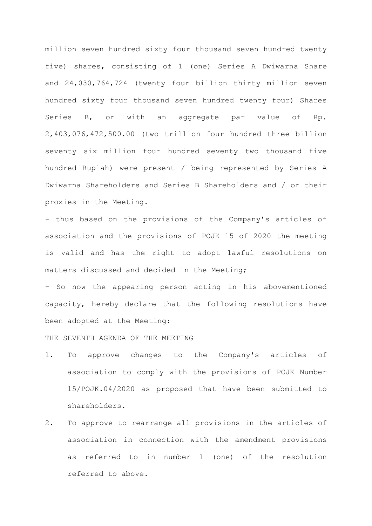million seven hundred sixty four thousand seven hundred twenty five) shares, consisting of 1 (one) Series A Dwiwarna Share and 24,030,764,724 (twenty four billion thirty million seven hundred sixty four thousand seven hundred twenty four) Shares Series B, or with an aggregate par value of Rp. 2,403,076,472,500.00 (two trillion four hundred three billion seventy six million four hundred seventy two thousand five hundred Rupiah) were present / being represented by Series A Dwiwarna Shareholders and Series B Shareholders and / or their proxies in the Meeting.

- thus based on the provisions of the Company's articles of association and the provisions of POJK 15 of 2020 the meeting is valid and has the right to adopt lawful resolutions on matters discussed and decided in the Meeting;

- So now the appearing person acting in his abovementioned capacity, hereby declare that the following resolutions have been adopted at the Meeting:

THE SEVENTH AGENDA OF THE MEETING

- 1. To approve changes to the Company's articles of association to comply with the provisions of POJK Number 15/POJK.04/2020 as proposed that have been submitted to shareholders.
- 2. To approve to rearrange all provisions in the articles of association in connection with the amendment provisions as referred to in number 1 (one) of the resolution referred to above.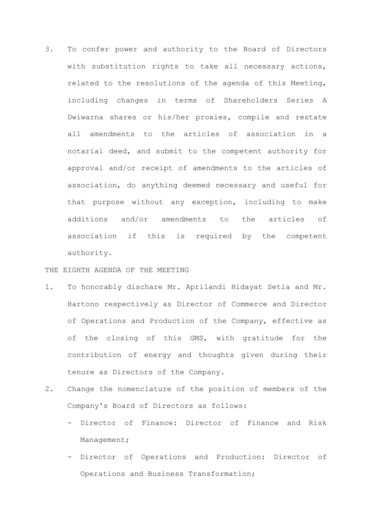3. To confer power and authority to the Board of Directors with substitution rights to take all necessary actions, related to the resolutions of the agenda of this Meeting, including changes in terms of Shareholders Series A Dwiwarna shares or his/her proxies, compile and restate all amendments to the articles of association in a notarial deed, and submit to the competent authority for approval and/or receipt of amendments to the articles of association, do anything deemed necessary and useful for that purpose without any exception, including to make additions and/or amendments to the articles of association if this is required by the competent authority.

THE EIGHTH AGENDA OF THE MEETING

- 1. To honorably dischare Mr. Aprilandi Hidayat Setia and Mr. Hartono respectively as Director of Commerce and Director of Operations and Production of the Company, effective as of the closing of this GMS, with gratitude for the contribution of energy and thoughts given during their tenure as Directors of the Company.
- 2. Change the nomenclature of the position of members of the Company's Board of Directors as follows:
	- Director of Finance: Director of Finance and Risk Management;
	- Director of Operations and Production: Director of Operations and Business Transformation;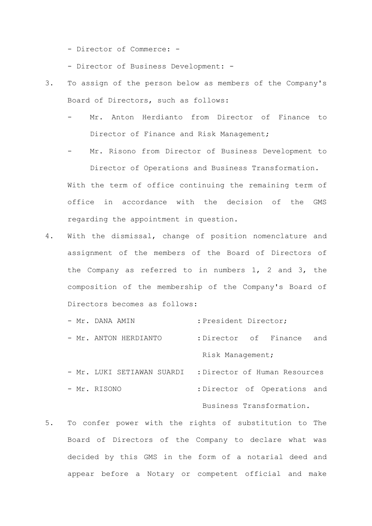- Director of Commerce: -

- Director of Business Development: -
- 3. To assign of the person below as members of the Company's Board of Directors, such as follows:
	- Mr. Anton Herdianto from Director of Finance to Director of Finance and Risk Management;
	- Mr. Risono from Director of Business Development to Director of Operations and Business Transformation.

With the term of office continuing the remaining term of office in accordance with the decision of the GMS regarding the appointment in question.

- 4. With the dismissal, change of position nomenclature and assignment of the members of the Board of Directors of the Company as referred to in numbers 1, 2 and 3, the composition of the membership of the Company's Board of Directors becomes as follows:
	- Mr. DANA AMIN : President Director;
	- Mr. ANTON HERDIANTO : Director of Finance and Risk Management;
	- Mr. LUKI SETIAWAN SUARDI : Director of Human Resources - Mr. RISONO : Director of Operations and Business Transformation.
- 5. To confer power with the rights of substitution to The Board of Directors of the Company to declare what was decided by this GMS in the form of a notarial deed and appear before a Notary or competent official and make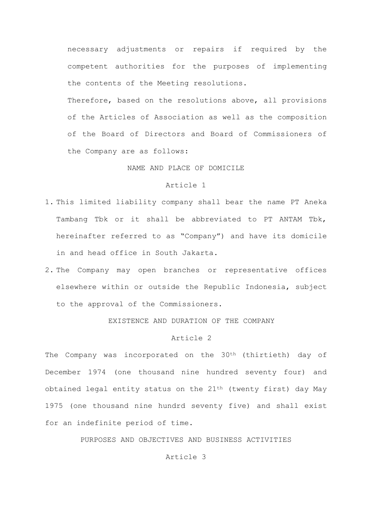necessary adjustments or repairs if required by the competent authorities for the purposes of implementing the contents of the Meeting resolutions.

Therefore, based on the resolutions above, all provisions of the Articles of Association as well as the composition of the Board of Directors and Board of Commissioners of the Company are as follows:

## NAME AND PLACE OF DOMICILE

# Article 1

- 1. This limited liability company shall bear the name PT Aneka Tambang Tbk or it shall be abbreviated to PT ANTAM Tbk, hereinafter referred to as "Company") and have its domicile in and head office in South Jakarta.
- 2. The Company may open branches or representative offices elsewhere within or outside the Republic Indonesia, subject to the approval of the Commissioners.

EXISTENCE AND DURATION OF THE COMPANY

# Article 2

The Company was incorporated on the 30<sup>th</sup> (thirtieth) day of December 1974 (one thousand nine hundred seventy four) and obtained legal entity status on the 21<sup>th</sup> (twenty first) day May 1975 (one thousand nine hundrd seventy five) and shall exist for an indefinite period of time.

PURPOSES AND OBJECTIVES AND BUSINESS ACTIVITIES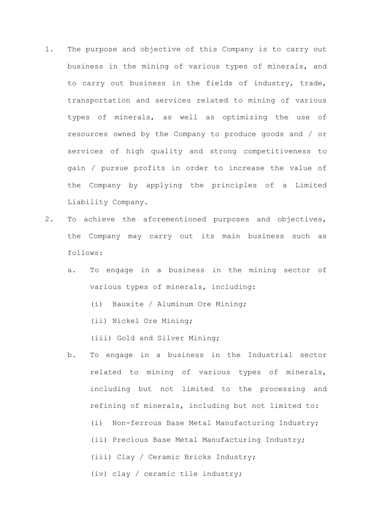- 1. The purpose and objective of this Company is to carry out business in the mining of various types of minerals, and to carry out business in the fields of industry, trade, transportation and services related to mining of various types of minerals, as well as optimizing the use of resources owned by the Company to produce goods and / or services of high quality and strong competitiveness to gain / pursue profits in order to increase the value of the Company by applying the principles of a Limited Liability Company.
- 2. To achieve the aforementioned purposes and objectives, the Company may carry out its main business such as follows:
	- a. To engage in a business in the mining sector of various types of minerals, including:
		- (i) Bauxite / Aluminum Ore Mining;
		- (ii) Nickel Ore Mining;
		- (iii) Gold and Silver Mining;
	- b. To engage in a business in the Industrial sector related to mining of various types of minerals, including but not limited to the processing and refining of minerals, including but not limited to: (i) Non-ferrous Base Metal Manufacturing Industry; (ii) Precious Base Metal Manufacturing Industry; (iii) Clay / Ceramic Bricks Industry; (iv) clay / ceramic tile industry;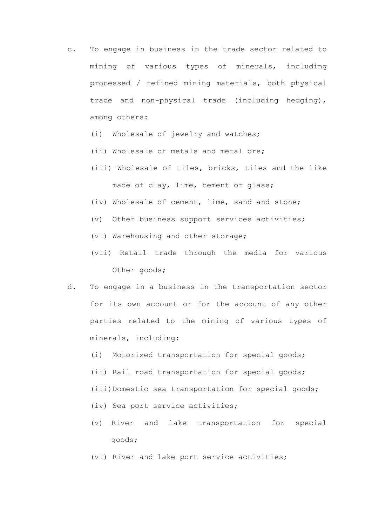- c. To engage in business in the trade sector related to mining of various types of minerals, including processed / refined mining materials, both physical trade and non-physical trade (including hedging), among others:
	- (i) Wholesale of jewelry and watches;
	- (ii) Wholesale of metals and metal ore;
	- (iii) Wholesale of tiles, bricks, tiles and the like made of clay, lime, cement or glass;
	- (iv) Wholesale of cement, lime, sand and stone;
	- (v) Other business support services activities;
	- (vi) Warehousing and other storage;
	- (vii) Retail trade through the media for various Other goods;
- d. To engage in a business in the transportation sector for its own account or for the account of any other parties related to the mining of various types of minerals, including:
	- (i) Motorized transportation for special goods;
	- (ii) Rail road transportation for special goods;
	- (iii)Domestic sea transportation for special goods;
	- (iv) Sea port service activities;
	- (v) River and lake transportation for special goods;
	- (vi) River and lake port service activities;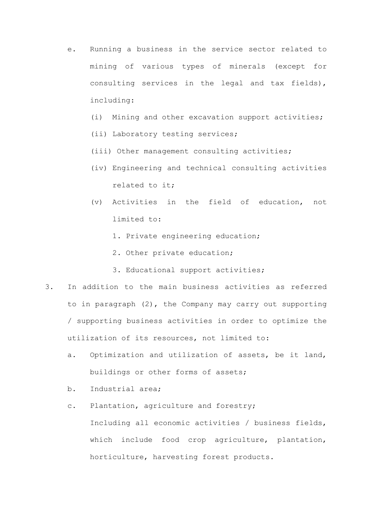- e. Running a business in the service sector related to mining of various types of minerals (except for consulting services in the legal and tax fields), including:
	- (i) Mining and other excavation support activities;
	- (ii) Laboratory testing services;
	- (iii) Other management consulting activities;
	- (iv) Engineering and technical consulting activities related to it;
	- (v) Activities in the field of education, not limited to:
		- 1. Private engineering education;
		- 2. Other private education;
		- 3. Educational support activities;
- 3. In addition to the main business activities as referred to in paragraph (2), the Company may carry out supporting / supporting business activities in order to optimize the utilization of its resources, not limited to:
	- a. Optimization and utilization of assets, be it land, buildings or other forms of assets;
	- b. Industrial area;
	- c. Plantation, agriculture and forestry;

Including all economic activities / business fields, which include food crop agriculture, plantation, horticulture, harvesting forest products.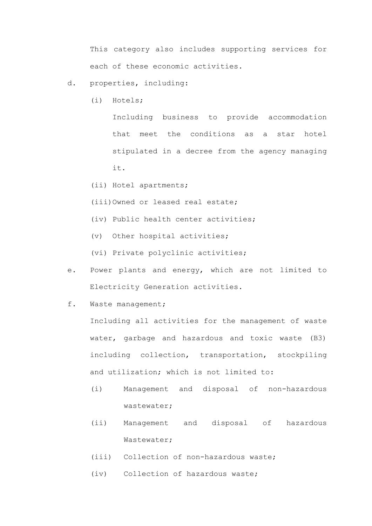This category also includes supporting services for each of these economic activities.

- d. properties, including:
	- (i) Hotels;

Including business to provide accommodation that meet the conditions as a star hotel stipulated in a decree from the agency managing it.

- (ii) Hotel apartments;
- (iii)Owned or leased real estate;
- (iv) Public health center activities;
- (v) Other hospital activities;
- (vi) Private polyclinic activities;
- e. Power plants and energy, which are not limited to Electricity Generation activities.
- f. Waste management;

Including all activities for the management of waste water, garbage and hazardous and toxic waste (B3) including collection, transportation, stockpiling and utilization; which is not limited to:

- (i) Management and disposal of non-hazardous wastewater;
- (ii) Management and disposal of hazardous Wastewater;
- (iii) Collection of non-hazardous waste;
- (iv) Collection of hazardous waste;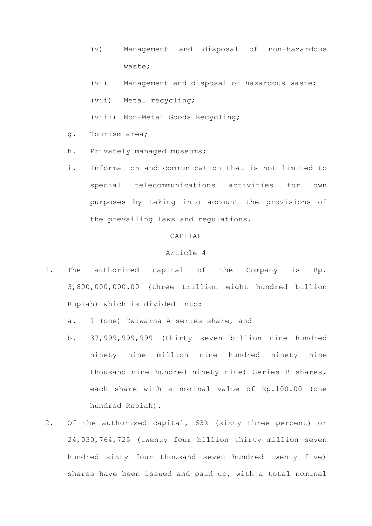- (v) Management and disposal of non-hazardous waste;
- (vi) Management and disposal of hazardous waste;
- (vii) Metal recycling;
- (viii) Non-Metal Goods Recycling;
- g. Tourism area;
- h. Privately managed museums;
- i. Information and communication that is not limited to special telecommunications activities for own purposes by taking into account the provisions of the prevailing laws and regulations.

# CAPITAL

- 1. The authorized capital of the Company is Rp. 3,800,000,000.00 (three trillion eight hundred billion Rupiah) which is divided into:
	- a. 1 (one) Dwiwarna A series share, and
	- b. 37,999,999,999 (thirty seven billion nine hundred ninety nine million nine hundred ninety nine thousand nine hundred ninety nine) Series B shares, each share with a nominal value of Rp.100.00 (one hundred Rupiah).
- 2. Of the authorized capital, 63% (sixty three percent) or 24,030,764,725 (twenty four billion thirty million seven hundred sixty four thousand seven hundred twenty five) shares have been issued and paid up, with a total nominal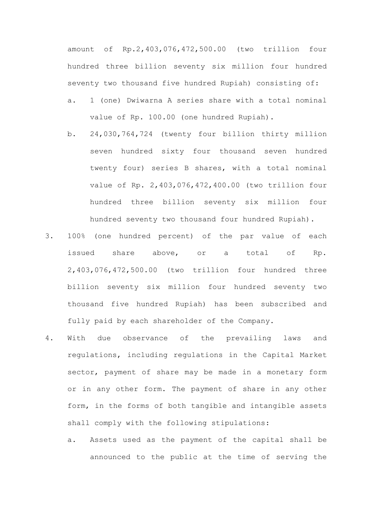amount of Rp.2,403,076,472,500.00 (two trillion four hundred three billion seventy six million four hundred seventy two thousand five hundred Rupiah) consisting of:

- a. 1 (one) Dwiwarna A series share with a total nominal value of Rp. 100.00 (one hundred Rupiah).
- b. 24,030,764,724 (twenty four billion thirty million seven hundred sixty four thousand seven hundred twenty four) series B shares, with a total nominal value of Rp. 2,403,076,472,400.00 (two trillion four hundred three billion seventy six million four hundred seventy two thousand four hundred Rupiah).
- 3. 100% (one hundred percent) of the par value of each issued share above, or a total of Rp. 2,403,076,472,500.00 (two trillion four hundred three billion seventy six million four hundred seventy two thousand five hundred Rupiah) has been subscribed and fully paid by each shareholder of the Company.
- 4. With due observance of the prevailing laws and regulations, including regulations in the Capital Market sector, payment of share may be made in a monetary form or in any other form. The payment of share in any other form, in the forms of both tangible and intangible assets shall comply with the following stipulations:
	- a. Assets used as the payment of the capital shall be announced to the public at the time of serving the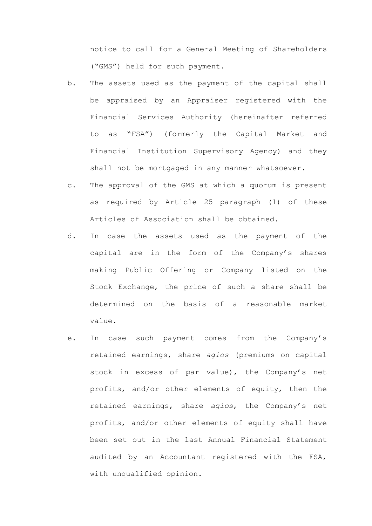notice to call for a General Meeting of Shareholders ("GMS") held for such payment.

- b. The assets used as the payment of the capital shall be appraised by an Appraiser registered with the Financial Services Authority (hereinafter referred to as "FSA") (formerly the Capital Market and Financial Institution Supervisory Agency) and they shall not be mortgaged in any manner whatsoever.
- c. The approval of the GMS at which a quorum is present as required by Article 25 paragraph (1) of these Articles of Association shall be obtained.
- d. In case the assets used as the payment of the capital are in the form of the Company's shares making Public Offering or Company listed on the Stock Exchange, the price of such a share shall be determined on the basis of a reasonable market value.
- e. In case such payment comes from the Company's retained earnings, share *agios* (premiums on capital stock in excess of par value), the Company's net profits, and/or other elements of equity, then the retained earnings, share *agios*, the Company's net profits, and/or other elements of equity shall have been set out in the last Annual Financial Statement audited by an Accountant registered with the FSA, with unqualified opinion.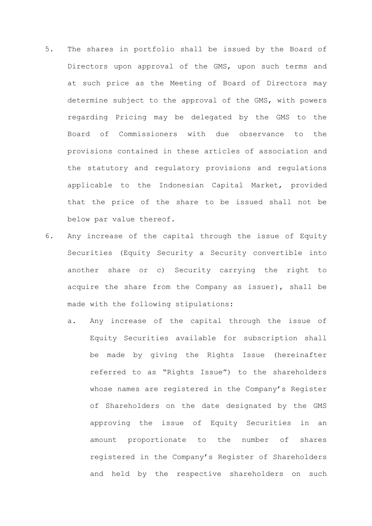- 5. The shares in portfolio shall be issued by the Board of Directors upon approval of the GMS, upon such terms and at such price as the Meeting of Board of Directors may determine subject to the approval of the GMS, with powers regarding Pricing may be delegated by the GMS to the Board of Commissioners with due observance to the provisions contained in these articles of association and the statutory and regulatory provisions and regulations applicable to the Indonesian Capital Market, provided that the price of the share to be issued shall not be below par value thereof.
- 6. Any increase of the capital through the issue of Equity Securities (Equity Security a Security convertible into another share or c) Security carrying the right to acquire the share from the Company as issuer), shall be made with the following stipulations:
	- a. Any increase of the capital through the issue of Equity Securities available for subscription shall be made by giving the Rights Issue (hereinafter referred to as "Rights Issue") to the shareholders whose names are registered in the Company's Register of Shareholders on the date designated by the GMS approving the issue of Equity Securities in an amount proportionate to the number of shares registered in the Company's Register of Shareholders and held by the respective shareholders on such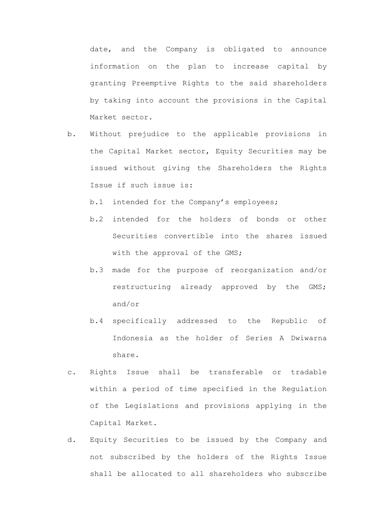date, and the Company is obligated to announce information on the plan to increase capital by granting Preemptive Rights to the said shareholders by taking into account the provisions in the Capital Market sector.

b. Without prejudice to the applicable provisions in the Capital Market sector, Equity Securities may be issued without giving the Shareholders the Rights Issue if such issue is:

b.1 intended for the Company's employees;

- b.2 intended for the holders of bonds or other Securities convertible into the shares issued with the approval of the GMS;
- b.3 made for the purpose of reorganization and/or restructuring already approved by the GMS; and/or
- b.4 specifically addressed to the Republic of Indonesia as the holder of Series A Dwiwarna share.
- c. Rights Issue shall be transferable or tradable within a period of time specified in the Regulation of the Legislations and provisions applying in the Capital Market.
- d. Equity Securities to be issued by the Company and not subscribed by the holders of the Rights Issue shall be allocated to all shareholders who subscribe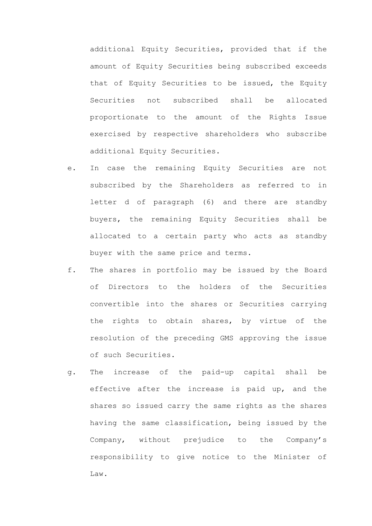additional Equity Securities, provided that if the amount of Equity Securities being subscribed exceeds that of Equity Securities to be issued, the Equity Securities not subscribed shall be allocated proportionate to the amount of the Rights Issue exercised by respective shareholders who subscribe additional Equity Securities.

- e. In case the remaining Equity Securities are not subscribed by the Shareholders as referred to in letter d of paragraph (6) and there are standby buyers, the remaining Equity Securities shall be allocated to a certain party who acts as standby buyer with the same price and terms.
- f. The shares in portfolio may be issued by the Board of Directors to the holders of the Securities convertible into the shares or Securities carrying the rights to obtain shares, by virtue of the resolution of the preceding GMS approving the issue of such Securities.
- g. The increase of the paid-up capital shall be effective after the increase is paid up, and the shares so issued carry the same rights as the shares having the same classification, being issued by the Company, without prejudice to the Company's responsibility to give notice to the Minister of Law.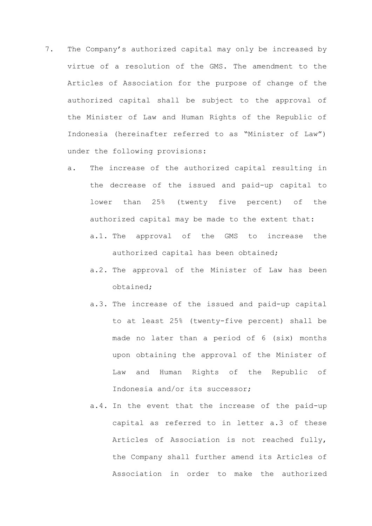- 7. The Company's authorized capital may only be increased by virtue of a resolution of the GMS. The amendment to the Articles of Association for the purpose of change of the authorized capital shall be subject to the approval of the Minister of Law and Human Rights of the Republic of Indonesia (hereinafter referred to as "Minister of Law") under the following provisions:
	- a. The increase of the authorized capital resulting in the decrease of the issued and paid-up capital to lower than 25% (twenty five percent) of the authorized capital may be made to the extent that: a.1. The approval of the GMS to increase the
		- authorized capital has been obtained;
		- a.2. The approval of the Minister of Law has been obtained;
		- a.3. The increase of the issued and paid-up capital to at least 25% (twenty-five percent) shall be made no later than a period of 6 (six) months upon obtaining the approval of the Minister of Law and Human Rights of the Republic of Indonesia and/or its successor;
		- a.4. In the event that the increase of the paid-up capital as referred to in letter a.3 of these Articles of Association is not reached fully, the Company shall further amend its Articles of Association in order to make the authorized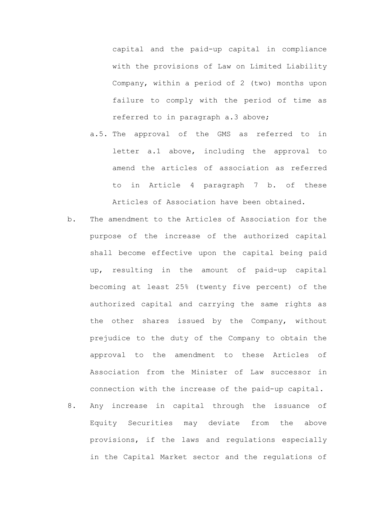capital and the paid-up capital in compliance with the provisions of Law on Limited Liability Company, within a period of 2 (two) months upon failure to comply with the period of time as referred to in paragraph a.3 above;

- a.5. The approval of the GMS as referred to in letter a.1 above, including the approval to amend the articles of association as referred to in Article 4 paragraph 7 b. of these Articles of Association have been obtained.
- b. The amendment to the Articles of Association for the purpose of the increase of the authorized capital shall become effective upon the capital being paid up, resulting in the amount of paid-up capital becoming at least 25% (twenty five percent) of the authorized capital and carrying the same rights as the other shares issued by the Company, without prejudice to the duty of the Company to obtain the approval to the amendment to these Articles of Association from the Minister of Law successor in connection with the increase of the paid-up capital.
- 8. Any increase in capital through the issuance of Equity Securities may deviate from the above provisions, if the laws and regulations especially in the Capital Market sector and the regulations of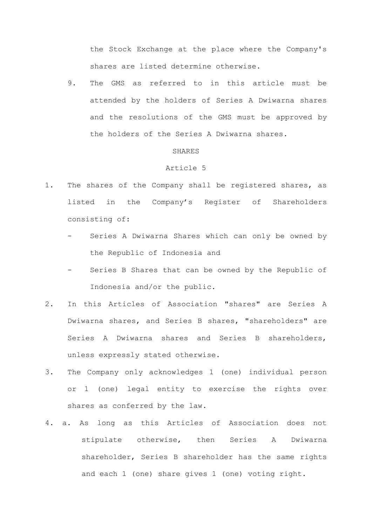the Stock Exchange at the place where the Company's shares are listed determine otherwise.

9. The GMS as referred to in this article must be attended by the holders of Series A Dwiwarna shares and the resolutions of the GMS must be approved by the holders of the Series A Dwiwarna shares.

### SHARES

- 1. The shares of the Company shall be registered shares, as listed in the Company's Register of Shareholders consisting of:
	- Series A Dwiwarna Shares which can only be owned by the Republic of Indonesia and
	- Series B Shares that can be owned by the Republic of Indonesia and/or the public.
- 2. In this Articles of Association "shares" are Series A Dwiwarna shares, and Series B shares, "shareholders" are Series A Dwiwarna shares and Series B shareholders, unless expressly stated otherwise.
- 3. The Company only acknowledges 1 (one) individual person or 1 (one) legal entity to exercise the rights over shares as conferred by the law.
- 4. a. As long as this Articles of Association does not stipulate otherwise, then Series A Dwiwarna shareholder, Series B shareholder has the same rights and each 1 (one) share gives 1 (one) voting right.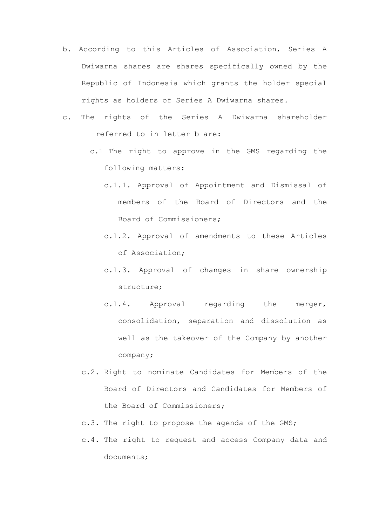- b. According to this Articles of Association, Series A Dwiwarna shares are shares specifically owned by the Republic of Indonesia which grants the holder special rights as holders of Series A Dwiwarna shares.
- c. The rights of the Series A Dwiwarna shareholder referred to in letter b are:
	- c.1 The right to approve in the GMS regarding the following matters:
		- c.1.1. Approval of Appointment and Dismissal of members of the Board of Directors and the Board of Commissioners;
		- c.1.2. Approval of amendments to these Articles of Association;
		- c.1.3. Approval of changes in share ownership structure;
		- c.1.4. Approval regarding the merger, consolidation, separation and dissolution as well as the takeover of the Company by another company;
	- c.2. Right to nominate Candidates for Members of the Board of Directors and Candidates for Members of the Board of Commissioners;
	- c.3. The right to propose the agenda of the GMS;
	- c.4. The right to request and access Company data and documents;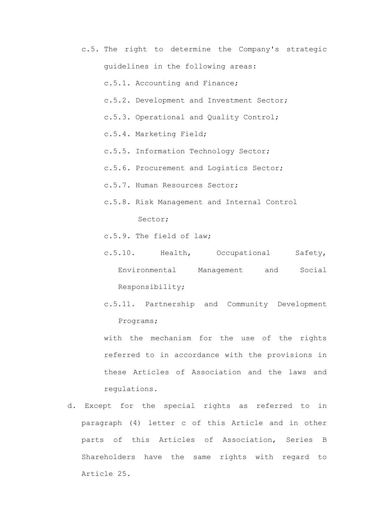c.5. The right to determine the Company's strategic guidelines in the following areas:

c.5.1. Accounting and Finance;

- c.5.2. Development and Investment Sector;
- c.5.3. Operational and Quality Control;
- c.5.4. Marketing Field;
- c.5.5. Information Technology Sector;
- c.5.6. Procurement and Logistics Sector;
- c.5.7. Human Resources Sector;
- c.5.8. Risk Management and Internal Control Sector;
- c.5.9. The field of law;
- c.5.10. Health, Occupational Safety, Environmental Management and Social Responsibility;
- c.5.11. Partnership and Community Development Programs;
- with the mechanism for the use of the rights referred to in accordance with the provisions in these Articles of Association and the laws and regulations.
- d. Except for the special rights as referred to in paragraph (4) letter c of this Article and in other parts of this Articles of Association, Series B Shareholders have the same rights with regard to Article 25.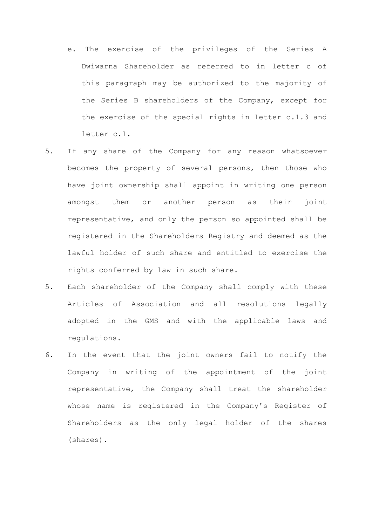- e. The exercise of the privileges of the Series A Dwiwarna Shareholder as referred to in letter c of this paragraph may be authorized to the majority of the Series B shareholders of the Company, except for the exercise of the special rights in letter c.1.3 and letter c.1.
- 5. If any share of the Company for any reason whatsoever becomes the property of several persons, then those who have joint ownership shall appoint in writing one person amongst them or another person as their joint representative, and only the person so appointed shall be registered in the Shareholders Registry and deemed as the lawful holder of such share and entitled to exercise the rights conferred by law in such share.
- 5. Each shareholder of the Company shall comply with these Articles of Association and all resolutions legally adopted in the GMS and with the applicable laws and regulations.
- 6. In the event that the joint owners fail to notify the Company in writing of the appointment of the joint representative, the Company shall treat the shareholder whose name is registered in the Company's Register of Shareholders as the only legal holder of the shares (shares).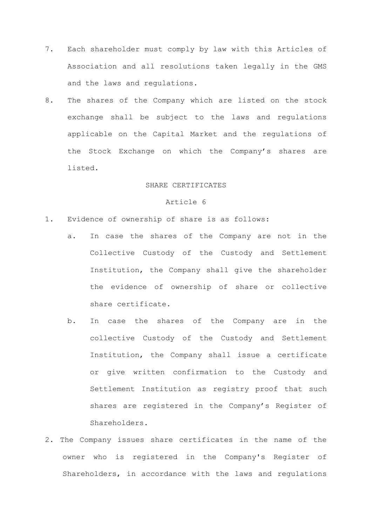- 7. Each shareholder must comply by law with this Articles of Association and all resolutions taken legally in the GMS and the laws and regulations.
- 8. The shares of the Company which are listed on the stock exchange shall be subject to the laws and regulations applicable on the Capital Market and the regulations of the Stock Exchange on which the Company's shares are listed.

# SHARE CERTIFICATES

- 1. Evidence of ownership of share is as follows:
	- a. In case the shares of the Company are not in the Collective Custody of the Custody and Settlement Institution, the Company shall give the shareholder the evidence of ownership of share or collective share certificate.
	- b. In case the shares of the Company are in the collective Custody of the Custody and Settlement Institution, the Company shall issue a certificate or give written confirmation to the Custody and Settlement Institution as registry proof that such shares are registered in the Company's Register of Shareholders.
- 2. The Company issues share certificates in the name of the owner who is registered in the Company's Register of Shareholders, in accordance with the laws and regulations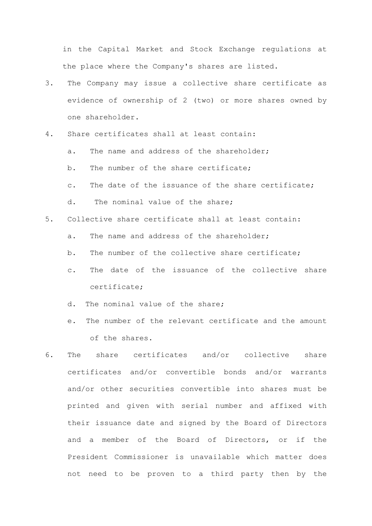in the Capital Market and Stock Exchange regulations at the place where the Company's shares are listed.

- 3. The Company may issue a collective share certificate as evidence of ownership of 2 (two) or more shares owned by one shareholder.
- 4. Share certificates shall at least contain:
	- a. The name and address of the shareholder:
	- b. The number of the share certificate;
	- c. The date of the issuance of the share certificate;
	- d. The nominal value of the share;
- 5. Collective share certificate shall at least contain:
	- a. The name and address of the shareholder;
	- b. The number of the collective share certificate;
	- c. The date of the issuance of the collective share certificate;
	- d. The nominal value of the share;
	- e. The number of the relevant certificate and the amount of the shares.
- 6. The share certificates and/or collective share certificates and/or convertible bonds and/or warrants and/or other securities convertible into shares must be printed and given with serial number and affixed with their issuance date and signed by the Board of Directors and a member of the Board of Directors, or if the President Commissioner is unavailable which matter does not need to be proven to a third party then by the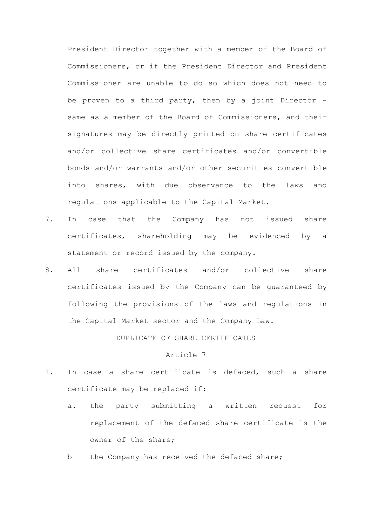President Director together with a member of the Board of Commissioners, or if the President Director and President Commissioner are unable to do so which does not need to be proven to a third party, then by a joint Director same as a member of the Board of Commissioners, and their signatures may be directly printed on share certificates and/or collective share certificates and/or convertible bonds and/or warrants and/or other securities convertible into shares, with due observance to the laws and regulations applicable to the Capital Market.

- 7. In case that the Company has not issued share certificates, shareholding may be evidenced by a statement or record issued by the company.
- 8. All share certificates and/or collective share certificates issued by the Company can be guaranteed by following the provisions of the laws and regulations in the Capital Market sector and the Company Law.

DUPLICATE OF SHARE CERTIFICATES

- 1. In case a share certificate is defaced, such a share certificate may be replaced if:
	- a. the party submitting a written request for replacement of the defaced share certificate is the owner of the share;
	- b the Company has received the defaced share;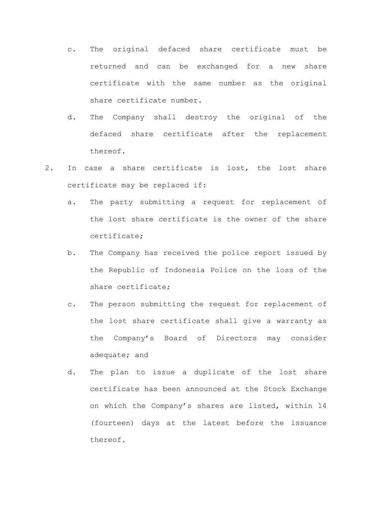- c. The original defaced share certificate must be returned and can be exchanged for a new share certificate with the same number as the original share certificate number.
- d. The Company shall destroy the original of the defaced share certificate after the replacement thereof.
- 2. In case a share certificate is lost, the lost share certificate may be replaced if:
	- a. The party submitting a request for replacement of the lost share certificate is the owner of the share certificate;
	- b. The Company has received the police report issued by the Republic of Indonesia Police on the loss of the share certificate;
	- c. The person submitting the request for replacement of the lost share certificate shall give a warranty as the Company's Board of Directors may consider adequate; and
	- d. The plan to issue a duplicate of the lost share certificate has been announced at the Stock Exchange on which the Company's shares are listed, within 14 (fourteen) days at the latest before the issuance thereof.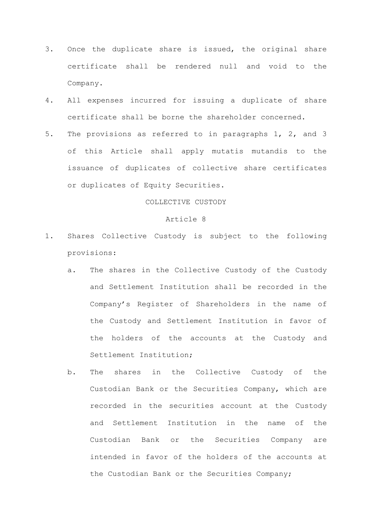- 3. Once the duplicate share is issued, the original share certificate shall be rendered null and void to the Company.
- 4. All expenses incurred for issuing a duplicate of share certificate shall be borne the shareholder concerned.
- 5. The provisions as referred to in paragraphs 1, 2, and 3 of this Article shall apply mutatis mutandis to the issuance of duplicates of collective share certificates or duplicates of Equity Securities.

# COLLECTIVE CUSTODY

- 1. Shares Collective Custody is subject to the following provisions:
	- a. The shares in the Collective Custody of the Custody and Settlement Institution shall be recorded in the Company's Register of Shareholders in the name of the Custody and Settlement Institution in favor of the holders of the accounts at the Custody and Settlement Institution;
	- b. The shares in the Collective Custody of the Custodian Bank or the Securities Company, which are recorded in the securities account at the Custody and Settlement Institution in the name of the Custodian Bank or the Securities Company are intended in favor of the holders of the accounts at the Custodian Bank or the Securities Company;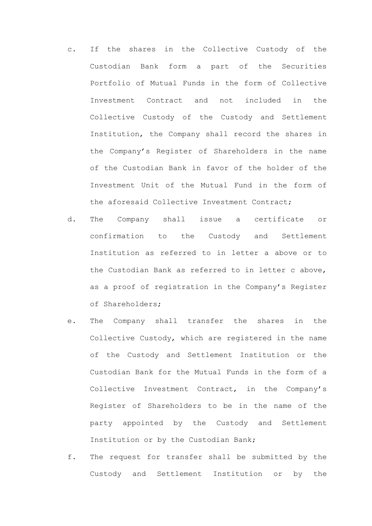- c. If the shares in the Collective Custody of the Custodian Bank form a part of the Securities Portfolio of Mutual Funds in the form of Collective Investment Contract and not included in the Collective Custody of the Custody and Settlement Institution, the Company shall record the shares in the Company's Register of Shareholders in the name of the Custodian Bank in favor of the holder of the Investment Unit of the Mutual Fund in the form of the aforesaid Collective Investment Contract;
- d. The Company shall issue a certificate or confirmation to the Custody and Settlement Institution as referred to in letter a above or to the Custodian Bank as referred to in letter c above, as a proof of registration in the Company's Register of Shareholders;
- e. The Company shall transfer the shares in the Collective Custody, which are registered in the name of the Custody and Settlement Institution or the Custodian Bank for the Mutual Funds in the form of a Collective Investment Contract, in the Company's Register of Shareholders to be in the name of the party appointed by the Custody and Settlement Institution or by the Custodian Bank;
- f. The request for transfer shall be submitted by the Custody and Settlement Institution or by the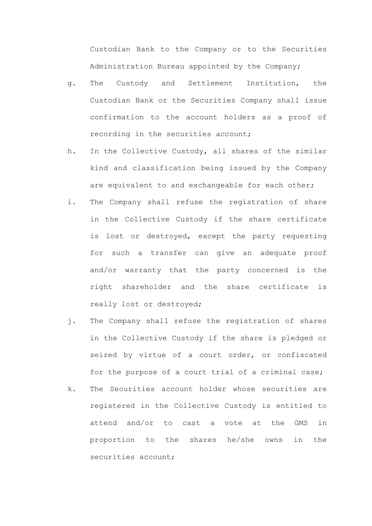Custodian Bank to the Company or to the Securities Administration Bureau appointed by the Company;

- g. The Custody and Settlement Institution, the Custodian Bank or the Securities Company shall issue confirmation to the account holders as a proof of recording in the securities account;
- h. In the Collective Custody, all shares of the similar kind and classification being issued by the Company are equivalent to and exchangeable for each other;
- i. The Company shall refuse the registration of share in the Collective Custody if the share certificate is lost or destroyed, except the party requesting for such a transfer can give an adequate proof and/or warranty that the party concerned is the right shareholder and the share certificate is really lost or destroyed;
- j. The Company shall refuse the registration of shares in the Collective Custody if the share is pledged or seized by virtue of a court order, or confiscated for the purpose of a court trial of a criminal case;
- k. The Securities account holder whose securities are registered in the Collective Custody is entitled to attend and/or to cast a vote at the GMS in proportion to the shares he/she owns in the securities account;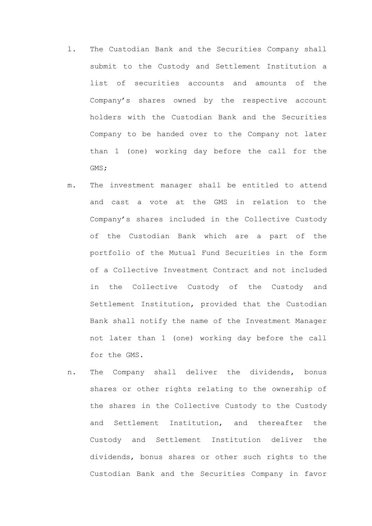- l. The Custodian Bank and the Securities Company shall submit to the Custody and Settlement Institution a list of securities accounts and amounts of the Company's shares owned by the respective account holders with the Custodian Bank and the Securities Company to be handed over to the Company not later than 1 (one) working day before the call for the GMS;
- m. The investment manager shall be entitled to attend and cast a vote at the GMS in relation to the Company's shares included in the Collective Custody of the Custodian Bank which are a part of the portfolio of the Mutual Fund Securities in the form of a Collective Investment Contract and not included in the Collective Custody of the Custody and Settlement Institution, provided that the Custodian Bank shall notify the name of the Investment Manager not later than 1 (one) working day before the call for the GMS.
- n. The Company shall deliver the dividends, bonus shares or other rights relating to the ownership of the shares in the Collective Custody to the Custody and Settlement Institution, and thereafter the Custody and Settlement Institution deliver the dividends, bonus shares or other such rights to the Custodian Bank and the Securities Company in favor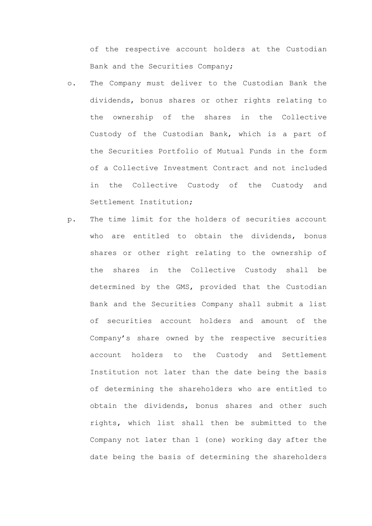of the respective account holders at the Custodian Bank and the Securities Company;

- o. The Company must deliver to the Custodian Bank the dividends, bonus shares or other rights relating to the ownership of the shares in the Collective Custody of the Custodian Bank, which is a part of the Securities Portfolio of Mutual Funds in the form of a Collective Investment Contract and not included in the Collective Custody of the Custody and Settlement Institution;
- p. The time limit for the holders of securities account who are entitled to obtain the dividends, bonus shares or other right relating to the ownership of the shares in the Collective Custody shall be determined by the GMS, provided that the Custodian Bank and the Securities Company shall submit a list of securities account holders and amount of the Company's share owned by the respective securities account holders to the Custody and Settlement Institution not later than the date being the basis of determining the shareholders who are entitled to obtain the dividends, bonus shares and other such rights, which list shall then be submitted to the Company not later than 1 (one) working day after the date being the basis of determining the shareholders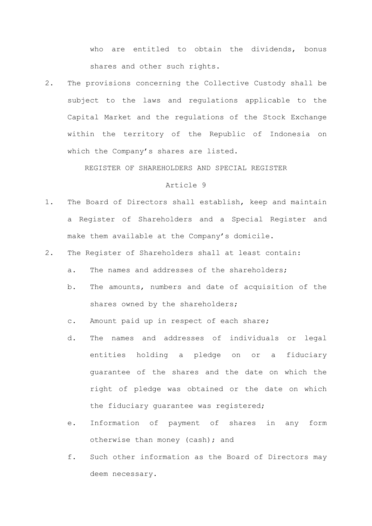who are entitled to obtain the dividends, bonus shares and other such rights.

2. The provisions concerning the Collective Custody shall be subject to the laws and regulations applicable to the Capital Market and the regulations of the Stock Exchange within the territory of the Republic of Indonesia on which the Company's shares are listed.

REGISTER OF SHAREHOLDERS AND SPECIAL REGISTER

## Article 9

- 1. The Board of Directors shall establish, keep and maintain a Register of Shareholders and a Special Register and make them available at the Company's domicile.
- 2. The Register of Shareholders shall at least contain:
	- a. The names and addresses of the shareholders;
	- b. The amounts, numbers and date of acquisition of the shares owned by the shareholders;
	- c. Amount paid up in respect of each share;
	- d. The names and addresses of individuals or legal entities holding a pledge on or a fiduciary guarantee of the shares and the date on which the right of pledge was obtained or the date on which the fiduciary guarantee was registered;
	- e. Information of payment of shares in any form otherwise than money (cash); and
	- f. Such other information as the Board of Directors may deem necessary.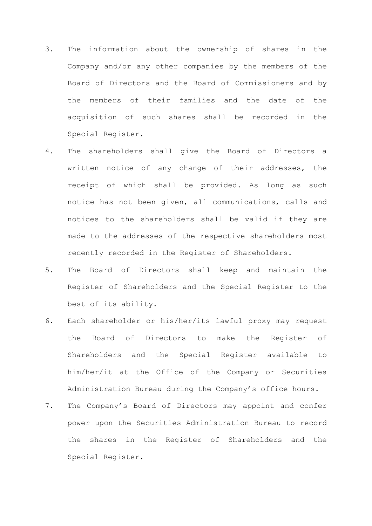- 3. The information about the ownership of shares in the Company and/or any other companies by the members of the Board of Directors and the Board of Commissioners and by the members of their families and the date of the acquisition of such shares shall be recorded in the Special Register.
- 4. The shareholders shall give the Board of Directors a written notice of any change of their addresses, the receipt of which shall be provided. As long as such notice has not been given, all communications, calls and notices to the shareholders shall be valid if they are made to the addresses of the respective shareholders most recently recorded in the Register of Shareholders.
- 5. The Board of Directors shall keep and maintain the Register of Shareholders and the Special Register to the best of its ability.
- 6. Each shareholder or his/her/its lawful proxy may request the Board of Directors to make the Register of Shareholders and the Special Register available to him/her/it at the Office of the Company or Securities Administration Bureau during the Company's office hours.
- 7. The Company's Board of Directors may appoint and confer power upon the Securities Administration Bureau to record the shares in the Register of Shareholders and the Special Register.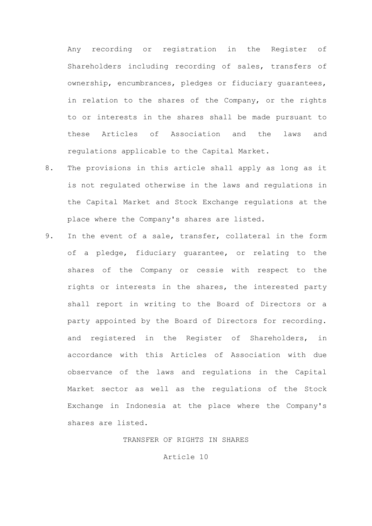Any recording or registration in the Register of Shareholders including recording of sales, transfers of ownership, encumbrances, pledges or fiduciary guarantees, in relation to the shares of the Company, or the rights to or interests in the shares shall be made pursuant to these Articles of Association and the laws and regulations applicable to the Capital Market.

- 8. The provisions in this article shall apply as long as it is not regulated otherwise in the laws and regulations in the Capital Market and Stock Exchange regulations at the place where the Company's shares are listed.
- 9. In the event of a sale, transfer, collateral in the form of a pledge, fiduciary guarantee, or relating to the shares of the Company or cessie with respect to the rights or interests in the shares, the interested party shall report in writing to the Board of Directors or a party appointed by the Board of Directors for recording. and registered in the Register of Shareholders, in accordance with this Articles of Association with due observance of the laws and regulations in the Capital Market sector as well as the regulations of the Stock Exchange in Indonesia at the place where the Company's shares are listed.

TRANSFER OF RIGHTS IN SHARES

Article 10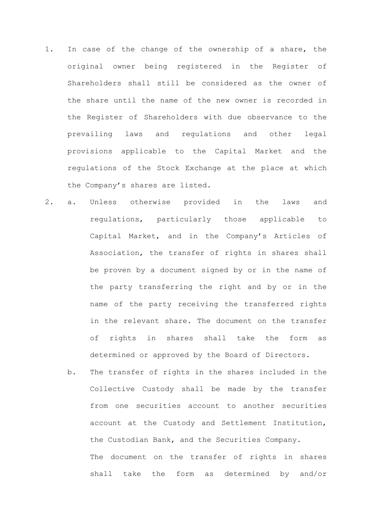- 1. In case of the change of the ownership of a share, the original owner being registered in the Register of Shareholders shall still be considered as the owner of the share until the name of the new owner is recorded in the Register of Shareholders with due observance to the prevailing laws and regulations and other legal provisions applicable to the Capital Market and the regulations of the Stock Exchange at the place at which the Company's shares are listed.
- 2. a. Unless otherwise provided in the laws and regulations, particularly those applicable to Capital Market, and in the Company's Articles of Association, the transfer of rights in shares shall be proven by a document signed by or in the name of the party transferring the right and by or in the name of the party receiving the transferred rights in the relevant share. The document on the transfer of rights in shares shall take the form as determined or approved by the Board of Directors.
	- b. The transfer of rights in the shares included in the Collective Custody shall be made by the transfer from one securities account to another securities account at the Custody and Settlement Institution, the Custodian Bank, and the Securities Company. The document on the transfer of rights in shares shall take the form as determined by and/or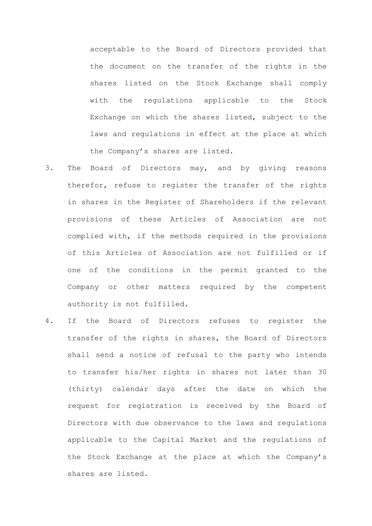acceptable to the Board of Directors provided that the document on the transfer of the rights in the shares listed on the Stock Exchange shall comply with the regulations applicable to the Stock Exchange on which the shares listed, subject to the laws and regulations in effect at the place at which the Company's shares are listed.

- 3. The Board of Directors may, and by giving reasons therefor, refuse to register the transfer of the rights in shares in the Register of Shareholders if the relevant provisions of these Articles of Association are not complied with, if the methods required in the provisions of this Articles of Association are not fulfilled or if one of the conditions in the permit granted to the Company or other matters required by the competent authority is not fulfilled.
- 4. If the Board of Directors refuses to register the transfer of the rights in shares, the Board of Directors shall send a notice of refusal to the party who intends to transfer his/her rights in shares not later than 30 (thirty) calendar days after the date on which the request for registration is received by the Board of Directors with due observance to the laws and regulations applicable to the Capital Market and the regulations of the Stock Exchange at the place at which the Company's shares are listed.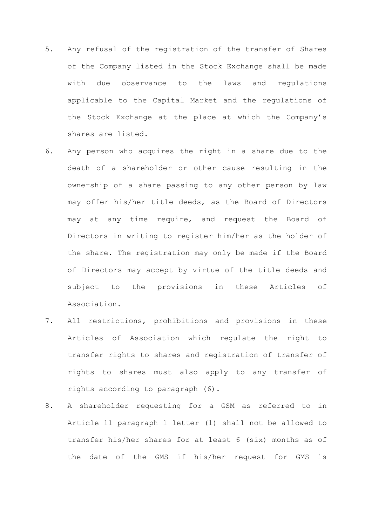- 5. Any refusal of the registration of the transfer of Shares of the Company listed in the Stock Exchange shall be made with due observance to the laws and regulations applicable to the Capital Market and the regulations of the Stock Exchange at the place at which the Company's shares are listed.
- 6. Any person who acquires the right in a share due to the death of a shareholder or other cause resulting in the ownership of a share passing to any other person by law may offer his/her title deeds, as the Board of Directors may at any time require, and request the Board of Directors in writing to register him/her as the holder of the share. The registration may only be made if the Board of Directors may accept by virtue of the title deeds and subject to the provisions in these Articles of Association.
- 7. All restrictions, prohibitions and provisions in these Articles of Association which regulate the right to transfer rights to shares and registration of transfer of rights to shares must also apply to any transfer of rights according to paragraph (6).
- 8. A shareholder requesting for a GSM as referred to in Article 11 paragraph 1 letter (1) shall not be allowed to transfer his/her shares for at least 6 (six) months as of the date of the GMS if his/her request for GMS is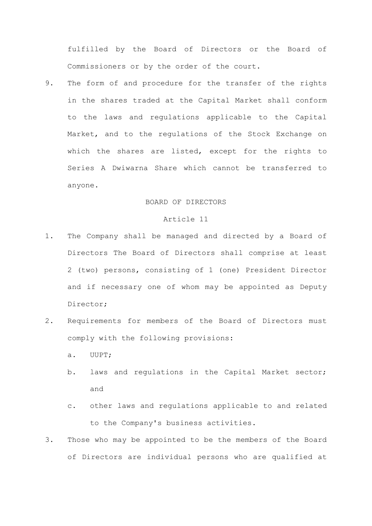fulfilled by the Board of Directors or the Board of Commissioners or by the order of the court.

9. The form of and procedure for the transfer of the rights in the shares traded at the Capital Market shall conform to the laws and regulations applicable to the Capital Market, and to the regulations of the Stock Exchange on which the shares are listed, except for the rights to Series A Dwiwarna Share which cannot be transferred to anyone.

## BOARD OF DIRECTORS

## Article 11

- 1. The Company shall be managed and directed by a Board of Directors The Board of Directors shall comprise at least 2 (two) persons, consisting of 1 (one) President Director and if necessary one of whom may be appointed as Deputy Director;
- 2. Requirements for members of the Board of Directors must comply with the following provisions:
	- a. UUPT;
	- b. laws and regulations in the Capital Market sector; and
	- c. other laws and regulations applicable to and related to the Company's business activities.
- 3. Those who may be appointed to be the members of the Board of Directors are individual persons who are qualified at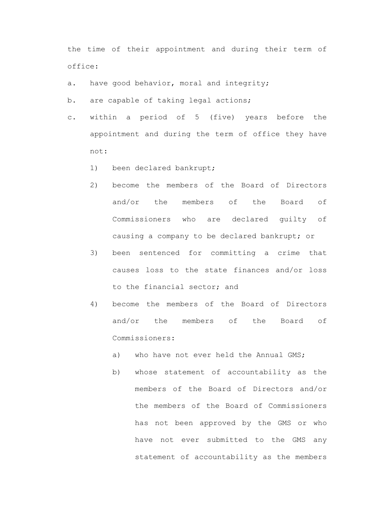the time of their appointment and during their term of office:

- a. have good behavior, moral and integrity;
- b. are capable of taking legal actions;
- c. within a period of 5 (five) years before the appointment and during the term of office they have not:
	- 1) been declared bankrupt;
	- 2) become the members of the Board of Directors and/or the members of the Board of Commissioners who are declared guilty of causing a company to be declared bankrupt; or
	- 3) been sentenced for committing a crime that causes loss to the state finances and/or loss to the financial sector; and
	- 4) become the members of the Board of Directors and/or the members of the Board of Commissioners:
		- a) who have not ever held the Annual GMS;
		- b) whose statement of accountability as the members of the Board of Directors and/or the members of the Board of Commissioners has not been approved by the GMS or who have not ever submitted to the GMS any statement of accountability as the members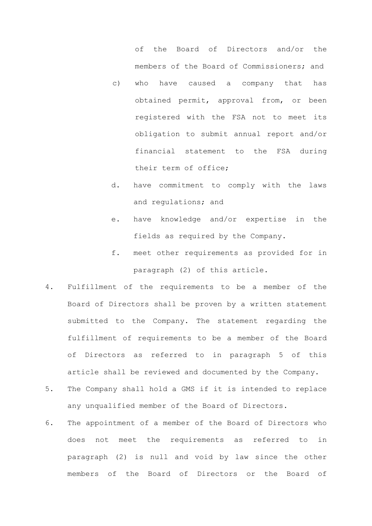of the Board of Directors and/or the members of the Board of Commissioners; and

- c) who have caused a company that has obtained permit, approval from, or been registered with the FSA not to meet its obligation to submit annual report and/or financial statement to the FSA during their term of office;
- d. have commitment to comply with the laws and regulations; and
- e. have knowledge and/or expertise in the fields as required by the Company.
- f. meet other requirements as provided for in paragraph (2) of this article.
- 4. Fulfillment of the requirements to be a member of the Board of Directors shall be proven by a written statement submitted to the Company. The statement regarding the fulfillment of requirements to be a member of the Board of Directors as referred to in paragraph 5 of this article shall be reviewed and documented by the Company.
- 5. The Company shall hold a GMS if it is intended to replace any unqualified member of the Board of Directors.
- 6. The appointment of a member of the Board of Directors who does not meet the requirements as referred to in paragraph (2) is null and void by law since the other members of the Board of Directors or the Board of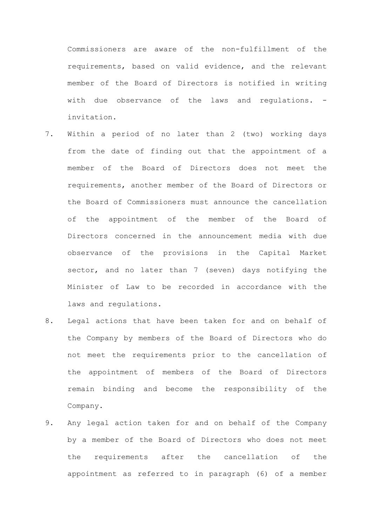Commissioners are aware of the non-fulfillment of the requirements, based on valid evidence, and the relevant member of the Board of Directors is notified in writing with due observance of the laws and requlations. invitation.

- 7. Within a period of no later than 2 (two) working days from the date of finding out that the appointment of a member of the Board of Directors does not meet the requirements, another member of the Board of Directors or the Board of Commissioners must announce the cancellation of the appointment of the member of the Board of Directors concerned in the announcement media with due observance of the provisions in the Capital Market sector, and no later than 7 (seven) days notifying the Minister of Law to be recorded in accordance with the laws and regulations.
- 8. Legal actions that have been taken for and on behalf of the Company by members of the Board of Directors who do not meet the requirements prior to the cancellation of the appointment of members of the Board of Directors remain binding and become the responsibility of the Company.
- 9. Any legal action taken for and on behalf of the Company by a member of the Board of Directors who does not meet the requirements after the cancellation of the appointment as referred to in paragraph (6) of a member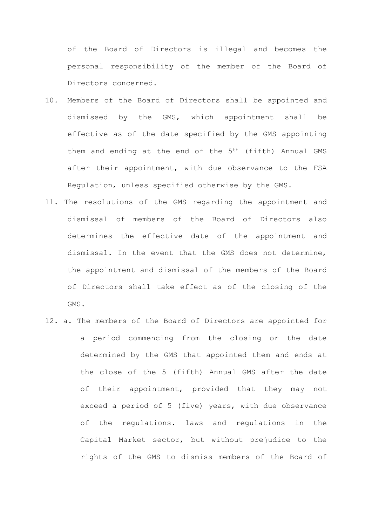of the Board of Directors is illegal and becomes the personal responsibility of the member of the Board of Directors concerned.

- 10. Members of the Board of Directors shall be appointed and dismissed by the GMS, which appointment shall be effective as of the date specified by the GMS appointing them and ending at the end of the 5th (fifth) Annual GMS after their appointment, with due observance to the FSA Regulation, unless specified otherwise by the GMS.
- 11. The resolutions of the GMS regarding the appointment and dismissal of members of the Board of Directors also determines the effective date of the appointment and dismissal. In the event that the GMS does not determine, the appointment and dismissal of the members of the Board of Directors shall take effect as of the closing of the GMS.
- 12. a. The members of the Board of Directors are appointed for a period commencing from the closing or the date determined by the GMS that appointed them and ends at the close of the 5 (fifth) Annual GMS after the date of their appointment, provided that they may not exceed a period of 5 (five) years, with due observance of the regulations. laws and regulations in the Capital Market sector, but without prejudice to the rights of the GMS to dismiss members of the Board of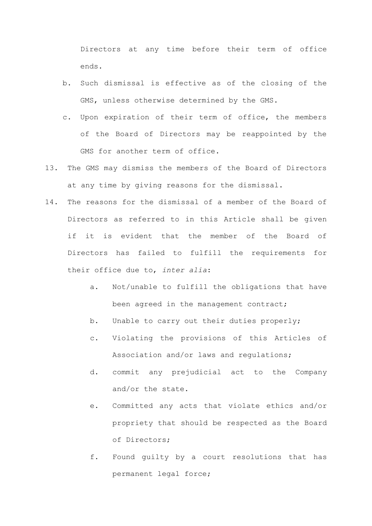Directors at any time before their term of office ends.

- b. Such dismissal is effective as of the closing of the GMS, unless otherwise determined by the GMS.
- c. Upon expiration of their term of office, the members of the Board of Directors may be reappointed by the GMS for another term of office.
- 13. The GMS may dismiss the members of the Board of Directors at any time by giving reasons for the dismissal.
- 14. The reasons for the dismissal of a member of the Board of Directors as referred to in this Article shall be given if it is evident that the member of the Board of Directors has failed to fulfill the requirements for their office due to, *inter alia*:
	- a. Not/unable to fulfill the obligations that have been agreed in the management contract;
	- b. Unable to carry out their duties properly;
	- c. Violating the provisions of this Articles of Association and/or laws and regulations;
	- d. commit any prejudicial act to the Company and/or the state.
	- e. Committed any acts that violate ethics and/or propriety that should be respected as the Board of Directors;
	- f. Found guilty by a court resolutions that has permanent legal force;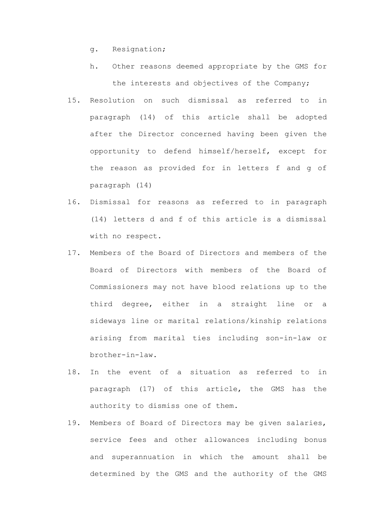- g. Resignation;
- h. Other reasons deemed appropriate by the GMS for the interests and objectives of the Company;
- 15. Resolution on such dismissal as referred to in paragraph (14) of this article shall be adopted after the Director concerned having been given the opportunity to defend himself/herself, except for the reason as provided for in letters f and g of paragraph (14)
- 16. Dismissal for reasons as referred to in paragraph (14) letters d and f of this article is a dismissal with no respect.
- 17. Members of the Board of Directors and members of the Board of Directors with members of the Board of Commissioners may not have blood relations up to the third degree, either in a straight line or a sideways line or marital relations/kinship relations arising from marital ties including son-in-law or brother-in-law.
- 18. In the event of a situation as referred to in paragraph (17) of this article, the GMS has the authority to dismiss one of them.
- 19. Members of Board of Directors may be given salaries, service fees and other allowances including bonus and superannuation in which the amount shall be determined by the GMS and the authority of the GMS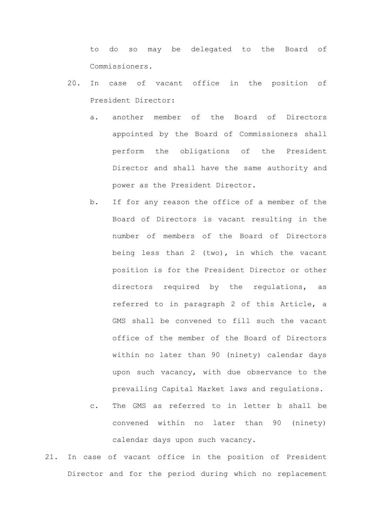to do so may be delegated to the Board of Commissioners.

- 20. In case of vacant office in the position of President Director:
	- a. another member of the Board of Directors appointed by the Board of Commissioners shall perform the obligations of the President Director and shall have the same authority and power as the President Director.
	- b. If for any reason the office of a member of the Board of Directors is vacant resulting in the number of members of the Board of Directors being less than 2 (two), in which the vacant position is for the President Director or other directors required by the regulations, as referred to in paragraph 2 of this Article, a GMS shall be convened to fill such the vacant office of the member of the Board of Directors within no later than 90 (ninety) calendar days upon such vacancy, with due observance to the prevailing Capital Market laws and regulations.
	- c. The GMS as referred to in letter b shall be convened within no later than 90 (ninety) calendar days upon such vacancy.
- 21. In case of vacant office in the position of President Director and for the period during which no replacement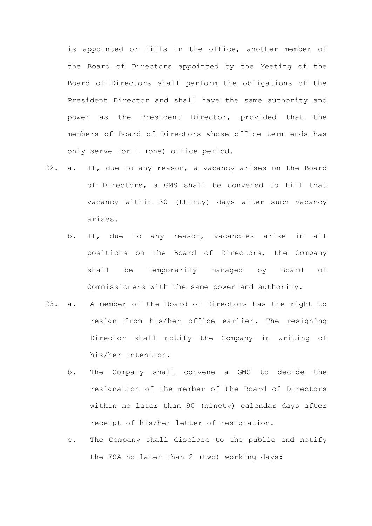is appointed or fills in the office, another member of the Board of Directors appointed by the Meeting of the Board of Directors shall perform the obligations of the President Director and shall have the same authority and power as the President Director, provided that the members of Board of Directors whose office term ends has only serve for 1 (one) office period.

- 22. a. If, due to any reason, a vacancy arises on the Board of Directors, a GMS shall be convened to fill that vacancy within 30 (thirty) days after such vacancy arises.
	- b. If, due to any reason, vacancies arise in all positions on the Board of Directors, the Company shall be temporarily managed by Board of Commissioners with the same power and authority.
- 23. a. A member of the Board of Directors has the right to resign from his/her office earlier. The resigning Director shall notify the Company in writing of his/her intention.
	- b. The Company shall convene a GMS to decide the resignation of the member of the Board of Directors within no later than 90 (ninety) calendar days after receipt of his/her letter of resignation.
	- c. The Company shall disclose to the public and notify the FSA no later than 2 (two) working days: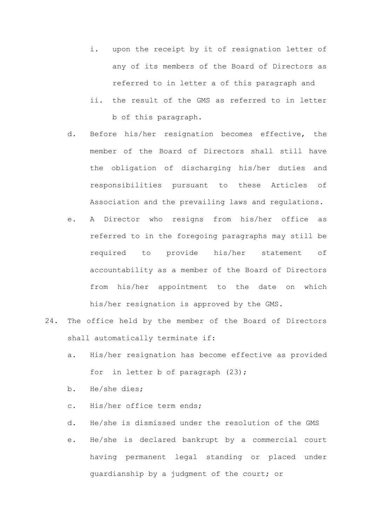- i. upon the receipt by it of resignation letter of any of its members of the Board of Directors as referred to in letter a of this paragraph and
- ii. the result of the GMS as referred to in letter b of this paragraph.
- d. Before his/her resignation becomes effective, the member of the Board of Directors shall still have the obligation of discharging his/her duties and responsibilities pursuant to these Articles of Association and the prevailing laws and regulations.
- e. A Director who resigns from his/her office as referred to in the foregoing paragraphs may still be required to provide his/her statement of accountability as a member of the Board of Directors from his/her appointment to the date on which his/her resignation is approved by the GMS.
- 24. The office held by the member of the Board of Directors shall automatically terminate if:
	- a. His/her resignation has become effective as provided for in letter b of paragraph (23);
	- b. He/she dies;
	- c. His/her office term ends;
	- d. He/she is dismissed under the resolution of the GMS
	- e. He/she is declared bankrupt by a commercial court having permanent legal standing or placed under guardianship by a judgment of the court; or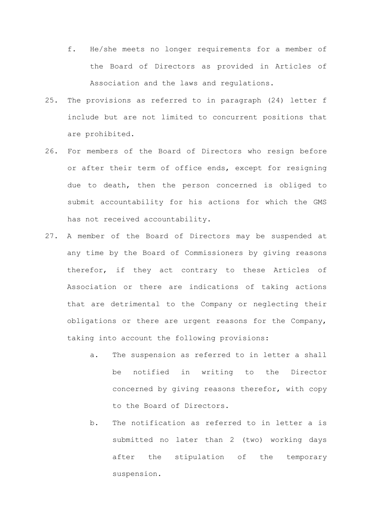- f. He/she meets no longer requirements for a member of the Board of Directors as provided in Articles of Association and the laws and regulations.
- 25. The provisions as referred to in paragraph (24) letter f include but are not limited to concurrent positions that are prohibited.
- 26. For members of the Board of Directors who resign before or after their term of office ends, except for resigning due to death, then the person concerned is obliged to submit accountability for his actions for which the GMS has not received accountability.
- 27. A member of the Board of Directors may be suspended at any time by the Board of Commissioners by giving reasons therefor, if they act contrary to these Articles of Association or there are indications of taking actions that are detrimental to the Company or neglecting their obligations or there are urgent reasons for the Company, taking into account the following provisions:
	- a. The suspension as referred to in letter a shall be notified in writing to the Director concerned by giving reasons therefor, with copy to the Board of Directors.
	- b. The notification as referred to in letter a is submitted no later than 2 (two) working days after the stipulation of the temporary suspension.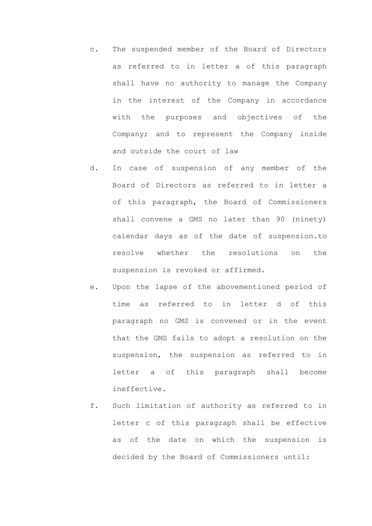- c. The suspended member of the Board of Directors as referred to in letter a of this paragraph shall have no authority to manage the Company in the interest of the Company in accordance with the purposes and objectives of the Company; and to represent the Company inside and outside the court of law
- d. In case of suspension of any member of the Board of Directors as referred to in letter a of this paragraph, the Board of Commissioners shall convene a GMS no later than 90 (ninety) calendar days as of the date of suspension.to resolve whether the resolutions on the suspension is revoked or affirmed.
- e. Upon the lapse of the abovementioned period of time as referred to in letter d of this paragraph no GMS is convened or in the event that the GMS fails to adopt a resolution on the suspension, the suspension as referred to in letter a of this paragraph shall become ineffective.
- f. Such limitation of authority as referred to in letter c of this paragraph shall be effective as of the date on which the suspension is decided by the Board of Commissioners until: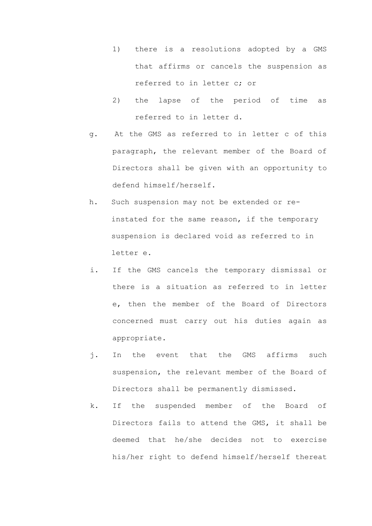- 1) there is a resolutions adopted by a GMS that affirms or cancels the suspension as referred to in letter c; or
- 2) the lapse of the period of time as referred to in letter d.
- g. At the GMS as referred to in letter c of this paragraph, the relevant member of the Board of Directors shall be given with an opportunity to defend himself/herself.
- h. Such suspension may not be extended or reinstated for the same reason, if the temporary suspension is declared void as referred to in letter e.
- i. If the GMS cancels the temporary dismissal or there is a situation as referred to in letter e, then the member of the Board of Directors concerned must carry out his duties again as appropriate.
- j. In the event that the GMS affirms such suspension, the relevant member of the Board of Directors shall be permanently dismissed.
- k. If the suspended member of the Board of Directors fails to attend the GMS, it shall be deemed that he/she decides not to exercise his/her right to defend himself/herself thereat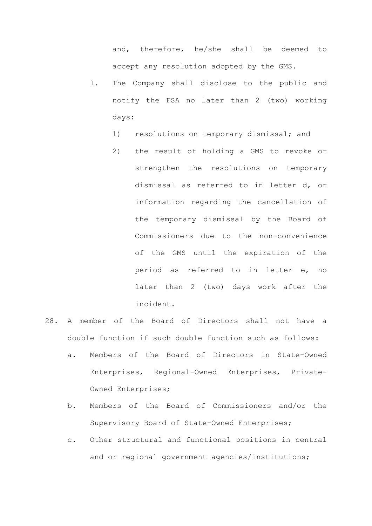and, therefore, he/she shall be deemed to accept any resolution adopted by the GMS.

- l. The Company shall disclose to the public and notify the FSA no later than 2 (two) working days:
	- 1) resolutions on temporary dismissal; and
	- 2) the result of holding a GMS to revoke or strengthen the resolutions on temporary dismissal as referred to in letter d, or information regarding the cancellation of the temporary dismissal by the Board of Commissioners due to the non-convenience of the GMS until the expiration of the period as referred to in letter e, no later than 2 (two) days work after the incident.
- 28. A member of the Board of Directors shall not have a double function if such double function such as follows:
	- a. Members of the Board of Directors in State-Owned Enterprises, Regional-Owned Enterprises, Private-Owned Enterprises;
	- b. Members of the Board of Commissioners and/or the Supervisory Board of State-Owned Enterprises;
	- c. Other structural and functional positions in central and or regional government agencies/institutions;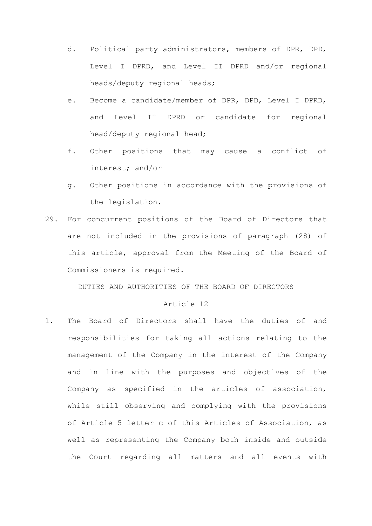- d. Political party administrators, members of DPR, DPD, Level I DPRD, and Level II DPRD and/or regional heads/deputy regional heads;
- e. Become a candidate/member of DPR, DPD, Level I DPRD, and Level II DPRD or candidate for regional head/deputy regional head;
- f. Other positions that may cause a conflict of interest; and/or
- g. Other positions in accordance with the provisions of the legislation.
- 29. For concurrent positions of the Board of Directors that are not included in the provisions of paragraph (28) of this article, approval from the Meeting of the Board of Commissioners is required.

DUTIES AND AUTHORITIES OF THE BOARD OF DIRECTORS

## Article 12

1. The Board of Directors shall have the duties of and responsibilities for taking all actions relating to the management of the Company in the interest of the Company and in line with the purposes and objectives of the Company as specified in the articles of association, while still observing and complying with the provisions of Article 5 letter c of this Articles of Association, as well as representing the Company both inside and outside the Court regarding all matters and all events with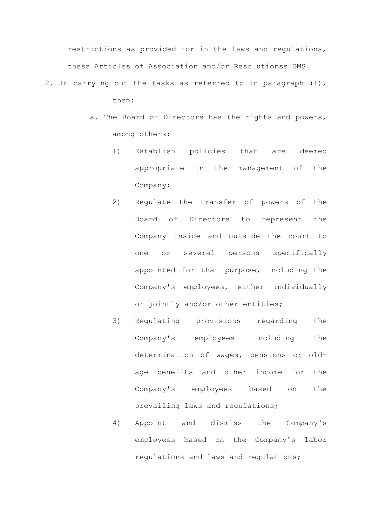restrictions as provided for in the laws and regulations, these Articles of Association and/or Resolutionss GMS.

- 2. In carrying out the tasks as referred to in paragraph (1), then:
	- a. The Board of Directors has the rights and powers, among others:
		- 1) Establish policies that are deemed appropriate in the management of the Company;
		- 2) Regulate the transfer of powers of the Board of Directors to represent the Company inside and outside the court to one or several persons specifically appointed for that purpose, including the Company's employees, either individually or jointly and/or other entities;
		- 3) Regulating provisions regarding the Company's employees including the determination of wages, pensions or oldage benefits and other income for the Company's employees based on the prevailing laws and regulations;
		- 4) Appoint and dismiss the Company's employees based on the Company's labor regulations and laws and regulations;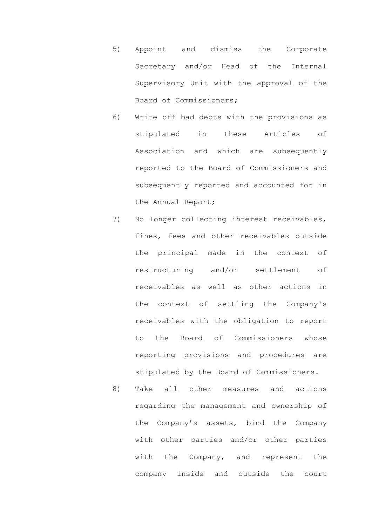- 5) Appoint and dismiss the Corporate Secretary and/or Head of the Internal Supervisory Unit with the approval of the Board of Commissioners;
- 6) Write off bad debts with the provisions as stipulated in these Articles of Association and which are subsequently reported to the Board of Commissioners and subsequently reported and accounted for in the Annual Report;
- 7) No longer collecting interest receivables, fines, fees and other receivables outside the principal made in the context of restructuring and/or settlement of receivables as well as other actions in the context of settling the Company's receivables with the obligation to report to the Board of Commissioners whose reporting provisions and procedures are stipulated by the Board of Commissioners.
- 8) Take all other measures and actions regarding the management and ownership of the Company's assets, bind the Company with other parties and/or other parties with the Company, and represent the company inside and outside the court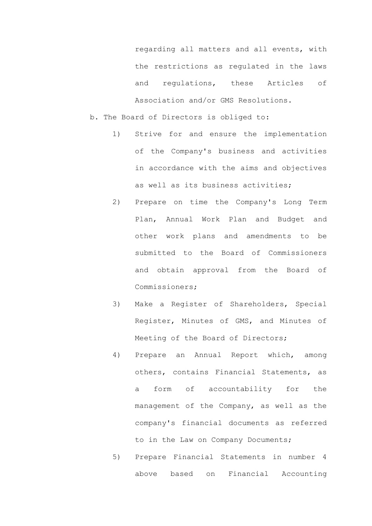regarding all matters and all events, with the restrictions as regulated in the laws and regulations, these Articles of Association and/or GMS Resolutions.

- b. The Board of Directors is obliged to:
	- 1) Strive for and ensure the implementation of the Company's business and activities in accordance with the aims and objectives as well as its business activities;
	- 2) Prepare on time the Company's Long Term Plan, Annual Work Plan and Budget and other work plans and amendments to be submitted to the Board of Commissioners and obtain approval from the Board of Commissioners;
	- 3) Make a Register of Shareholders, Special Register, Minutes of GMS, and Minutes of Meeting of the Board of Directors;
	- 4) Prepare an Annual Report which, among others, contains Financial Statements, as a form of accountability for the management of the Company, as well as the company's financial documents as referred to in the Law on Company Documents;
	- 5) Prepare Financial Statements in number 4 above based on Financial Accounting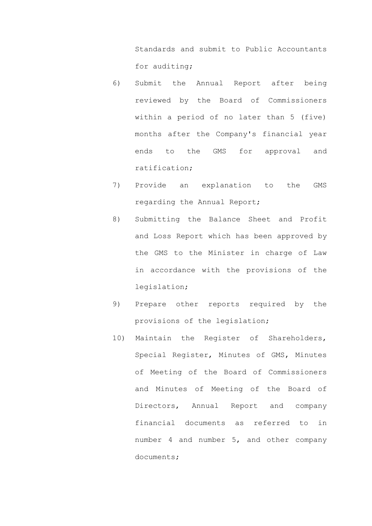Standards and submit to Public Accountants for auditing;

- 6) Submit the Annual Report after being reviewed by the Board of Commissioners within a period of no later than 5 (five) months after the Company's financial year ends to the GMS for approval and ratification;
- 7) Provide an explanation to the GMS regarding the Annual Report;
- 8) Submitting the Balance Sheet and Profit and Loss Report which has been approved by the GMS to the Minister in charge of Law in accordance with the provisions of the legislation;
- 9) Prepare other reports required by the provisions of the legislation;
- 10) Maintain the Register of Shareholders, Special Register, Minutes of GMS, Minutes of Meeting of the Board of Commissioners and Minutes of Meeting of the Board of Directors, Annual Report and company financial documents as referred to in number 4 and number 5, and other company documents;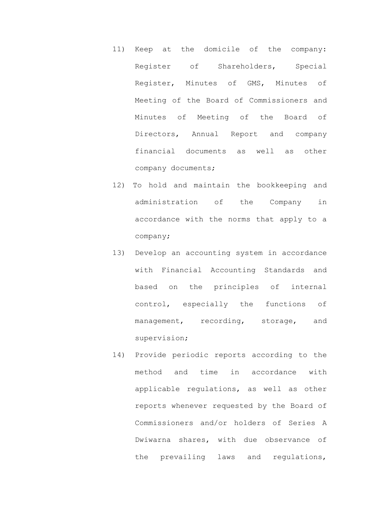- 11) Keep at the domicile of the company: Register of Shareholders, Special Register, Minutes of GMS, Minutes of Meeting of the Board of Commissioners and Minutes of Meeting of the Board of Directors, Annual Report and company financial documents as well as other company documents;
- 12) To hold and maintain the bookkeeping and administration of the Company in accordance with the norms that apply to a company;
- 13) Develop an accounting system in accordance with Financial Accounting Standards and based on the principles of internal control, especially the functions of management, recording, storage, and supervision;
- 14) Provide periodic reports according to the method and time in accordance with applicable regulations, as well as other reports whenever requested by the Board of Commissioners and/or holders of Series A Dwiwarna shares, with due observance of the prevailing laws and regulations,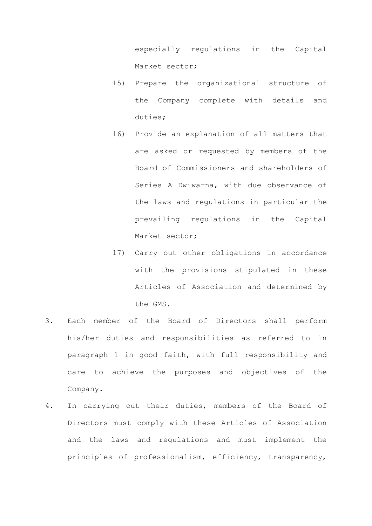especially regulations in the Capital Market sector;

- 15) Prepare the organizational structure of the Company complete with details and duties;
- 16) Provide an explanation of all matters that are asked or requested by members of the Board of Commissioners and shareholders of Series A Dwiwarna, with due observance of the laws and regulations in particular the prevailing regulations in the Capital Market sector;
- 17) Carry out other obligations in accordance with the provisions stipulated in these Articles of Association and determined by the GMS.
- 3. Each member of the Board of Directors shall perform his/her duties and responsibilities as referred to in paragraph 1 in good faith, with full responsibility and care to achieve the purposes and objectives of the Company.
- 4. In carrying out their duties, members of the Board of Directors must comply with these Articles of Association and the laws and regulations and must implement the principles of professionalism, efficiency, transparency,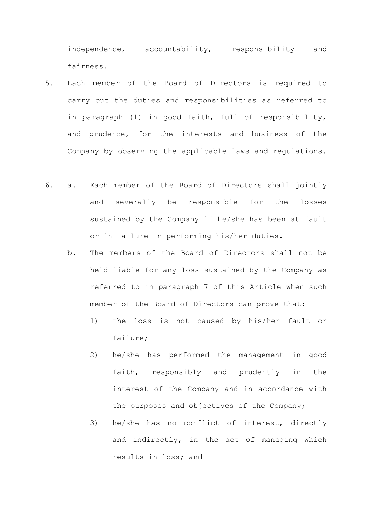independence, accountability, responsibility and fairness.

- 5. Each member of the Board of Directors is required to carry out the duties and responsibilities as referred to in paragraph (1) in good faith, full of responsibility, and prudence, for the interests and business of the Company by observing the applicable laws and regulations.
- 6. a. Each member of the Board of Directors shall jointly and severally be responsible for the losses sustained by the Company if he/she has been at fault or in failure in performing his/her duties.
	- b. The members of the Board of Directors shall not be held liable for any loss sustained by the Company as referred to in paragraph 7 of this Article when such member of the Board of Directors can prove that:
		- 1) the loss is not caused by his/her fault or failure;
		- 2) he/she has performed the management in good faith, responsibly and prudently in the interest of the Company and in accordance with the purposes and objectives of the Company;
		- 3) he/she has no conflict of interest, directly and indirectly, in the act of managing which results in loss; and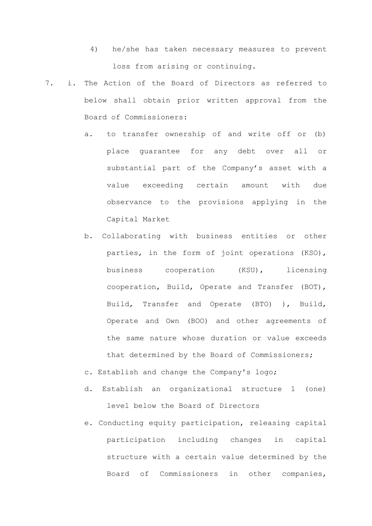- 4) he/she has taken necessary measures to prevent loss from arising or continuing.
- 7. i. The Action of the Board of Directors as referred to below shall obtain prior written approval from the Board of Commissioners:
	- a. to transfer ownership of and write off or (b) place guarantee for any debt over all or substantial part of the Company's asset with a value exceeding certain amount with due observance to the provisions applying in the Capital Market
	- b. Collaborating with business entities or other parties, in the form of joint operations (KSO), business cooperation (KSU), licensing cooperation, Build, Operate and Transfer (BOT), Build, Transfer and Operate (BTO) ), Build, Operate and Own (BOO) and other agreements of the same nature whose duration or value exceeds that determined by the Board of Commissioners;
	- c. Establish and change the Company's logo;
	- d. Establish an organizational structure 1 (one) level below the Board of Directors
	- e. Conducting equity participation, releasing capital participation including changes in capital structure with a certain value determined by the Board of Commissioners in other companies,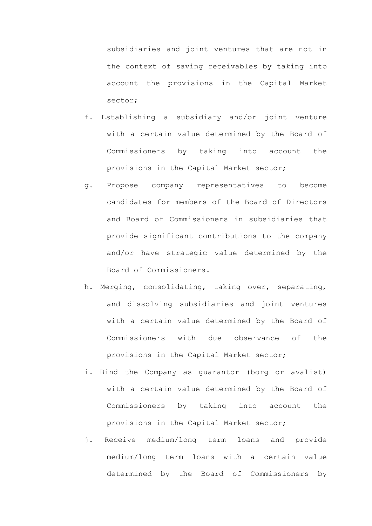subsidiaries and joint ventures that are not in the context of saving receivables by taking into account the provisions in the Capital Market sector;

- f. Establishing a subsidiary and/or joint venture with a certain value determined by the Board of Commissioners by taking into account the provisions in the Capital Market sector;
- g. Propose company representatives to become candidates for members of the Board of Directors and Board of Commissioners in subsidiaries that provide significant contributions to the company and/or have strategic value determined by the Board of Commissioners.
- h. Merging, consolidating, taking over, separating, and dissolving subsidiaries and joint ventures with a certain value determined by the Board of Commissioners with due observance of the provisions in the Capital Market sector;
- i. Bind the Company as guarantor (borg or avalist) with a certain value determined by the Board of Commissioners by taking into account the provisions in the Capital Market sector;
- j. Receive medium/long term loans and provide medium/long term loans with a certain value determined by the Board of Commissioners by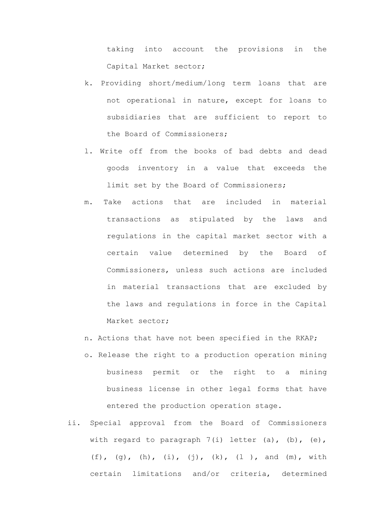taking into account the provisions in the Capital Market sector;

- k. Providing short/medium/long term loans that are not operational in nature, except for loans to subsidiaries that are sufficient to report to the Board of Commissioners;
- l. Write off from the books of bad debts and dead goods inventory in a value that exceeds the limit set by the Board of Commissioners;
- m. Take actions that are included in material transactions as stipulated by the laws and regulations in the capital market sector with a certain value determined by the Board of Commissioners, unless such actions are included in material transactions that are excluded by the laws and regulations in force in the Capital Market sector;
- n. Actions that have not been specified in the RKAP;
- o. Release the right to a production operation mining business permit or the right to a mining business license in other legal forms that have entered the production operation stage.
- ii. Special approval from the Board of Commissioners with regard to paragraph 7(i) letter (a), (b), (e), (f), (g), (h), (i), (j), (k), (l ), and (m), with certain limitations and/or criteria, determined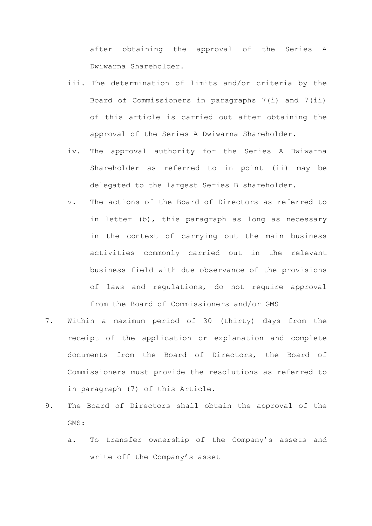after obtaining the approval of the Series A Dwiwarna Shareholder.

- iii. The determination of limits and/or criteria by the Board of Commissioners in paragraphs 7(i) and 7(ii) of this article is carried out after obtaining the approval of the Series A Dwiwarna Shareholder.
- iv. The approval authority for the Series A Dwiwarna Shareholder as referred to in point (ii) may be delegated to the largest Series B shareholder.
- v. The actions of the Board of Directors as referred to in letter (b), this paragraph as long as necessary in the context of carrying out the main business activities commonly carried out in the relevant business field with due observance of the provisions of laws and regulations, do not require approval from the Board of Commissioners and/or GMS
- 7. Within a maximum period of 30 (thirty) days from the receipt of the application or explanation and complete documents from the Board of Directors, the Board of Commissioners must provide the resolutions as referred to in paragraph (7) of this Article.
- 9. The Board of Directors shall obtain the approval of the GMS:
	- a. To transfer ownership of the Company's assets and write off the Company's asset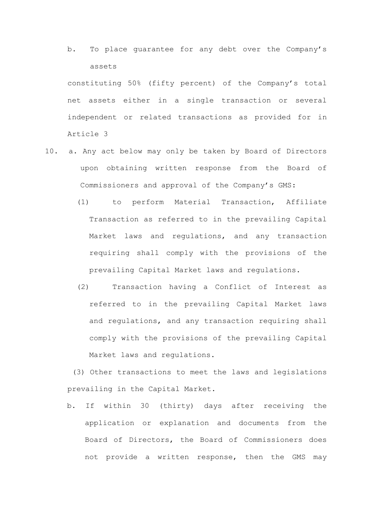b. To place guarantee for any debt over the Company's assets

constituting 50% (fifty percent) of the Company's total net assets either in a single transaction or several independent or related transactions as provided for in Article 3

- 10. a. Any act below may only be taken by Board of Directors upon obtaining written response from the Board of Commissioners and approval of the Company's GMS:
	- (1) to perform Material Transaction, Affiliate Transaction as referred to in the prevailing Capital Market laws and regulations, and any transaction requiring shall comply with the provisions of the prevailing Capital Market laws and regulations.
	- (2) Transaction having a Conflict of Interest as referred to in the prevailing Capital Market laws and regulations, and any transaction requiring shall comply with the provisions of the prevailing Capital Market laws and regulations.

(3) Other transactions to meet the laws and legislations prevailing in the Capital Market.

b. If within 30 (thirty) days after receiving the application or explanation and documents from the Board of Directors, the Board of Commissioners does not provide a written response, then the GMS may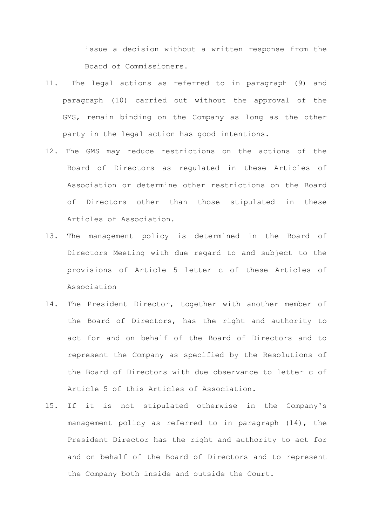issue a decision without a written response from the Board of Commissioners.

- 11. The legal actions as referred to in paragraph (9) and paragraph (10) carried out without the approval of the GMS, remain binding on the Company as long as the other party in the legal action has good intentions.
- 12. The GMS may reduce restrictions on the actions of the Board of Directors as regulated in these Articles of Association or determine other restrictions on the Board of Directors other than those stipulated in these Articles of Association.
- 13. The management policy is determined in the Board of Directors Meeting with due regard to and subject to the provisions of Article 5 letter c of these Articles of Association
- 14. The President Director, together with another member of the Board of Directors, has the right and authority to act for and on behalf of the Board of Directors and to represent the Company as specified by the Resolutions of the Board of Directors with due observance to letter c of Article 5 of this Articles of Association.
- 15. If it is not stipulated otherwise in the Company's management policy as referred to in paragraph (14), the President Director has the right and authority to act for and on behalf of the Board of Directors and to represent the Company both inside and outside the Court.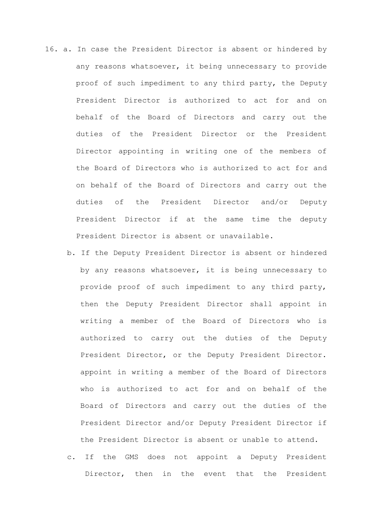- 16. a. In case the President Director is absent or hindered by any reasons whatsoever, it being unnecessary to provide proof of such impediment to any third party, the Deputy President Director is authorized to act for and on behalf of the Board of Directors and carry out the duties of the President Director or the President Director appointing in writing one of the members of the Board of Directors who is authorized to act for and on behalf of the Board of Directors and carry out the duties of the President Director and/or Deputy President Director if at the same time the deputy President Director is absent or unavailable.
	- b. If the Deputy President Director is absent or hindered by any reasons whatsoever, it is being unnecessary to provide proof of such impediment to any third party, then the Deputy President Director shall appoint in writing a member of the Board of Directors who is authorized to carry out the duties of the Deputy President Director, or the Deputy President Director. appoint in writing a member of the Board of Directors who is authorized to act for and on behalf of the Board of Directors and carry out the duties of the President Director and/or Deputy President Director if the President Director is absent or unable to attend.
	- c. If the GMS does not appoint a Deputy President Director, then in the event that the President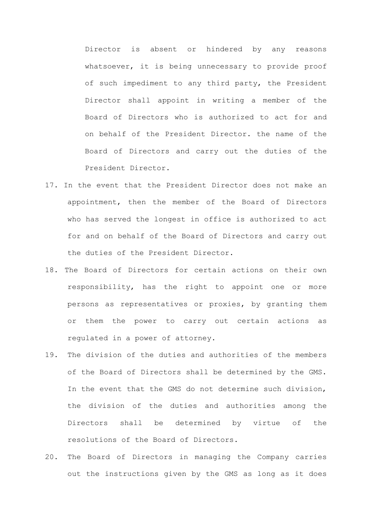Director is absent or hindered by any reasons whatsoever, it is being unnecessary to provide proof of such impediment to any third party, the President Director shall appoint in writing a member of the Board of Directors who is authorized to act for and on behalf of the President Director. the name of the Board of Directors and carry out the duties of the President Director.

- 17. In the event that the President Director does not make an appointment, then the member of the Board of Directors who has served the longest in office is authorized to act for and on behalf of the Board of Directors and carry out the duties of the President Director.
- 18. The Board of Directors for certain actions on their own responsibility, has the right to appoint one or more persons as representatives or proxies, by granting them or them the power to carry out certain actions as regulated in a power of attorney.
- 19. The division of the duties and authorities of the members of the Board of Directors shall be determined by the GMS. In the event that the GMS do not determine such division, the division of the duties and authorities among the Directors shall be determined by virtue of the resolutions of the Board of Directors.
- 20. The Board of Directors in managing the Company carries out the instructions given by the GMS as long as it does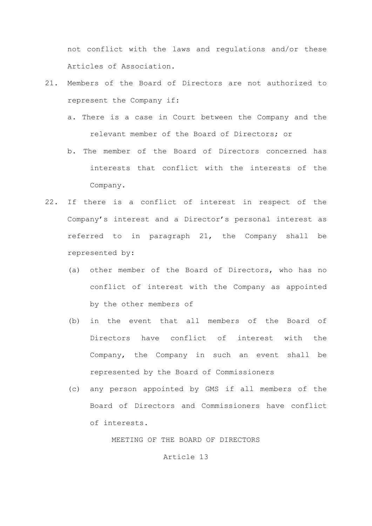not conflict with the laws and regulations and/or these Articles of Association.

- 21. Members of the Board of Directors are not authorized to represent the Company if:
	- a. There is a case in Court between the Company and the relevant member of the Board of Directors; or
	- b. The member of the Board of Directors concerned has interests that conflict with the interests of the Company.
- 22. If there is a conflict of interest in respect of the Company's interest and a Director's personal interest as referred to in paragraph 21, the Company shall be represented by:
	- (a) other member of the Board of Directors, who has no conflict of interest with the Company as appointed by the other members of
	- (b) in the event that all members of the Board of Directors have conflict of interest with the Company, the Company in such an event shall be represented by the Board of Commissioners
	- (c) any person appointed by GMS if all members of the Board of Directors and Commissioners have conflict of interests.

MEETING OF THE BOARD OF DIRECTORS

#### Article 13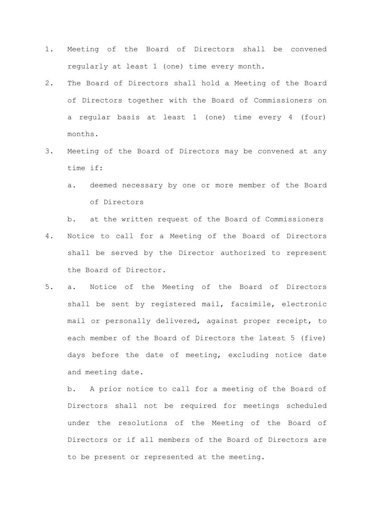- 1. Meeting of the Board of Directors shall be convened regularly at least 1 (one) time every month.
- 2. The Board of Directors shall hold a Meeting of the Board of Directors together with the Board of Commissioners on a regular basis at least 1 (one) time every 4 (four) months.
- 3. Meeting of the Board of Directors may be convened at any time if:
	- a. deemed necessary by one or more member of the Board of Directors

b. at the written request of the Board of Commissioners 4. Notice to call for a Meeting of the Board of Directors shall be served by the Director authorized to represent the Board of Director.

5. a. Notice of the Meeting of the Board of Directors shall be sent by registered mail, facsimile, electronic mail or personally delivered, against proper receipt, to each member of the Board of Directors the latest 5 (five) days before the date of meeting, excluding notice date and meeting date.

b. A prior notice to call for a meeting of the Board of Directors shall not be required for meetings scheduled under the resolutions of the Meeting of the Board of Directors or if all members of the Board of Directors are to be present or represented at the meeting.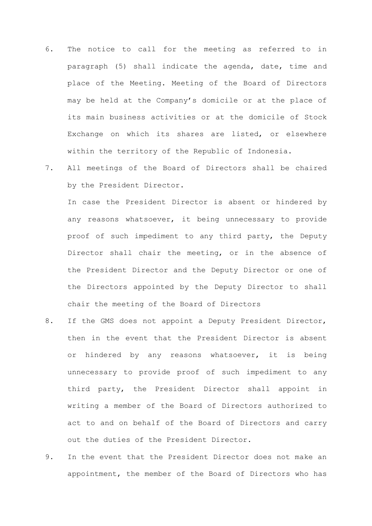- 6. The notice to call for the meeting as referred to in paragraph (5) shall indicate the agenda, date, time and place of the Meeting. Meeting of the Board of Directors may be held at the Company's domicile or at the place of its main business activities or at the domicile of Stock Exchange on which its shares are listed, or elsewhere within the territory of the Republic of Indonesia.
- 7. All meetings of the Board of Directors shall be chaired by the President Director.

In case the President Director is absent or hindered by any reasons whatsoever, it being unnecessary to provide proof of such impediment to any third party, the Deputy Director shall chair the meeting, or in the absence of the President Director and the Deputy Director or one of the Directors appointed by the Deputy Director to shall chair the meeting of the Board of Directors

- 8. If the GMS does not appoint a Deputy President Director, then in the event that the President Director is absent or hindered by any reasons whatsoever, it is being unnecessary to provide proof of such impediment to any third party, the President Director shall appoint in writing a member of the Board of Directors authorized to act to and on behalf of the Board of Directors and carry out the duties of the President Director.
- 9. In the event that the President Director does not make an appointment, the member of the Board of Directors who has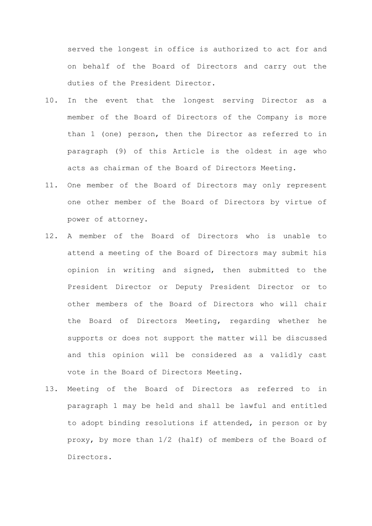served the longest in office is authorized to act for and on behalf of the Board of Directors and carry out the duties of the President Director.

- 10. In the event that the longest serving Director as a member of the Board of Directors of the Company is more than 1 (one) person, then the Director as referred to in paragraph (9) of this Article is the oldest in age who acts as chairman of the Board of Directors Meeting.
- 11. One member of the Board of Directors may only represent one other member of the Board of Directors by virtue of power of attorney.
- 12. A member of the Board of Directors who is unable to attend a meeting of the Board of Directors may submit his opinion in writing and signed, then submitted to the President Director or Deputy President Director or to other members of the Board of Directors who will chair the Board of Directors Meeting, regarding whether he supports or does not support the matter will be discussed and this opinion will be considered as a validly cast vote in the Board of Directors Meeting.
- 13. Meeting of the Board of Directors as referred to in paragraph 1 may be held and shall be lawful and entitled to adopt binding resolutions if attended, in person or by proxy, by more than 1/2 (half) of members of the Board of Directors.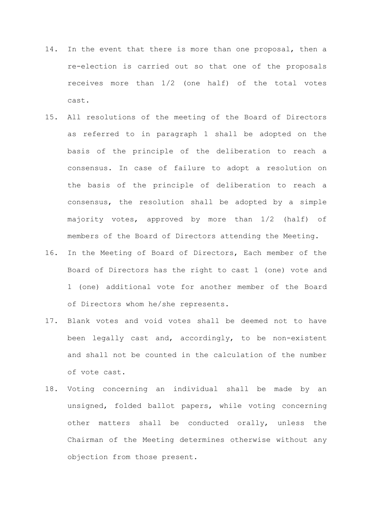- 14. In the event that there is more than one proposal, then a re-election is carried out so that one of the proposals receives more than 1/2 (one half) of the total votes cast.
- 15. All resolutions of the meeting of the Board of Directors as referred to in paragraph 1 shall be adopted on the basis of the principle of the deliberation to reach a consensus. In case of failure to adopt a resolution on the basis of the principle of deliberation to reach a consensus, the resolution shall be adopted by a simple majority votes, approved by more than 1/2 (half) of members of the Board of Directors attending the Meeting.
- 16. In the Meeting of Board of Directors, Each member of the Board of Directors has the right to cast 1 (one) vote and 1 (one) additional vote for another member of the Board of Directors whom he/she represents.
- 17. Blank votes and void votes shall be deemed not to have been legally cast and, accordingly, to be non-existent and shall not be counted in the calculation of the number of vote cast.
- 18. Voting concerning an individual shall be made by an unsigned, folded ballot papers, while voting concerning other matters shall be conducted orally, unless the Chairman of the Meeting determines otherwise without any objection from those present.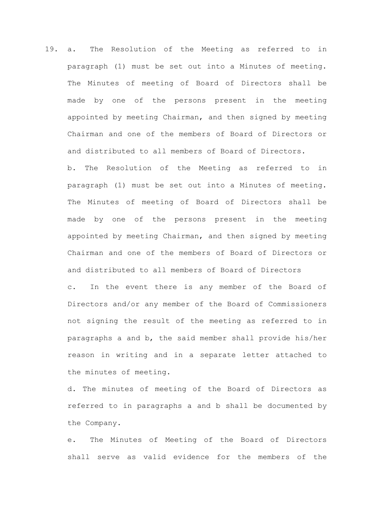19. a. The Resolution of the Meeting as referred to in paragraph (1) must be set out into a Minutes of meeting. The Minutes of meeting of Board of Directors shall be made by one of the persons present in the meeting appointed by meeting Chairman, and then signed by meeting Chairman and one of the members of Board of Directors or and distributed to all members of Board of Directors.

b. The Resolution of the Meeting as referred to in paragraph (1) must be set out into a Minutes of meeting. The Minutes of meeting of Board of Directors shall be made by one of the persons present in the meeting appointed by meeting Chairman, and then signed by meeting Chairman and one of the members of Board of Directors or and distributed to all members of Board of Directors

c. In the event there is any member of the Board of Directors and/or any member of the Board of Commissioners not signing the result of the meeting as referred to in paragraphs a and b, the said member shall provide his/her reason in writing and in a separate letter attached to the minutes of meeting.

d. The minutes of meeting of the Board of Directors as referred to in paragraphs a and b shall be documented by the Company.

e. The Minutes of Meeting of the Board of Directors shall serve as valid evidence for the members of the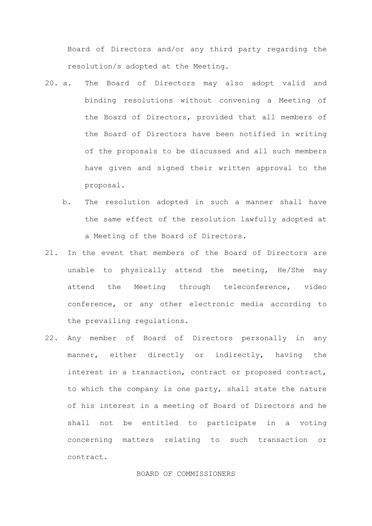Board of Directors and/or any third party regarding the resolution/s adopted at the Meeting.

- 20. a. The Board of Directors may also adopt valid and binding resolutions without convening a Meeting of the Board of Directors, provided that all members of the Board of Directors have been notified in writing of the proposals to be discussed and all such members have given and signed their written approval to the proposal.
	- b. The resolution adopted in such a manner shall have the same effect of the resolution lawfully adopted at a Meeting of the Board of Directors.
- 21. In the event that members of the Board of Directors are unable to physically attend the meeting, He/She may attend the Meeting through teleconference, video conference, or any other electronic media according to the prevailing regulations.
- 22. Any member of Board of Directors personally in any manner, either directly or indirectly, having the interest in a transaction, contract or proposed contract, to which the company is one party, shall state the nature of his interest in a meeting of Board of Directors and he shall not be entitled to participate in a voting concerning matters relating to such transaction or contract.

#### BOARD OF COMMISSIONERS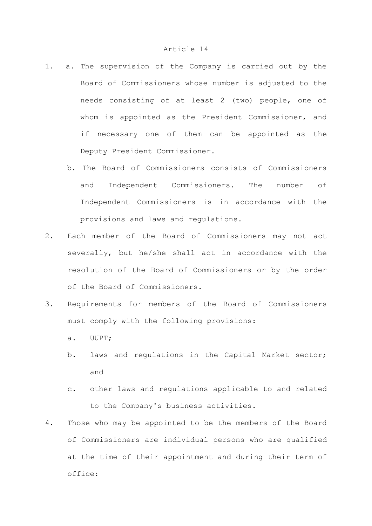- 1. a. The supervision of the Company is carried out by the Board of Commissioners whose number is adjusted to the needs consisting of at least 2 (two) people, one of whom is appointed as the President Commissioner, and if necessary one of them can be appointed as the Deputy President Commissioner.
	- b. The Board of Commissioners consists of Commissioners and Independent Commissioners. The number of Independent Commissioners is in accordance with the provisions and laws and regulations.
- 2. Each member of the Board of Commissioners may not act severally, but he/she shall act in accordance with the resolution of the Board of Commissioners or by the order of the Board of Commissioners.
- 3. Requirements for members of the Board of Commissioners must comply with the following provisions:
	- a. UUPT;
	- b. laws and regulations in the Capital Market sector; and
	- c. other laws and regulations applicable to and related to the Company's business activities.
- 4. Those who may be appointed to be the members of the Board of Commissioners are individual persons who are qualified at the time of their appointment and during their term of office: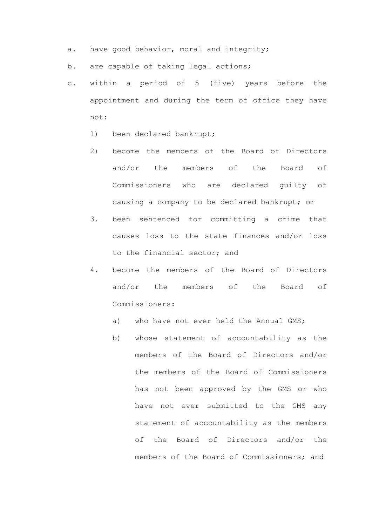- a. have good behavior, moral and integrity;
- b. are capable of taking legal actions;
- c. within a period of 5 (five) years before the appointment and during the term of office they have not:
	- 1) been declared bankrupt;
	- 2) become the members of the Board of Directors and/or the members of the Board of Commissioners who are declared guilty of causing a company to be declared bankrupt; or
	- 3. been sentenced for committing a crime that causes loss to the state finances and/or loss to the financial sector; and
	- 4. become the members of the Board of Directors and/or the members of the Board of Commissioners:
		- a) who have not ever held the Annual GMS;
		- b) whose statement of accountability as the members of the Board of Directors and/or the members of the Board of Commissioners has not been approved by the GMS or who have not ever submitted to the GMS any statement of accountability as the members of the Board of Directors and/or the members of the Board of Commissioners; and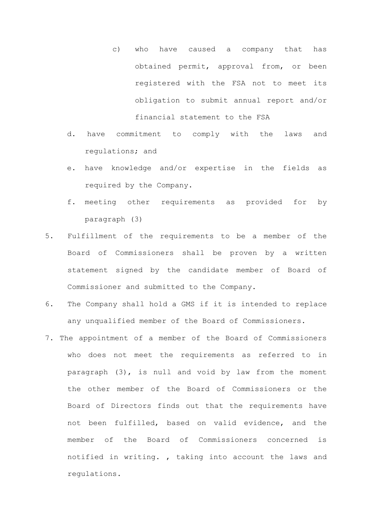- c) who have caused a company that has obtained permit, approval from, or been registered with the FSA not to meet its obligation to submit annual report and/or financial statement to the FSA
- d. have commitment to comply with the laws and regulations; and
- e. have knowledge and/or expertise in the fields as required by the Company.
- f. meeting other requirements as provided for by paragraph (3)
- 5. Fulfillment of the requirements to be a member of the Board of Commissioners shall be proven by a written statement signed by the candidate member of Board of Commissioner and submitted to the Company.
- 6. The Company shall hold a GMS if it is intended to replace any unqualified member of the Board of Commissioners.
- 7. The appointment of a member of the Board of Commissioners who does not meet the requirements as referred to in paragraph (3), is null and void by law from the moment the other member of the Board of Commissioners or the Board of Directors finds out that the requirements have not been fulfilled, based on valid evidence, and the member of the Board of Commissioners concerned is notified in writing. , taking into account the laws and regulations.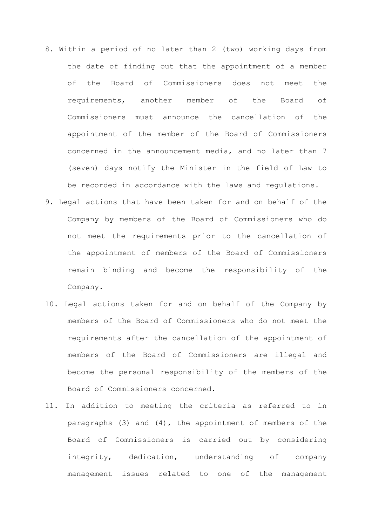- 8. Within a period of no later than 2 (two) working days from the date of finding out that the appointment of a member of the Board of Commissioners does not meet the requirements, another member of the Board of Commissioners must announce the cancellation of the appointment of the member of the Board of Commissioners concerned in the announcement media, and no later than 7 (seven) days notify the Minister in the field of Law to be recorded in accordance with the laws and regulations.
- 9. Legal actions that have been taken for and on behalf of the Company by members of the Board of Commissioners who do not meet the requirements prior to the cancellation of the appointment of members of the Board of Commissioners remain binding and become the responsibility of the Company.
- 10. Legal actions taken for and on behalf of the Company by members of the Board of Commissioners who do not meet the requirements after the cancellation of the appointment of members of the Board of Commissioners are illegal and become the personal responsibility of the members of the Board of Commissioners concerned.
- 11. In addition to meeting the criteria as referred to in paragraphs (3) and (4), the appointment of members of the Board of Commissioners is carried out by considering integrity, dedication, understanding of company management issues related to one of the management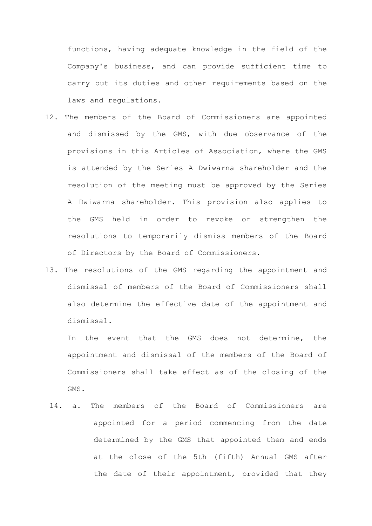functions, having adequate knowledge in the field of the Company's business, and can provide sufficient time to carry out its duties and other requirements based on the laws and regulations.

- 12. The members of the Board of Commissioners are appointed and dismissed by the GMS, with due observance of the provisions in this Articles of Association, where the GMS is attended by the Series A Dwiwarna shareholder and the resolution of the meeting must be approved by the Series A Dwiwarna shareholder. This provision also applies to the GMS held in order to revoke or strengthen the resolutions to temporarily dismiss members of the Board of Directors by the Board of Commissioners.
- 13. The resolutions of the GMS regarding the appointment and dismissal of members of the Board of Commissioners shall also determine the effective date of the appointment and dismissal.

In the event that the GMS does not determine, the appointment and dismissal of the members of the Board of Commissioners shall take effect as of the closing of the GMS.

14. a. The members of the Board of Commissioners are appointed for a period commencing from the date determined by the GMS that appointed them and ends at the close of the 5th (fifth) Annual GMS after the date of their appointment, provided that they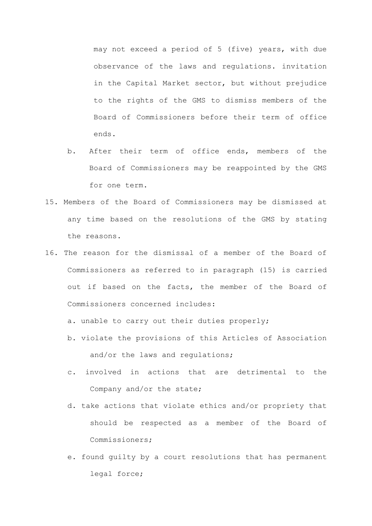may not exceed a period of 5 (five) years, with due observance of the laws and regulations. invitation in the Capital Market sector, but without prejudice to the rights of the GMS to dismiss members of the Board of Commissioners before their term of office ends.

- b. After their term of office ends, members of the Board of Commissioners may be reappointed by the GMS for one term.
- 15. Members of the Board of Commissioners may be dismissed at any time based on the resolutions of the GMS by stating the reasons.
- 16. The reason for the dismissal of a member of the Board of Commissioners as referred to in paragraph (15) is carried out if based on the facts, the member of the Board of Commissioners concerned includes:
	- a. unable to carry out their duties properly;
	- b. violate the provisions of this Articles of Association and/or the laws and regulations;
	- c. involved in actions that are detrimental to the Company and/or the state;
	- d. take actions that violate ethics and/or propriety that should be respected as a member of the Board of Commissioners;
	- e. found guilty by a court resolutions that has permanent legal force;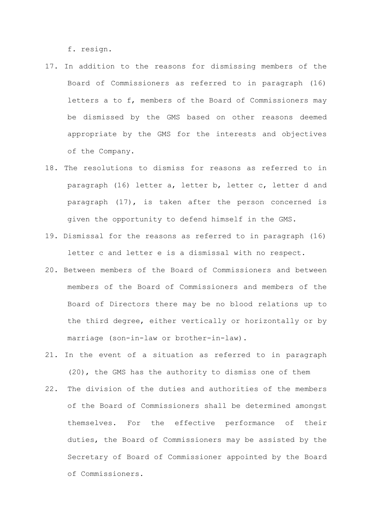f. resign.

- 17. In addition to the reasons for dismissing members of the Board of Commissioners as referred to in paragraph (16) letters a to f, members of the Board of Commissioners may be dismissed by the GMS based on other reasons deemed appropriate by the GMS for the interests and objectives of the Company.
- 18. The resolutions to dismiss for reasons as referred to in paragraph (16) letter a, letter b, letter c, letter d and paragraph (17), is taken after the person concerned is given the opportunity to defend himself in the GMS.
- 19. Dismissal for the reasons as referred to in paragraph (16) letter c and letter e is a dismissal with no respect.
- 20. Between members of the Board of Commissioners and between members of the Board of Commissioners and members of the Board of Directors there may be no blood relations up to the third degree, either vertically or horizontally or by marriage (son-in-law or brother-in-law).
- 21. In the event of a situation as referred to in paragraph (20), the GMS has the authority to dismiss one of them
- 22. The division of the duties and authorities of the members of the Board of Commissioners shall be determined amongst themselves. For the effective performance of their duties, the Board of Commissioners may be assisted by the Secretary of Board of Commissioner appointed by the Board of Commissioners.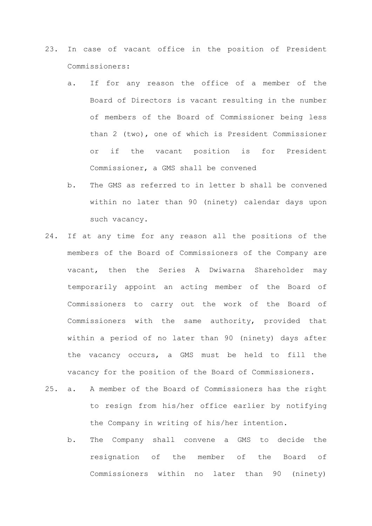- 23. In case of vacant office in the position of President Commissioners:
	- a. If for any reason the office of a member of the Board of Directors is vacant resulting in the number of members of the Board of Commissioner being less than 2 (two), one of which is President Commissioner or if the vacant position is for President Commissioner, a GMS shall be convened
	- b. The GMS as referred to in letter b shall be convened within no later than 90 (ninety) calendar days upon such vacancy.
- 24. If at any time for any reason all the positions of the members of the Board of Commissioners of the Company are vacant, then the Series A Dwiwarna Shareholder may temporarily appoint an acting member of the Board of Commissioners to carry out the work of the Board of Commissioners with the same authority, provided that within a period of no later than 90 (ninety) days after the vacancy occurs, a GMS must be held to fill the vacancy for the position of the Board of Commissioners.
- 25. a. A member of the Board of Commissioners has the right to resign from his/her office earlier by notifying the Company in writing of his/her intention.
	- b. The Company shall convene a GMS to decide the resignation of the member of the Board of Commissioners within no later than 90 (ninety)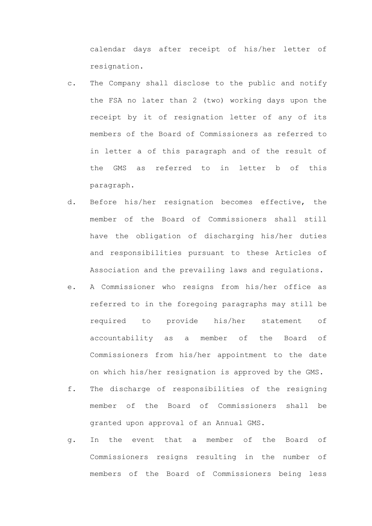calendar days after receipt of his/her letter of resignation.

- c. The Company shall disclose to the public and notify the FSA no later than 2 (two) working days upon the receipt by it of resignation letter of any of its members of the Board of Commissioners as referred to in letter a of this paragraph and of the result of the GMS as referred to in letter b of this paragraph.
- d. Before his/her resignation becomes effective, the member of the Board of Commissioners shall still have the obligation of discharging his/her duties and responsibilities pursuant to these Articles of Association and the prevailing laws and regulations.
- e. A Commissioner who resigns from his/her office as referred to in the foregoing paragraphs may still be required to provide his/her statement of accountability as a member of the Board of Commissioners from his/her appointment to the date on which his/her resignation is approved by the GMS.
- f. The discharge of responsibilities of the resigning member of the Board of Commissioners shall be granted upon approval of an Annual GMS.
- g. In the event that a member of the Board of Commissioners resigns resulting in the number of members of the Board of Commissioners being less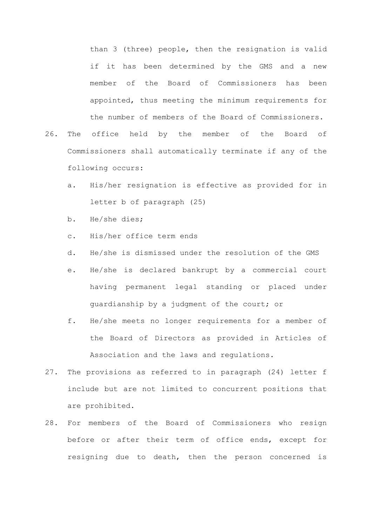than 3 (three) people, then the resignation is valid if it has been determined by the GMS and a new member of the Board of Commissioners has been appointed, thus meeting the minimum requirements for the number of members of the Board of Commissioners.

- 26. The office held by the member of the Board of Commissioners shall automatically terminate if any of the following occurs:
	- a. His/her resignation is effective as provided for in letter b of paragraph (25)
	- b. He/she dies;
	- c. His/her office term ends
	- d. He/she is dismissed under the resolution of the GMS
	- e. He/she is declared bankrupt by a commercial court having permanent legal standing or placed under guardianship by a judgment of the court; or
	- f. He/she meets no longer requirements for a member of the Board of Directors as provided in Articles of Association and the laws and regulations.
- 27. The provisions as referred to in paragraph (24) letter f include but are not limited to concurrent positions that are prohibited.
- 28. For members of the Board of Commissioners who resign before or after their term of office ends, except for resigning due to death, then the person concerned is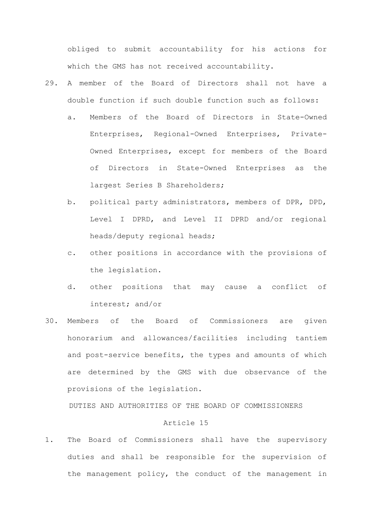obliged to submit accountability for his actions for which the GMS has not received accountability.

- 29. A member of the Board of Directors shall not have a double function if such double function such as follows:
	- a. Members of the Board of Directors in State-Owned Enterprises, Regional-Owned Enterprises, Private-Owned Enterprises, except for members of the Board of Directors in State-Owned Enterprises as the largest Series B Shareholders;
	- b. political party administrators, members of DPR, DPD, Level I DPRD, and Level II DPRD and/or regional heads/deputy regional heads;
	- c. other positions in accordance with the provisions of the legislation.
	- d. other positions that may cause a conflict of interest; and/or
- 30. Members of the Board of Commissioners are given honorarium and allowances/facilities including tantiem and post-service benefits, the types and amounts of which are determined by the GMS with due observance of the provisions of the legislation.

DUTIES AND AUTHORITIES OF THE BOARD OF COMMISSIONERS

### Article 15

1. The Board of Commissioners shall have the supervisory duties and shall be responsible for the supervision of the management policy, the conduct of the management in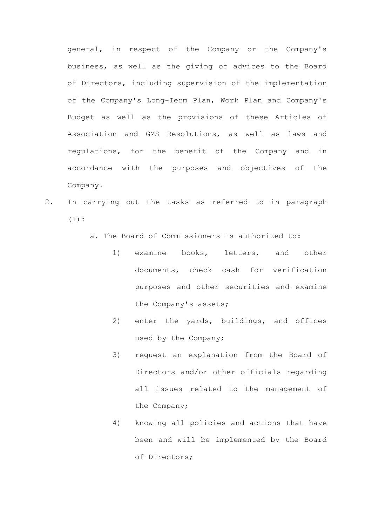general, in respect of the Company or the Company's business, as well as the giving of advices to the Board of Directors, including supervision of the implementation of the Company's Long-Term Plan, Work Plan and Company's Budget as well as the provisions of these Articles of Association and GMS Resolutions, as well as laws and regulations, for the benefit of the Company and in accordance with the purposes and objectives of the Company.

- 2. In carrying out the tasks as referred to in paragraph  $(1):$ 
	- a. The Board of Commissioners is authorized to:
		- 1) examine books, letters, and other documents, check cash for verification purposes and other securities and examine the Company's assets;
		- 2) enter the yards, buildings, and offices used by the Company;
		- 3) request an explanation from the Board of Directors and/or other officials regarding all issues related to the management of the Company;
		- 4) knowing all policies and actions that have been and will be implemented by the Board of Directors;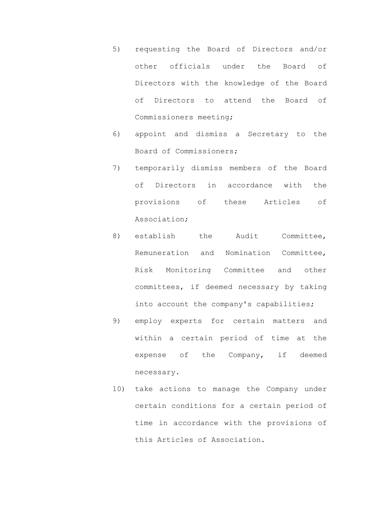- 5) requesting the Board of Directors and/or other officials under the Board of Directors with the knowledge of the Board of Directors to attend the Board of Commissioners meeting;
- 6) appoint and dismiss a Secretary to the Board of Commissioners;
- 7) temporarily dismiss members of the Board of Directors in accordance with the provisions of these Articles of Association;
- 8) establish the Audit Committee, Remuneration and Nomination Committee, Risk Monitoring Committee and other committees, if deemed necessary by taking into account the company's capabilities;
- 9) employ experts for certain matters and within a certain period of time at the expense of the Company, if deemed necessary.
- 10) take actions to manage the Company under certain conditions for a certain period of time in accordance with the provisions of this Articles of Association.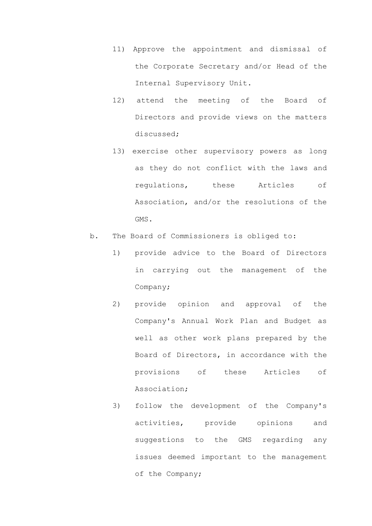- 11) Approve the appointment and dismissal of the Corporate Secretary and/or Head of the Internal Supervisory Unit.
- 12) attend the meeting of the Board of Directors and provide views on the matters discussed;
- 13) exercise other supervisory powers as long as they do not conflict with the laws and regulations, these Articles of Association, and/or the resolutions of the GMS.
- b. The Board of Commissioners is obliged to:
	- 1) provide advice to the Board of Directors in carrying out the management of the Company;
	- 2) provide opinion and approval of the Company's Annual Work Plan and Budget as well as other work plans prepared by the Board of Directors, in accordance with the provisions of these Articles of Association;
	- 3) follow the development of the Company's activities, provide opinions and suggestions to the GMS regarding any issues deemed important to the management of the Company;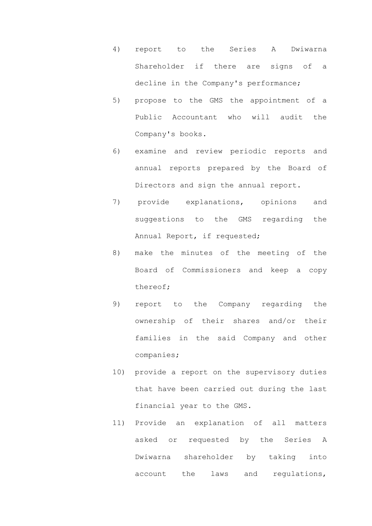- 4) report to the Series A Dwiwarna Shareholder if there are signs of a decline in the Company's performance;
- 5) propose to the GMS the appointment of a Public Accountant who will audit the Company's books.
- 6) examine and review periodic reports and annual reports prepared by the Board of Directors and sign the annual report.
- 7) provide explanations, opinions and suggestions to the GMS regarding the Annual Report, if requested;
- 8) make the minutes of the meeting of the Board of Commissioners and keep a copy thereof;
- 9) report to the Company regarding the ownership of their shares and/or their families in the said Company and other companies;
- 10) provide a report on the supervisory duties that have been carried out during the last financial year to the GMS.
- 11) Provide an explanation of all matters asked or requested by the Series A Dwiwarna shareholder by taking into account the laws and regulations,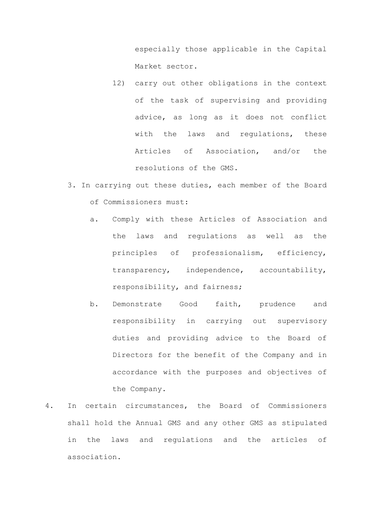especially those applicable in the Capital Market sector.

- 12) carry out other obligations in the context of the task of supervising and providing advice, as long as it does not conflict with the laws and requlations, these Articles of Association, and/or the resolutions of the GMS.
- 3. In carrying out these duties, each member of the Board of Commissioners must:
	- a. Comply with these Articles of Association and the laws and regulations as well as the principles of professionalism, efficiency, transparency, independence, accountability, responsibility, and fairness;
	- b. Demonstrate Good faith, prudence and responsibility in carrying out supervisory duties and providing advice to the Board of Directors for the benefit of the Company and in accordance with the purposes and objectives of the Company.
- 4. In certain circumstances, the Board of Commissioners shall hold the Annual GMS and any other GMS as stipulated in the laws and regulations and the articles of association.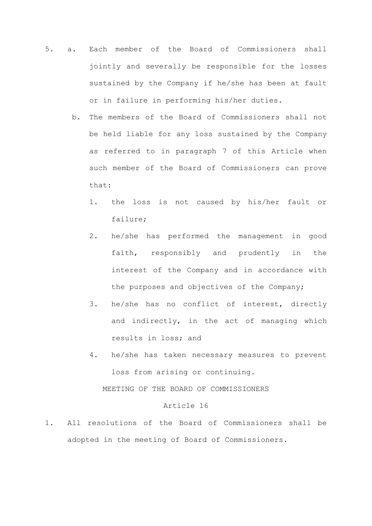- 5. a. Each member of the Board of Commissioners shall jointly and severally be responsible for the losses sustained by the Company if he/she has been at fault or in failure in performing his/her duties.
	- b. The members of the Board of Commissioners shall not be held liable for any loss sustained by the Company as referred to in paragraph 7 of this Article when such member of the Board of Commissioners can prove that:
		- 1. the loss is not caused by his/her fault or failure;
		- 2. he/she has performed the management in good faith, responsibly and prudently in the interest of the Company and in accordance with the purposes and objectives of the Company;
		- 3. he/she has no conflict of interest, directly and indirectly, in the act of managing which results in loss; and
		- 4. he/she has taken necessary measures to prevent loss from arising or continuing. MEETING OF THE BOARD OF COMMISSIONERS

#### Article 16

1. All resolutions of the Board of Commissioners shall be adopted in the meeting of Board of Commissioners.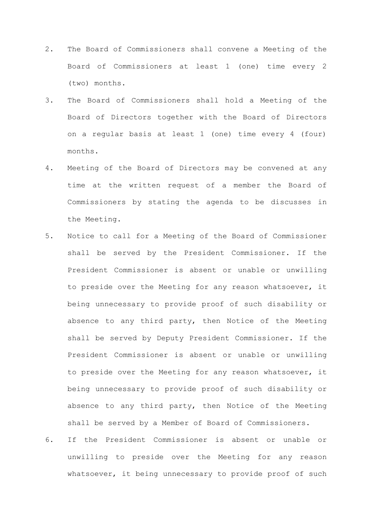- 2. The Board of Commissioners shall convene a Meeting of the Board of Commissioners at least 1 (one) time every 2 (two) months.
- 3. The Board of Commissioners shall hold a Meeting of the Board of Directors together with the Board of Directors on a regular basis at least 1 (one) time every 4 (four) months.
- 4. Meeting of the Board of Directors may be convened at any time at the written request of a member the Board of Commissioners by stating the agenda to be discusses in the Meeting.
- 5. Notice to call for a Meeting of the Board of Commissioner shall be served by the President Commissioner. If the President Commissioner is absent or unable or unwilling to preside over the Meeting for any reason whatsoever, it being unnecessary to provide proof of such disability or absence to any third party, then Notice of the Meeting shall be served by Deputy President Commissioner. If the President Commissioner is absent or unable or unwilling to preside over the Meeting for any reason whatsoever, it being unnecessary to provide proof of such disability or absence to any third party, then Notice of the Meeting shall be served by a Member of Board of Commissioners.
- 6. If the President Commissioner is absent or unable or unwilling to preside over the Meeting for any reason whatsoever, it being unnecessary to provide proof of such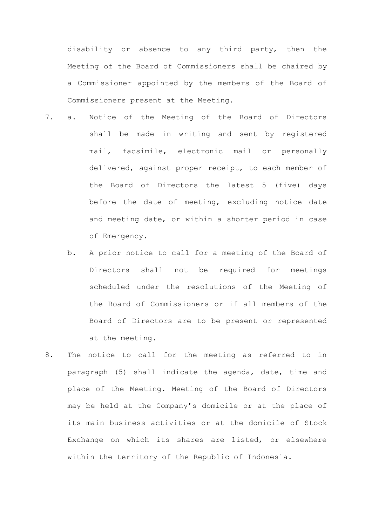disability or absence to any third party, then the Meeting of the Board of Commissioners shall be chaired by a Commissioner appointed by the members of the Board of Commissioners present at the Meeting.

- 7. a. Notice of the Meeting of the Board of Directors shall be made in writing and sent by registered mail, facsimile, electronic mail or personally delivered, against proper receipt, to each member of the Board of Directors the latest 5 (five) days before the date of meeting, excluding notice date and meeting date, or within a shorter period in case of Emergency.
	- b. A prior notice to call for a meeting of the Board of Directors shall not be required for meetings scheduled under the resolutions of the Meeting of the Board of Commissioners or if all members of the Board of Directors are to be present or represented at the meeting.
- 8. The notice to call for the meeting as referred to in paragraph (5) shall indicate the agenda, date, time and place of the Meeting. Meeting of the Board of Directors may be held at the Company's domicile or at the place of its main business activities or at the domicile of Stock Exchange on which its shares are listed, or elsewhere within the territory of the Republic of Indonesia.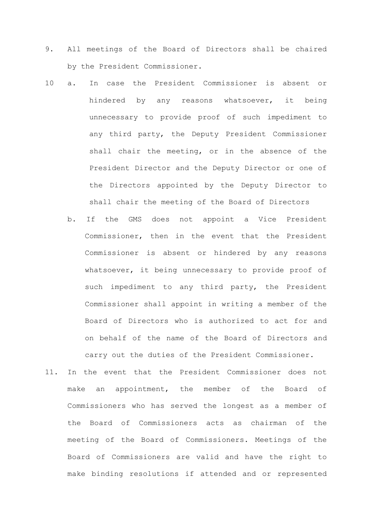- 9. All meetings of the Board of Directors shall be chaired by the President Commissioner.
- 10 a. In case the President Commissioner is absent or hindered by any reasons whatsoever, it being unnecessary to provide proof of such impediment to any third party, the Deputy President Commissioner shall chair the meeting, or in the absence of the President Director and the Deputy Director or one of the Directors appointed by the Deputy Director to shall chair the meeting of the Board of Directors
	- b. If the GMS does not appoint a Vice President Commissioner, then in the event that the President Commissioner is absent or hindered by any reasons whatsoever, it being unnecessary to provide proof of such impediment to any third party, the President Commissioner shall appoint in writing a member of the Board of Directors who is authorized to act for and on behalf of the name of the Board of Directors and carry out the duties of the President Commissioner.
- 11. In the event that the President Commissioner does not make an appointment, the member of the Board of Commissioners who has served the longest as a member of the Board of Commissioners acts as chairman of the meeting of the Board of Commissioners. Meetings of the Board of Commissioners are valid and have the right to make binding resolutions if attended and or represented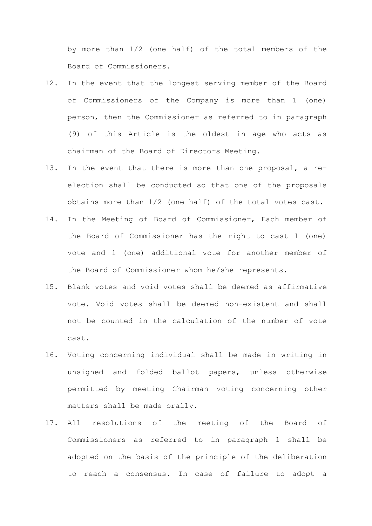by more than 1/2 (one half) of the total members of the Board of Commissioners.

- 12. In the event that the longest serving member of the Board of Commissioners of the Company is more than 1 (one) person, then the Commissioner as referred to in paragraph (9) of this Article is the oldest in age who acts as chairman of the Board of Directors Meeting.
- 13. In the event that there is more than one proposal, a reelection shall be conducted so that one of the proposals obtains more than 1/2 (one half) of the total votes cast.
- 14. In the Meeting of Board of Commissioner, Each member of the Board of Commissioner has the right to cast 1 (one) vote and 1 (one) additional vote for another member of the Board of Commissioner whom he/she represents.
- 15. Blank votes and void votes shall be deemed as affirmative vote. Void votes shall be deemed non-existent and shall not be counted in the calculation of the number of vote cast.
- 16. Voting concerning individual shall be made in writing in unsigned and folded ballot papers, unless otherwise permitted by meeting Chairman voting concerning other matters shall be made orally.
- 17. All resolutions of the meeting of the Board of Commissioners as referred to in paragraph 1 shall be adopted on the basis of the principle of the deliberation to reach a consensus. In case of failure to adopt a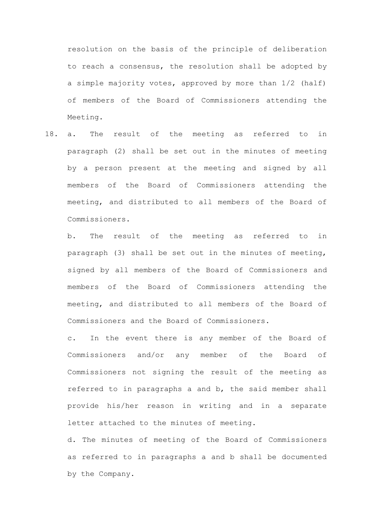resolution on the basis of the principle of deliberation to reach a consensus, the resolution shall be adopted by a simple majority votes, approved by more than 1/2 (half) of members of the Board of Commissioners attending the Meeting.

18. a. The result of the meeting as referred to in paragraph (2) shall be set out in the minutes of meeting by a person present at the meeting and signed by all members of the Board of Commissioners attending the meeting, and distributed to all members of the Board of Commissioners.

b. The result of the meeting as referred to in paragraph (3) shall be set out in the minutes of meeting, signed by all members of the Board of Commissioners and members of the Board of Commissioners attending the meeting, and distributed to all members of the Board of Commissioners and the Board of Commissioners.

c. In the event there is any member of the Board of Commissioners and/or any member of the Board of Commissioners not signing the result of the meeting as referred to in paragraphs a and b, the said member shall provide his/her reason in writing and in a separate letter attached to the minutes of meeting.

d. The minutes of meeting of the Board of Commissioners as referred to in paragraphs a and b shall be documented by the Company.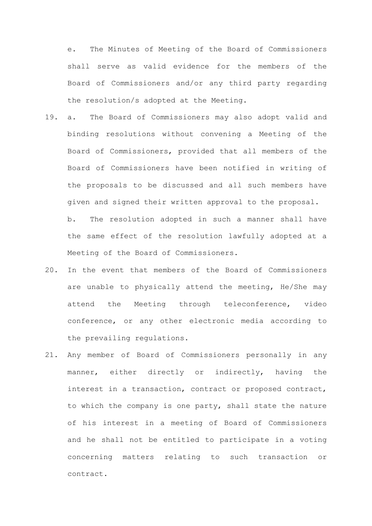e. The Minutes of Meeting of the Board of Commissioners shall serve as valid evidence for the members of the Board of Commissioners and/or any third party regarding the resolution/s adopted at the Meeting.

- 19. a. The Board of Commissioners may also adopt valid and binding resolutions without convening a Meeting of the Board of Commissioners, provided that all members of the Board of Commissioners have been notified in writing of the proposals to be discussed and all such members have given and signed their written approval to the proposal. b. The resolution adopted in such a manner shall have the same effect of the resolution lawfully adopted at a Meeting of the Board of Commissioners.
- 20. In the event that members of the Board of Commissioners are unable to physically attend the meeting, He/She may attend the Meeting through teleconference, video conference, or any other electronic media according to the prevailing regulations.
- 21. Any member of Board of Commissioners personally in any manner, either directly or indirectly, having the interest in a transaction, contract or proposed contract, to which the company is one party, shall state the nature of his interest in a meeting of Board of Commissioners and he shall not be entitled to participate in a voting concerning matters relating to such transaction or contract.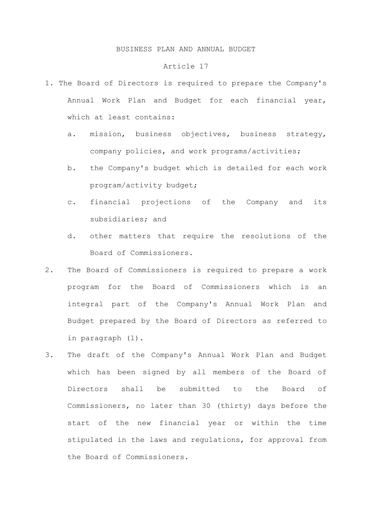#### BUSINESS PLAN AND ANNUAL BUDGET

#### Article 17

- 1. The Board of Directors is required to prepare the Company's Annual Work Plan and Budget for each financial year, which at least contains:
	- a. mission, business objectives, business strategy, company policies, and work programs/activities;
	- b. the Company's budget which is detailed for each work program/activity budget;
	- c. financial projections of the Company and its subsidiaries; and
	- d. other matters that require the resolutions of the Board of Commissioners.
- 2. The Board of Commissioners is required to prepare a work program for the Board of Commissioners which is an integral part of the Company's Annual Work Plan and Budget prepared by the Board of Directors as referred to in paragraph (1).
- 3. The draft of the Company's Annual Work Plan and Budget which has been signed by all members of the Board of Directors shall be submitted to the Board of Commissioners, no later than 30 (thirty) days before the start of the new financial year or within the time stipulated in the laws and regulations, for approval from the Board of Commissioners.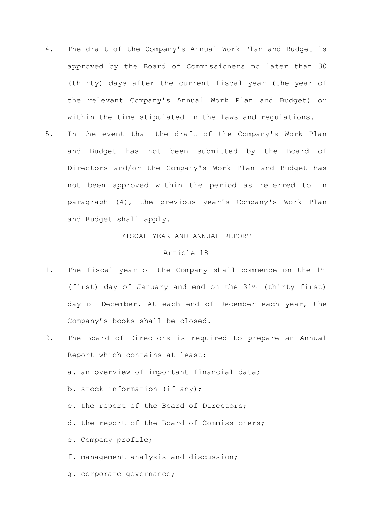- 4. The draft of the Company's Annual Work Plan and Budget is approved by the Board of Commissioners no later than 30 (thirty) days after the current fiscal year (the year of the relevant Company's Annual Work Plan and Budget) or within the time stipulated in the laws and regulations.
- 5. In the event that the draft of the Company's Work Plan and Budget has not been submitted by the Board of Directors and/or the Company's Work Plan and Budget has not been approved within the period as referred to in paragraph (4), the previous year's Company's Work Plan and Budget shall apply.

# FISCAL YEAR AND ANNUAL REPORT

#### Article 18

- 1. The fiscal year of the Company shall commence on the 1st (first) day of January and end on the 31st (thirty first) day of December. At each end of December each year, the Company's books shall be closed.
- 2. The Board of Directors is required to prepare an Annual Report which contains at least:
	- a. an overview of important financial data;
	- b. stock information (if any);
	- c. the report of the Board of Directors;
	- d. the report of the Board of Commissioners;
	- e. Company profile;
	- f. management analysis and discussion;
	- g. corporate governance;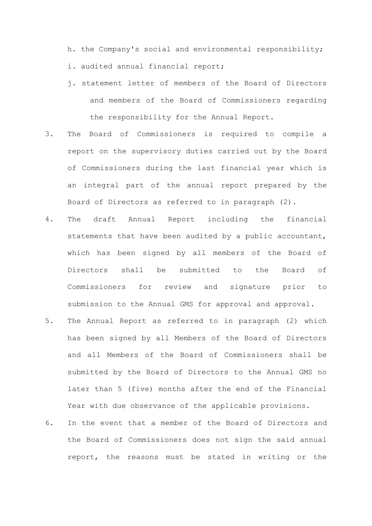h. the Company's social and environmental responsibility;

- i. audited annual financial report;
- j. statement letter of members of the Board of Directors and members of the Board of Commissioners regarding the responsibility for the Annual Report.
- 3. The Board of Commissioners is required to compile a report on the supervisory duties carried out by the Board of Commissioners during the last financial year which is an integral part of the annual report prepared by the Board of Directors as referred to in paragraph (2).
- 4. The draft Annual Report including the financial statements that have been audited by a public accountant, which has been signed by all members of the Board of Directors shall be submitted to the Board of Commissioners for review and signature prior to submission to the Annual GMS for approval and approval.
- 5. The Annual Report as referred to in paragraph (2) which has been signed by all Members of the Board of Directors and all Members of the Board of Commissioners shall be submitted by the Board of Directors to the Annual GMS no later than 5 (five) months after the end of the Financial Year with due observance of the applicable provisions.
- 6. In the event that a member of the Board of Directors and the Board of Commissioners does not sign the said annual report, the reasons must be stated in writing or the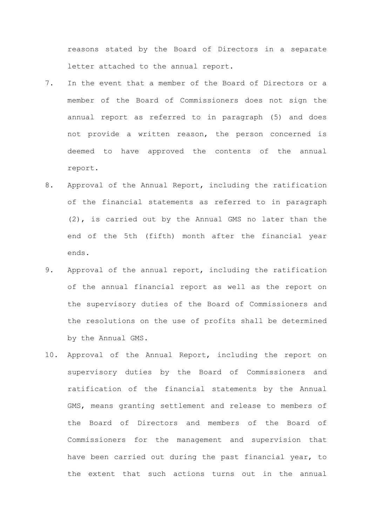reasons stated by the Board of Directors in a separate letter attached to the annual report.

- 7. In the event that a member of the Board of Directors or a member of the Board of Commissioners does not sign the annual report as referred to in paragraph (5) and does not provide a written reason, the person concerned is deemed to have approved the contents of the annual report.
- 8. Approval of the Annual Report, including the ratification of the financial statements as referred to in paragraph (2), is carried out by the Annual GMS no later than the end of the 5th (fifth) month after the financial year ends.
- 9. Approval of the annual report, including the ratification of the annual financial report as well as the report on the supervisory duties of the Board of Commissioners and the resolutions on the use of profits shall be determined by the Annual GMS.
- 10. Approval of the Annual Report, including the report on supervisory duties by the Board of Commissioners and ratification of the financial statements by the Annual GMS, means granting settlement and release to members of the Board of Directors and members of the Board of Commissioners for the management and supervision that have been carried out during the past financial year, to the extent that such actions turns out in the annual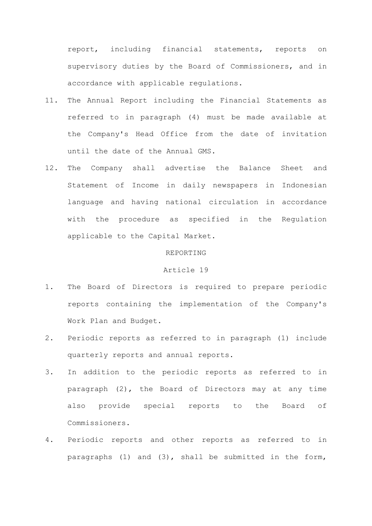report, including financial statements, reports on supervisory duties by the Board of Commissioners, and in accordance with applicable regulations.

- 11. The Annual Report including the Financial Statements as referred to in paragraph (4) must be made available at the Company's Head Office from the date of invitation until the date of the Annual GMS.
- 12. The Company shall advertise the Balance Sheet and Statement of Income in daily newspapers in Indonesian language and having national circulation in accordance with the procedure as specified in the Regulation applicable to the Capital Market.

## REPORTING

## Article 19

- 1. The Board of Directors is required to prepare periodic reports containing the implementation of the Company's Work Plan and Budget.
- 2. Periodic reports as referred to in paragraph (1) include quarterly reports and annual reports.
- 3. In addition to the periodic reports as referred to in paragraph (2), the Board of Directors may at any time also provide special reports to the Board of Commissioners.
- 4. Periodic reports and other reports as referred to in paragraphs (1) and (3), shall be submitted in the form,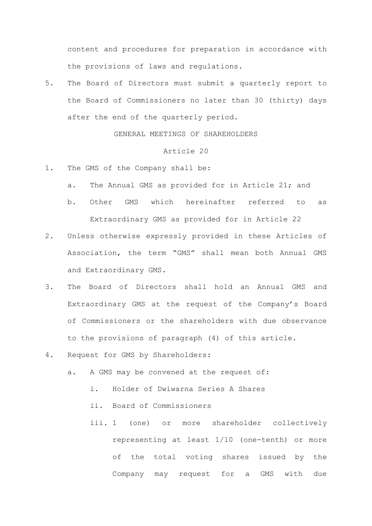content and procedures for preparation in accordance with the provisions of laws and regulations.

5. The Board of Directors must submit a quarterly report to the Board of Commissioners no later than 30 (thirty) days after the end of the quarterly period.

GENERAL MEETINGS OF SHAREHOLDERS

- 1. The GMS of the Company shall be:
	- a. The Annual GMS as provided for in Article 21; and
	- b. Other GMS which hereinafter referred to as Extraordinary GMS as provided for in Article 22
- 2. Unless otherwise expressly provided in these Articles of Association, the term "GMS" shall mean both Annual GMS and Extraordinary GMS.
- 3. The Board of Directors shall hold an Annual GMS and Extraordinary GMS at the request of the Company's Board of Commissioners or the shareholders with due observance to the provisions of paragraph (4) of this article.
- 4. Request for GMS by Shareholders:
	- a. A GMS may be convened at the request of:
		- i. Holder of Dwiwarna Series A Shares
		- ii. Board of Commissioners
		- iii. 1 (one) or more shareholder collectively representing at least 1/10 (one-tenth) or more of the total voting shares issued by the Company may request for a GMS with due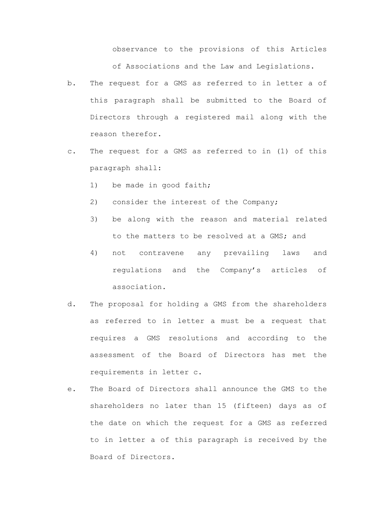observance to the provisions of this Articles of Associations and the Law and Legislations.

- b. The request for a GMS as referred to in letter a of this paragraph shall be submitted to the Board of Directors through a registered mail along with the reason therefor.
- c. The request for a GMS as referred to in (1) of this paragraph shall:
	- 1) be made in good faith;
	- 2) consider the interest of the Company;
	- 3) be along with the reason and material related to the matters to be resolved at a GMS; and
	- 4) not contravene any prevailing laws and regulations and the Company's articles of association.
- d. The proposal for holding a GMS from the shareholders as referred to in letter a must be a request that requires a GMS resolutions and according to the assessment of the Board of Directors has met the requirements in letter c.
- e. The Board of Directors shall announce the GMS to the shareholders no later than 15 (fifteen) days as of the date on which the request for a GMS as referred to in letter a of this paragraph is received by the Board of Directors.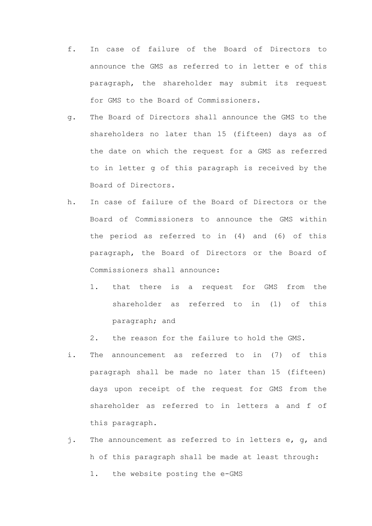- f. In case of failure of the Board of Directors to announce the GMS as referred to in letter e of this paragraph, the shareholder may submit its request for GMS to the Board of Commissioners.
- g. The Board of Directors shall announce the GMS to the shareholders no later than 15 (fifteen) days as of the date on which the request for a GMS as referred to in letter g of this paragraph is received by the Board of Directors.
- h. In case of failure of the Board of Directors or the Board of Commissioners to announce the GMS within the period as referred to in (4) and (6) of this paragraph, the Board of Directors or the Board of Commissioners shall announce:
	- 1. that there is a request for GMS from the shareholder as referred to in (1) of this paragraph; and
	- 2. the reason for the failure to hold the GMS.
- i. The announcement as referred to in (7) of this paragraph shall be made no later than 15 (fifteen) days upon receipt of the request for GMS from the shareholder as referred to in letters a and f of this paragraph.
- j. The announcement as referred to in letters e, g, and h of this paragraph shall be made at least through: 1. the website posting the e-GMS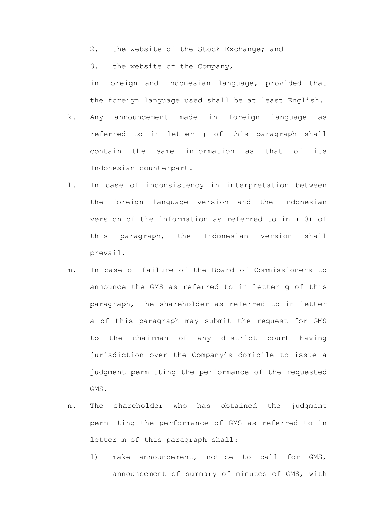2. the website of the Stock Exchange; and

3. the website of the Company,

in foreign and Indonesian language, provided that the foreign language used shall be at least English.

- k. Any announcement made in foreign language as referred to in letter j of this paragraph shall contain the same information as that of its Indonesian counterpart.
- l. In case of inconsistency in interpretation between the foreign language version and the Indonesian version of the information as referred to in (10) of this paragraph, the Indonesian version shall prevail.
- m. In case of failure of the Board of Commissioners to announce the GMS as referred to in letter g of this paragraph, the shareholder as referred to in letter a of this paragraph may submit the request for GMS to the chairman of any district court having jurisdiction over the Company's domicile to issue a judgment permitting the performance of the requested GMS.
- n. The shareholder who has obtained the judgment permitting the performance of GMS as referred to in letter m of this paragraph shall:
	- 1) make announcement, notice to call for GMS, announcement of summary of minutes of GMS, with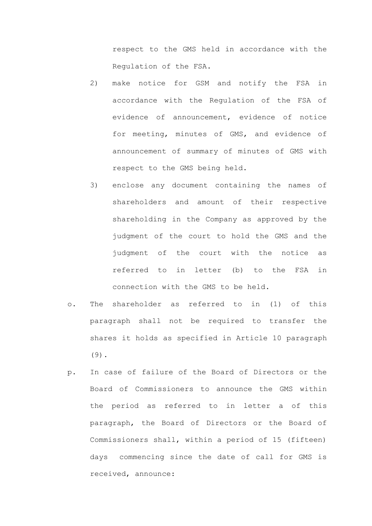respect to the GMS held in accordance with the Regulation of the FSA.

- 2) make notice for GSM and notify the FSA in accordance with the Regulation of the FSA of evidence of announcement, evidence of notice for meeting, minutes of GMS, and evidence of announcement of summary of minutes of GMS with respect to the GMS being held.
- 3) enclose any document containing the names of shareholders and amount of their respective shareholding in the Company as approved by the judgment of the court to hold the GMS and the judgment of the court with the notice as referred to in letter (b) to the FSA in connection with the GMS to be held.
- o. The shareholder as referred to in (1) of this paragraph shall not be required to transfer the shares it holds as specified in Article 10 paragraph (9).
- p. In case of failure of the Board of Directors or the Board of Commissioners to announce the GMS within the period as referred to in letter a of this paragraph, the Board of Directors or the Board of Commissioners shall, within a period of 15 (fifteen) days commencing since the date of call for GMS is received, announce: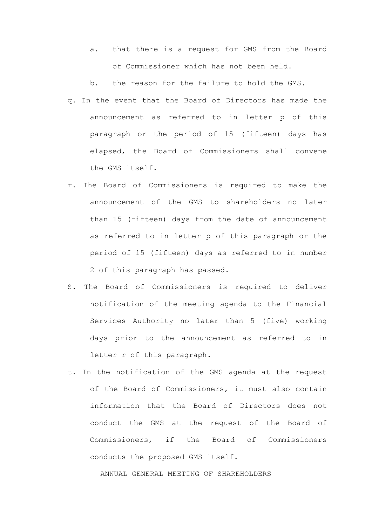- a. that there is a request for GMS from the Board of Commissioner which has not been held.
- b. the reason for the failure to hold the GMS.
- q. In the event that the Board of Directors has made the announcement as referred to in letter p of this paragraph or the period of 15 (fifteen) days has elapsed, the Board of Commissioners shall convene the GMS itself.
- r. The Board of Commissioners is required to make the announcement of the GMS to shareholders no later than 15 (fifteen) days from the date of announcement as referred to in letter p of this paragraph or the period of 15 (fifteen) days as referred to in number 2 of this paragraph has passed.
- S. The Board of Commissioners is required to deliver notification of the meeting agenda to the Financial Services Authority no later than 5 (five) working days prior to the announcement as referred to in letter r of this paragraph.
- t. In the notification of the GMS agenda at the request of the Board of Commissioners, it must also contain information that the Board of Directors does not conduct the GMS at the request of the Board of Commissioners, if the Board of Commissioners conducts the proposed GMS itself.

ANNUAL GENERAL MEETING OF SHAREHOLDERS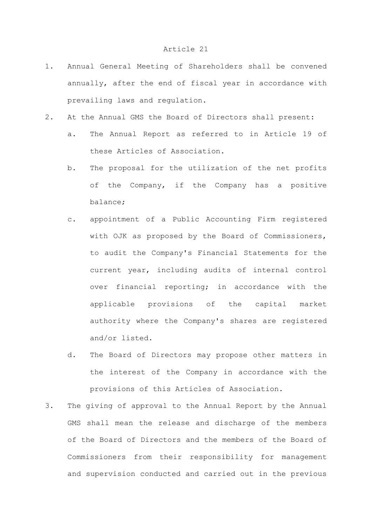- 1. Annual General Meeting of Shareholders shall be convened annually, after the end of fiscal year in accordance with prevailing laws and regulation.
- 2. At the Annual GMS the Board of Directors shall present:
	- a. The Annual Report as referred to in Article 19 of these Articles of Association.
	- b. The proposal for the utilization of the net profits of the Company, if the Company has a positive balance;
	- c. appointment of a Public Accounting Firm registered with OJK as proposed by the Board of Commissioners, to audit the Company's Financial Statements for the current year, including audits of internal control over financial reporting; in accordance with the applicable provisions of the capital market authority where the Company's shares are registered and/or listed.
	- d. The Board of Directors may propose other matters in the interest of the Company in accordance with the provisions of this Articles of Association.
- 3. The giving of approval to the Annual Report by the Annual GMS shall mean the release and discharge of the members of the Board of Directors and the members of the Board of Commissioners from their responsibility for management and supervision conducted and carried out in the previous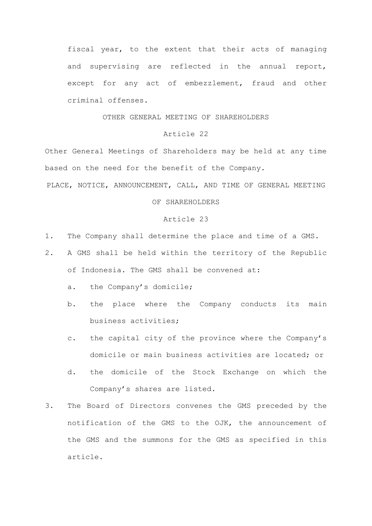fiscal year, to the extent that their acts of managing and supervising are reflected in the annual report, except for any act of embezzlement, fraud and other criminal offenses.

# OTHER GENERAL MEETING OF SHAREHOLDERS

# Article 22

Other General Meetings of Shareholders may be held at any time based on the need for the benefit of the Company.

PLACE, NOTICE, ANNOUNCEMENT, CALL, AND TIME OF GENERAL MEETING

## OF SHAREHOLDERS

- 1. The Company shall determine the place and time of a GMS.
- 2. A GMS shall be held within the territory of the Republic of Indonesia. The GMS shall be convened at:
	- a. the Company's domicile;
	- b. the place where the Company conducts its main business activities;
	- c. the capital city of the province where the Company's domicile or main business activities are located; or
	- d. the domicile of the Stock Exchange on which the Company's shares are listed.
- 3. The Board of Directors convenes the GMS preceded by the notification of the GMS to the OJK, the announcement of the GMS and the summons for the GMS as specified in this article.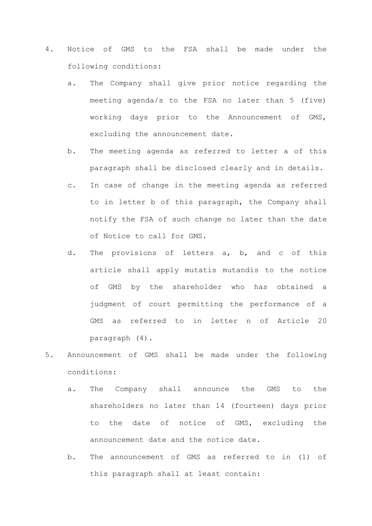- 4. Notice of GMS to the FSA shall be made under the following conditions:
	- a. The Company shall give prior notice regarding the meeting agenda/s to the FSA no later than 5 (five) working days prior to the Announcement of GMS, excluding the announcement date.
	- b. The meeting agenda as referred to letter a of this paragraph shall be disclosed clearly and in details.
	- c. In case of change in the meeting agenda as referred to in letter b of this paragraph, the Company shall notify the FSA of such change no later than the date of Notice to call for GMS.
	- d. The provisions of letters a, b, and c of this article shall apply mutatis mutandis to the notice of GMS by the shareholder who has obtained a judgment of court permitting the performance of a GMS as referred to in letter n of Article 20 paragraph (4).
- 5. Announcement of GMS shall be made under the following conditions:
	- a. The Company shall announce the GMS to the shareholders no later than 14 (fourteen) days prior to the date of notice of GMS, excluding the announcement date and the notice date.
	- b. The announcement of GMS as referred to in (1) of this paragraph shall at least contain: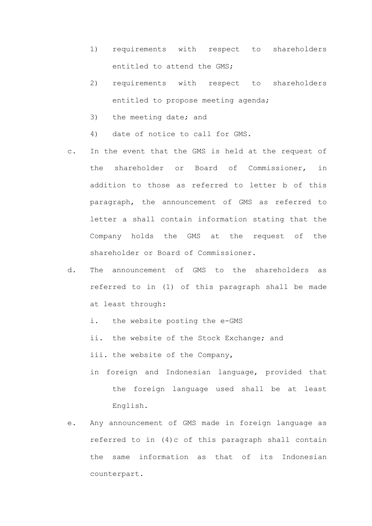- 1) requirements with respect to shareholders entitled to attend the GMS;
- 2) requirements with respect to shareholders entitled to propose meeting agenda;
- 3) the meeting date; and
- 4) date of notice to call for GMS.
- c. In the event that the GMS is held at the request of the shareholder or Board of Commissioner, in addition to those as referred to letter b of this paragraph, the announcement of GMS as referred to letter a shall contain information stating that the Company holds the GMS at the request of the shareholder or Board of Commissioner.
- d. The announcement of GMS to the shareholders as referred to in (1) of this paragraph shall be made at least through:
	- i. the website posting the e-GMS
	- ii. the website of the Stock Exchange; and
	- iii. the website of the Company,
	- in foreign and Indonesian language, provided that the foreign language used shall be at least English.
- e. Any announcement of GMS made in foreign language as referred to in (4)c of this paragraph shall contain the same information as that of its Indonesian counterpart.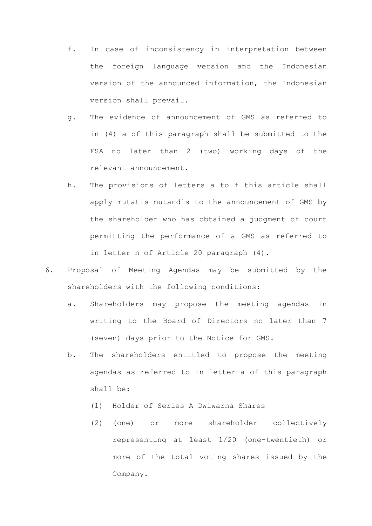- f. In case of inconsistency in interpretation between the foreign language version and the Indonesian version of the announced information, the Indonesian version shall prevail.
- g. The evidence of announcement of GMS as referred to in (4) a of this paragraph shall be submitted to the FSA no later than 2 (two) working days of the relevant announcement.
- h. The provisions of letters a to f this article shall apply mutatis mutandis to the announcement of GMS by the shareholder who has obtained a judgment of court permitting the performance of a GMS as referred to in letter n of Article 20 paragraph (4).
- 6. Proposal of Meeting Agendas may be submitted by the shareholders with the following conditions:
	- a. Shareholders may propose the meeting agendas in writing to the Board of Directors no later than 7 (seven) days prior to the Notice for GMS.
	- b. The shareholders entitled to propose the meeting agendas as referred to in letter a of this paragraph shall be:
		- (1) Holder of Series A Dwiwarna Shares
		- (2) (one) or more shareholder collectively representing at least 1/20 (one-twentieth) or more of the total voting shares issued by the Company.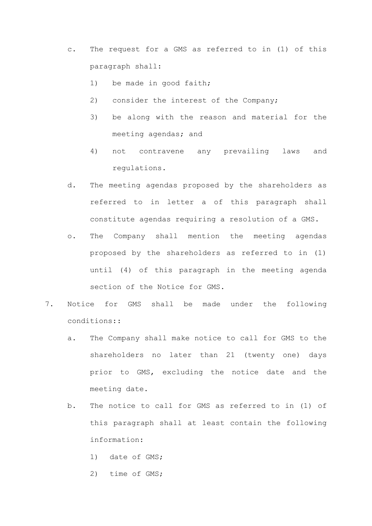- c. The request for a GMS as referred to in (1) of this paragraph shall:
	- 1) be made in good faith;
	- 2) consider the interest of the Company;
	- 3) be along with the reason and material for the meeting agendas; and
	- 4) not contravene any prevailing laws and regulations.
- d. The meeting agendas proposed by the shareholders as referred to in letter a of this paragraph shall constitute agendas requiring a resolution of a GMS.
- o. The Company shall mention the meeting agendas proposed by the shareholders as referred to in (1) until (4) of this paragraph in the meeting agenda section of the Notice for GMS.
- 7. Notice for GMS shall be made under the following conditions::
	- a. The Company shall make notice to call for GMS to the shareholders no later than 21 (twenty one) days prior to GMS, excluding the notice date and the meeting date.
	- b. The notice to call for GMS as referred to in (1) of this paragraph shall at least contain the following information:
		- 1) date of GMS;
		- 2) time of GMS;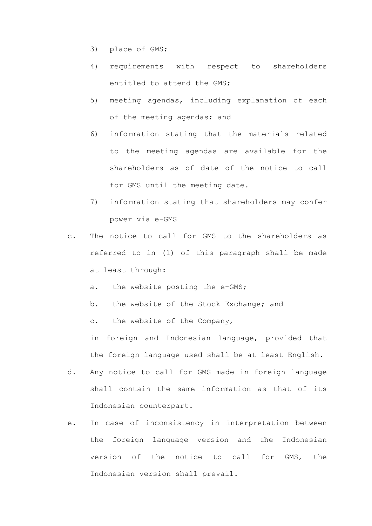- 3) place of GMS;
- 4) requirements with respect to shareholders entitled to attend the GMS;
- 5) meeting agendas, including explanation of each of the meeting agendas; and
- 6) information stating that the materials related to the meeting agendas are available for the shareholders as of date of the notice to call for GMS until the meeting date.
- 7) information stating that shareholders may confer power via e-GMS
- c. The notice to call for GMS to the shareholders as referred to in (1) of this paragraph shall be made at least through:
	- a. the website posting the e-GMS;
	- b. the website of the Stock Exchange; and
	- c. the website of the Company,

in foreign and Indonesian language, provided that the foreign language used shall be at least English.

- d. Any notice to call for GMS made in foreign language shall contain the same information as that of its Indonesian counterpart.
- e. In case of inconsistency in interpretation between the foreign language version and the Indonesian version of the notice to call for GMS, the Indonesian version shall prevail.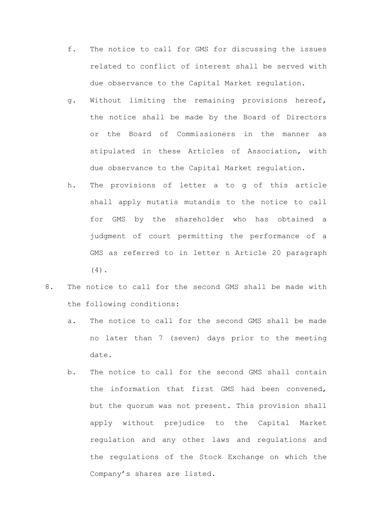- f. The notice to call for GMS for discussing the issues related to conflict of interest shall be served with due observance to the Capital Market regulation.
- g. Without limiting the remaining provisions hereof, the notice shall be made by the Board of Directors or the Board of Commissioners in the manner as stipulated in these Articles of Association, with due observance to the Capital Market regulation.
- h. The provisions of letter a to g of this article shall apply mutatis mutandis to the notice to call for GMS by the shareholder who has obtained a judgment of court permitting the performance of a GMS as referred to in letter n Article 20 paragraph (4).
- 8. The notice to call for the second GMS shall be made with the following conditions:
	- a. The notice to call for the second GMS shall be made no later than 7 (seven) days prior to the meeting date.
	- b. The notice to call for the second GMS shall contain the information that first GMS had been convened, but the quorum was not present. This provision shall apply without prejudice to the Capital Market regulation and any other laws and regulations and the regulations of the Stock Exchange on which the Company's shares are listed.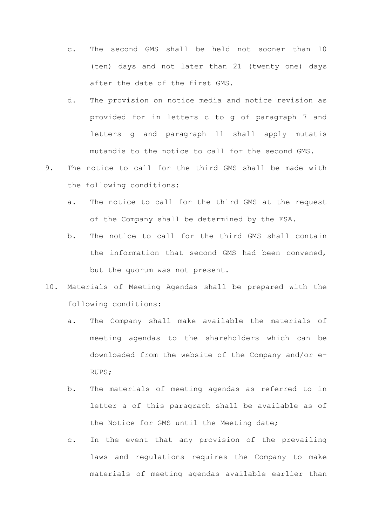- c. The second GMS shall be held not sooner than 10 (ten) days and not later than 21 (twenty one) days after the date of the first GMS.
- d. The provision on notice media and notice revision as provided for in letters c to g of paragraph 7 and letters g and paragraph 11 shall apply mutatis mutandis to the notice to call for the second GMS.
- 9. The notice to call for the third GMS shall be made with the following conditions:
	- a. The notice to call for the third GMS at the request of the Company shall be determined by the FSA.
	- b. The notice to call for the third GMS shall contain the information that second GMS had been convened, but the quorum was not present.
- 10. Materials of Meeting Agendas shall be prepared with the following conditions:
	- a. The Company shall make available the materials of meeting agendas to the shareholders which can be downloaded from the website of the Company and/or e-RUPS;
	- b. The materials of meeting agendas as referred to in letter a of this paragraph shall be available as of the Notice for GMS until the Meeting date;
	- c. In the event that any provision of the prevailing laws and regulations requires the Company to make materials of meeting agendas available earlier than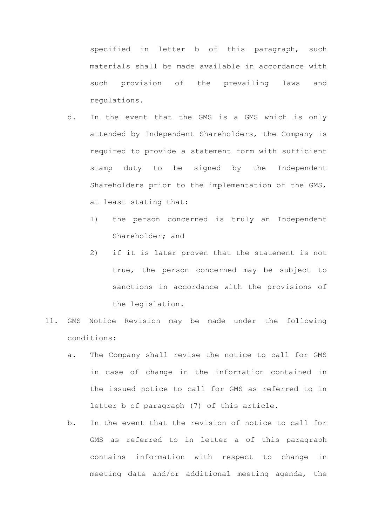specified in letter b of this paragraph, such materials shall be made available in accordance with such provision of the prevailing laws and regulations.

- d. In the event that the GMS is a GMS which is only attended by Independent Shareholders, the Company is required to provide a statement form with sufficient stamp duty to be signed by the Independent Shareholders prior to the implementation of the GMS, at least stating that:
	- 1) the person concerned is truly an Independent Shareholder; and
	- 2) if it is later proven that the statement is not true, the person concerned may be subject to sanctions in accordance with the provisions of the legislation.
- 11. GMS Notice Revision may be made under the following conditions:
	- a. The Company shall revise the notice to call for GMS in case of change in the information contained in the issued notice to call for GMS as referred to in letter b of paragraph (7) of this article.
	- b. In the event that the revision of notice to call for GMS as referred to in letter a of this paragraph contains information with respect to change in meeting date and/or additional meeting agenda, the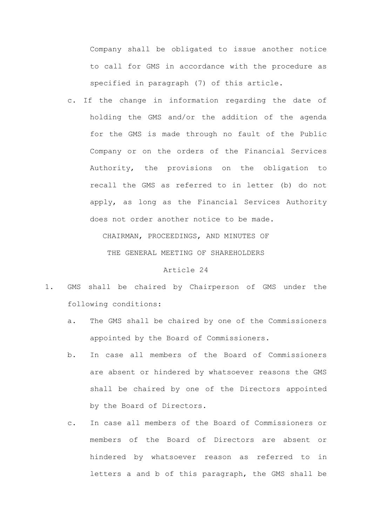Company shall be obligated to issue another notice to call for GMS in accordance with the procedure as specified in paragraph (7) of this article.

c. If the change in information regarding the date of holding the GMS and/or the addition of the agenda for the GMS is made through no fault of the Public Company or on the orders of the Financial Services Authority, the provisions on the obligation to recall the GMS as referred to in letter (b) do not apply, as long as the Financial Services Authority does not order another notice to be made.

CHAIRMAN, PROCEEDINGS, AND MINUTES OF

THE GENERAL MEETING OF SHAREHOLDERS

- 1. GMS shall be chaired by Chairperson of GMS under the following conditions:
	- a. The GMS shall be chaired by one of the Commissioners appointed by the Board of Commissioners.
	- b. In case all members of the Board of Commissioners are absent or hindered by whatsoever reasons the GMS shall be chaired by one of the Directors appointed by the Board of Directors.
	- c. In case all members of the Board of Commissioners or members of the Board of Directors are absent or hindered by whatsoever reason as referred to in letters a and b of this paragraph, the GMS shall be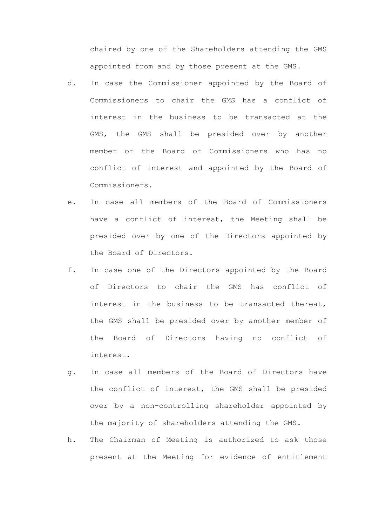chaired by one of the Shareholders attending the GMS appointed from and by those present at the GMS.

- d. In case the Commissioner appointed by the Board of Commissioners to chair the GMS has a conflict of interest in the business to be transacted at the GMS, the GMS shall be presided over by another member of the Board of Commissioners who has no conflict of interest and appointed by the Board of Commissioners.
- e. In case all members of the Board of Commissioners have a conflict of interest, the Meeting shall be presided over by one of the Directors appointed by the Board of Directors.
- f. In case one of the Directors appointed by the Board of Directors to chair the GMS has conflict of interest in the business to be transacted thereat, the GMS shall be presided over by another member of the Board of Directors having no conflict of interest.
- g. In case all members of the Board of Directors have the conflict of interest, the GMS shall be presided over by a non-controlling shareholder appointed by the majority of shareholders attending the GMS.
- h. The Chairman of Meeting is authorized to ask those present at the Meeting for evidence of entitlement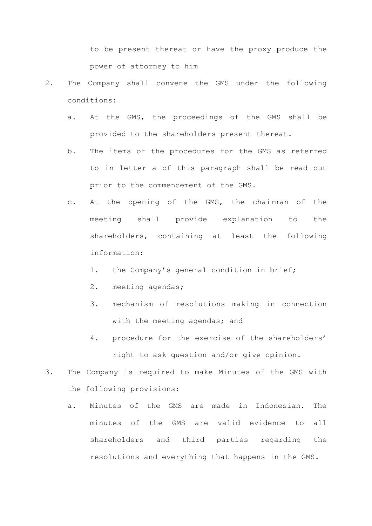to be present thereat or have the proxy produce the power of attorney to him

- 2. The Company shall convene the GMS under the following conditions:
	- a. At the GMS, the proceedings of the GMS shall be provided to the shareholders present thereat.
	- b. The items of the procedures for the GMS as referred to in letter a of this paragraph shall be read out prior to the commencement of the GMS.
	- c. At the opening of the GMS, the chairman of the meeting shall provide explanation to the shareholders, containing at least the following information:
		- 1. the Company's general condition in brief;
		- 2. meeting agendas;
		- 3. mechanism of resolutions making in connection with the meeting agendas; and
		- 4. procedure for the exercise of the shareholders' right to ask question and/or give opinion.
- 3. The Company is required to make Minutes of the GMS with the following provisions:
	- a. Minutes of the GMS are made in Indonesian. The minutes of the GMS are valid evidence to all shareholders and third parties regarding the resolutions and everything that happens in the GMS.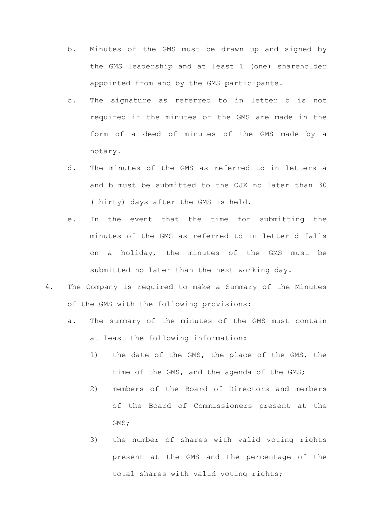- b. Minutes of the GMS must be drawn up and signed by the GMS leadership and at least 1 (one) shareholder appointed from and by the GMS participants.
- c. The signature as referred to in letter b is not required if the minutes of the GMS are made in the form of a deed of minutes of the GMS made by a notary.
- d. The minutes of the GMS as referred to in letters a and b must be submitted to the OJK no later than 30 (thirty) days after the GMS is held.
- e. In the event that the time for submitting the minutes of the GMS as referred to in letter d falls on a holiday, the minutes of the GMS must be submitted no later than the next working day.
- 4. The Company is required to make a Summary of the Minutes of the GMS with the following provisions:
	- a. The summary of the minutes of the GMS must contain at least the following information:
		- 1) the date of the GMS, the place of the GMS, the time of the GMS, and the agenda of the GMS;
		- 2) members of the Board of Directors and members of the Board of Commissioners present at the GMS;
		- 3) the number of shares with valid voting rights present at the GMS and the percentage of the total shares with valid voting rights;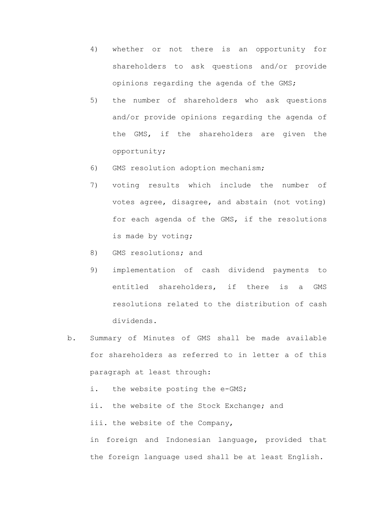- 4) whether or not there is an opportunity for shareholders to ask questions and/or provide opinions regarding the agenda of the GMS;
- 5) the number of shareholders who ask questions and/or provide opinions regarding the agenda of the GMS, if the shareholders are given the opportunity;
- 6) GMS resolution adoption mechanism;
- 7) voting results which include the number of votes agree, disagree, and abstain (not voting) for each agenda of the GMS, if the resolutions is made by voting;
- 8) GMS resolutions; and
- 9) implementation of cash dividend payments to entitled shareholders, if there is a GMS resolutions related to the distribution of cash dividends.
- b. Summary of Minutes of GMS shall be made available for shareholders as referred to in letter a of this paragraph at least through: i. the website posting the e-GMS; ii. the website of the Stock Exchange; and iii. the website of the Company,

in foreign and Indonesian language, provided that the foreign language used shall be at least English.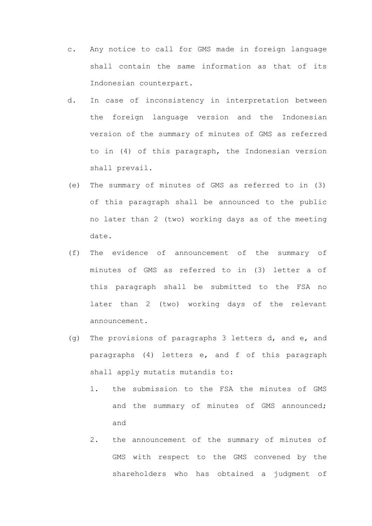- c. Any notice to call for GMS made in foreign language shall contain the same information as that of its Indonesian counterpart.
- d. In case of inconsistency in interpretation between the foreign language version and the Indonesian version of the summary of minutes of GMS as referred to in (4) of this paragraph, the Indonesian version shall prevail.
- (e) The summary of minutes of GMS as referred to in (3) of this paragraph shall be announced to the public no later than 2 (two) working days as of the meeting date.
- (f) The evidence of announcement of the summary of minutes of GMS as referred to in (3) letter a of this paragraph shall be submitted to the FSA no later than 2 (two) working days of the relevant announcement.
- (g) The provisions of paragraphs 3 letters d, and e, and paragraphs (4) letters e, and f of this paragraph shall apply mutatis mutandis to:
	- 1. the submission to the FSA the minutes of GMS and the summary of minutes of GMS announced; and
	- 2. the announcement of the summary of minutes of GMS with respect to the GMS convened by the shareholders who has obtained a judgment of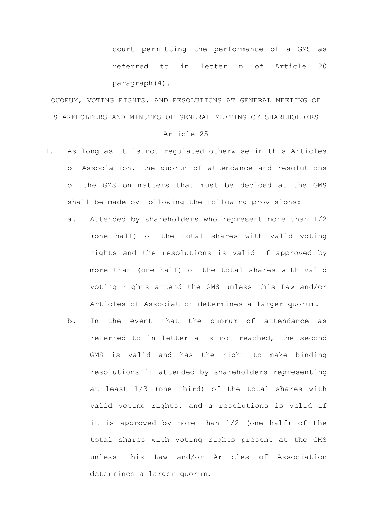court permitting the performance of a GMS as referred to in letter n of Article 20 paragraph(4).

QUORUM, VOTING RIGHTS, AND RESOLUTIONS AT GENERAL MEETING OF SHAREHOLDERS AND MINUTES OF GENERAL MEETING OF SHAREHOLDERS

- 1. As long as it is not regulated otherwise in this Articles of Association, the quorum of attendance and resolutions of the GMS on matters that must be decided at the GMS shall be made by following the following provisions:
	- a. Attended by shareholders who represent more than 1/2 (one half) of the total shares with valid voting rights and the resolutions is valid if approved by more than (one half) of the total shares with valid voting rights attend the GMS unless this Law and/or Articles of Association determines a larger quorum.
	- b. In the event that the quorum of attendance as referred to in letter a is not reached, the second GMS is valid and has the right to make binding resolutions if attended by shareholders representing at least 1/3 (one third) of the total shares with valid voting rights. and a resolutions is valid if it is approved by more than 1/2 (one half) of the total shares with voting rights present at the GMS unless this Law and/or Articles of Association determines a larger quorum.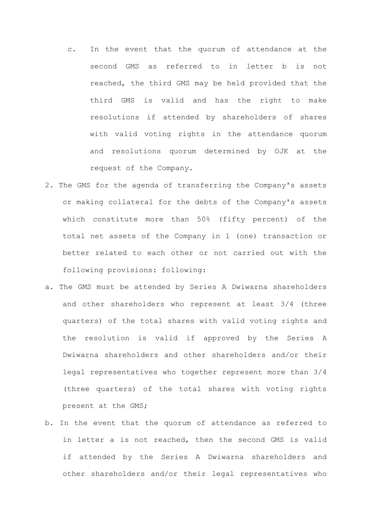- c. In the event that the quorum of attendance at the second GMS as referred to in letter b is not reached, the third GMS may be held provided that the third GMS is valid and has the right to make resolutions if attended by shareholders of shares with valid voting rights in the attendance quorum and resolutions quorum determined by OJK at the request of the Company.
- 2. The GMS for the agenda of transferring the Company's assets or making collateral for the debts of the Company's assets which constitute more than 50% (fifty percent) of the total net assets of the Company in 1 (one) transaction or better related to each other or not carried out with the following provisions: following:
- a. The GMS must be attended by Series A Dwiwarna shareholders and other shareholders who represent at least 3/4 (three quarters) of the total shares with valid voting rights and the resolution is valid if approved by the Series A Dwiwarna shareholders and other shareholders and/or their legal representatives who together represent more than 3/4 (three quarters) of the total shares with voting rights present at the GMS;
- b. In the event that the quorum of attendance as referred to in letter a is not reached, then the second GMS is valid if attended by the Series A Dwiwarna shareholders and other shareholders and/or their legal representatives who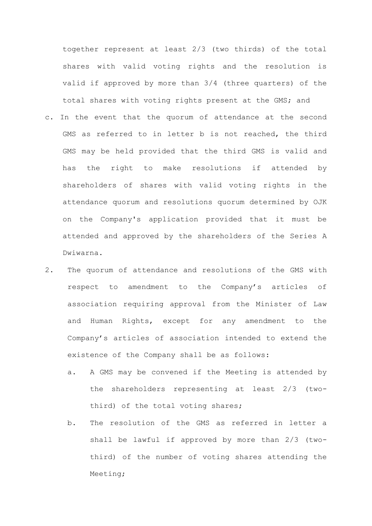together represent at least 2/3 (two thirds) of the total shares with valid voting rights and the resolution is valid if approved by more than 3/4 (three quarters) of the total shares with voting rights present at the GMS; and

- c. In the event that the quorum of attendance at the second GMS as referred to in letter b is not reached, the third GMS may be held provided that the third GMS is valid and has the right to make resolutions if attended by shareholders of shares with valid voting rights in the attendance quorum and resolutions quorum determined by OJK on the Company's application provided that it must be attended and approved by the shareholders of the Series A Dwiwarna.
- 2. The quorum of attendance and resolutions of the GMS with respect to amendment to the Company's articles of association requiring approval from the Minister of Law and Human Rights, except for any amendment to the Company's articles of association intended to extend the existence of the Company shall be as follows:
	- a. A GMS may be convened if the Meeting is attended by the shareholders representing at least 2/3 (twothird) of the total voting shares;
	- b. The resolution of the GMS as referred in letter a shall be lawful if approved by more than 2/3 (twothird) of the number of voting shares attending the Meeting;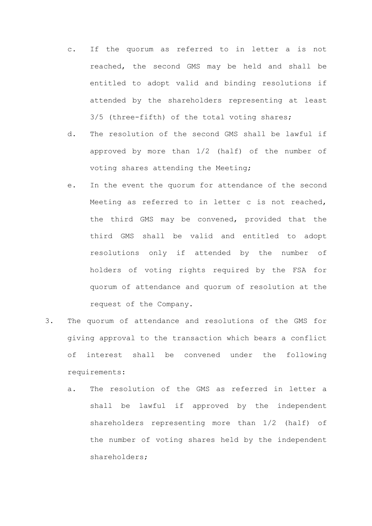- c. If the quorum as referred to in letter a is not reached, the second GMS may be held and shall be entitled to adopt valid and binding resolutions if attended by the shareholders representing at least 3/5 (three-fifth) of the total voting shares;
- d. The resolution of the second GMS shall be lawful if approved by more than 1/2 (half) of the number of voting shares attending the Meeting;
- e. In the event the quorum for attendance of the second Meeting as referred to in letter c is not reached, the third GMS may be convened, provided that the third GMS shall be valid and entitled to adopt resolutions only if attended by the number of holders of voting rights required by the FSA for quorum of attendance and quorum of resolution at the request of the Company.
- 3. The quorum of attendance and resolutions of the GMS for giving approval to the transaction which bears a conflict of interest shall be convened under the following requirements:
	- a. The resolution of the GMS as referred in letter a shall be lawful if approved by the independent shareholders representing more than 1/2 (half) of the number of voting shares held by the independent shareholders;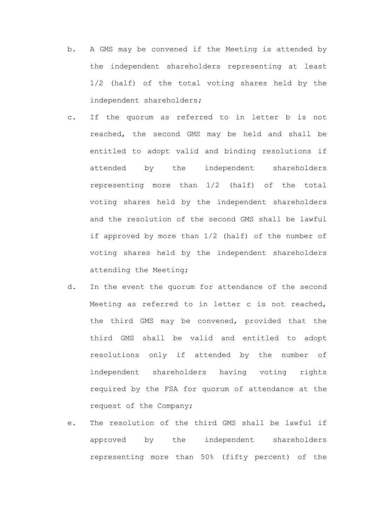- b. A GMS may be convened if the Meeting is attended by the independent shareholders representing at least 1/2 (half) of the total voting shares held by the independent shareholders;
- c. If the quorum as referred to in letter b is not reached, the second GMS may be held and shall be entitled to adopt valid and binding resolutions if attended by the independent shareholders representing more than 1/2 (half) of the total voting shares held by the independent shareholders and the resolution of the second GMS shall be lawful if approved by more than 1/2 (half) of the number of voting shares held by the independent shareholders attending the Meeting;
- d. In the event the quorum for attendance of the second Meeting as referred to in letter c is not reached, the third GMS may be convened, provided that the third GMS shall be valid and entitled to adopt resolutions only if attended by the number of independent shareholders having voting rights required by the FSA for quorum of attendance at the request of the Company;
- e. The resolution of the third GMS shall be lawful if approved by the independent shareholders representing more than 50% (fifty percent) of the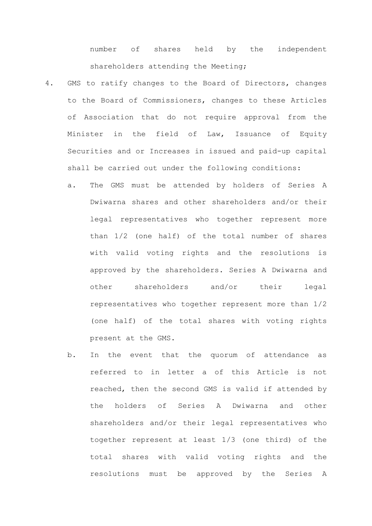number of shares held by the independent shareholders attending the Meeting;

- 4. GMS to ratify changes to the Board of Directors, changes to the Board of Commissioners, changes to these Articles of Association that do not require approval from the Minister in the field of Law, Issuance of Equity Securities and or Increases in issued and paid-up capital shall be carried out under the following conditions:
	- a. The GMS must be attended by holders of Series A Dwiwarna shares and other shareholders and/or their legal representatives who together represent more than 1/2 (one half) of the total number of shares with valid voting rights and the resolutions is approved by the shareholders. Series A Dwiwarna and other shareholders and/or their legal representatives who together represent more than 1/2 (one half) of the total shares with voting rights present at the GMS.
	- b. In the event that the quorum of attendance as referred to in letter a of this Article is not reached, then the second GMS is valid if attended by the holders of Series A Dwiwarna and other shareholders and/or their legal representatives who together represent at least 1/3 (one third) of the total shares with valid voting rights and the resolutions must be approved by the Series A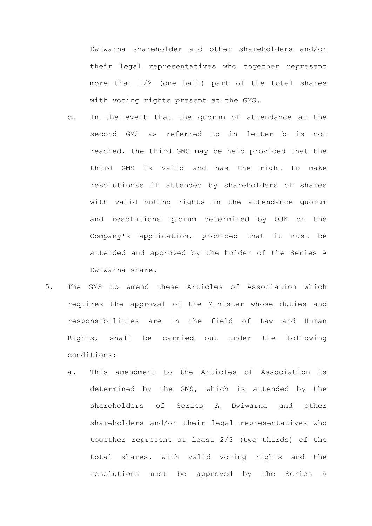Dwiwarna shareholder and other shareholders and/or their legal representatives who together represent more than 1/2 (one half) part of the total shares with voting rights present at the GMS.

- c. In the event that the quorum of attendance at the second GMS as referred to in letter b is not reached, the third GMS may be held provided that the third GMS is valid and has the right to make resolutionss if attended by shareholders of shares with valid voting rights in the attendance quorum and resolutions quorum determined by OJK on the Company's application, provided that it must be attended and approved by the holder of the Series A Dwiwarna share.
- 5. The GMS to amend these Articles of Association which requires the approval of the Minister whose duties and responsibilities are in the field of Law and Human Rights, shall be carried out under the following conditions:
	- a. This amendment to the Articles of Association is determined by the GMS, which is attended by the shareholders of Series A Dwiwarna and other shareholders and/or their legal representatives who together represent at least 2/3 (two thirds) of the total shares. with valid voting rights and the resolutions must be approved by the Series A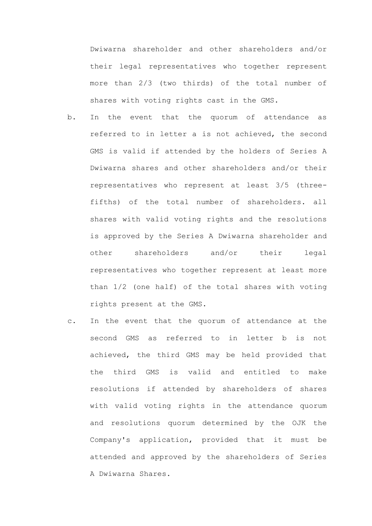Dwiwarna shareholder and other shareholders and/or their legal representatives who together represent more than 2/3 (two thirds) of the total number of shares with voting rights cast in the GMS.

- b. In the event that the quorum of attendance as referred to in letter a is not achieved, the second GMS is valid if attended by the holders of Series A Dwiwarna shares and other shareholders and/or their representatives who represent at least 3/5 (threefifths) of the total number of shareholders. all shares with valid voting rights and the resolutions is approved by the Series A Dwiwarna shareholder and other shareholders and/or their legal representatives who together represent at least more than 1/2 (one half) of the total shares with voting rights present at the GMS.
- c. In the event that the quorum of attendance at the second GMS as referred to in letter b is not achieved, the third GMS may be held provided that the third GMS is valid and entitled to make resolutions if attended by shareholders of shares with valid voting rights in the attendance quorum and resolutions quorum determined by the OJK the Company's application, provided that it must be attended and approved by the shareholders of Series A Dwiwarna Shares.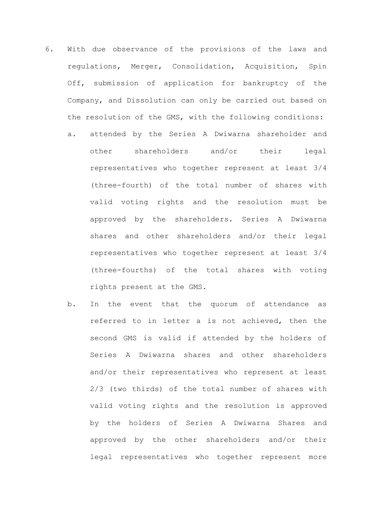- 6. With due observance of the provisions of the laws and regulations, Merger, Consolidation, Acquisition, Spin Off, submission of application for bankruptcy of the Company, and Dissolution can only be carried out based on the resolution of the GMS, with the following conditions: a. attended by the Series A Dwiwarna shareholder and other shareholders and/or their legal representatives who together represent at least 3/4 (three-fourth) of the total number of shares with
	- valid voting rights and the resolution must be approved by the shareholders. Series A Dwiwarna shares and other shareholders and/or their legal representatives who together represent at least 3/4 (three-fourths) of the total shares with voting rights present at the GMS.
	- b. In the event that the quorum of attendance as referred to in letter a is not achieved, then the second GMS is valid if attended by the holders of Series A Dwiwarna shares and other shareholders and/or their representatives who represent at least 2/3 (two thirds) of the total number of shares with valid voting rights and the resolution is approved by the holders of Series A Dwiwarna Shares and approved by the other shareholders and/or their legal representatives who together represent more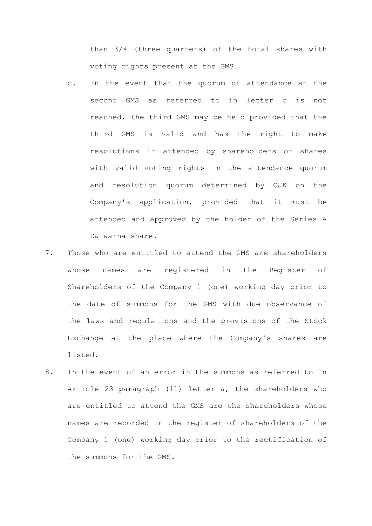than 3/4 (three quarters) of the total shares with voting rights present at the GMS.

- c. In the event that the quorum of attendance at the second GMS as referred to in letter b is not reached, the third GMS may be held provided that the third GMS is valid and has the right to make resolutions if attended by shareholders of shares with valid voting rights in the attendance quorum and resolution quorum determined by OJK on the Company's application, provided that it must be attended and approved by the holder of the Series A Dwiwarna share.
- 7. Those who are entitled to attend the GMS are shareholders whose names are registered in the Register of Shareholders of the Company 1 (one) working day prior to the date of summons for the GMS with due observance of the laws and regulations and the provisions of the Stock Exchange at the place where the Company's shares are listed.
- 8. In the event of an error in the summons as referred to in Article 23 paragraph (11) letter a, the shareholders who are entitled to attend the GMS are the shareholders whose names are recorded in the register of shareholders of the Company 1 (one) working day prior to the rectification of the summons for the GMS.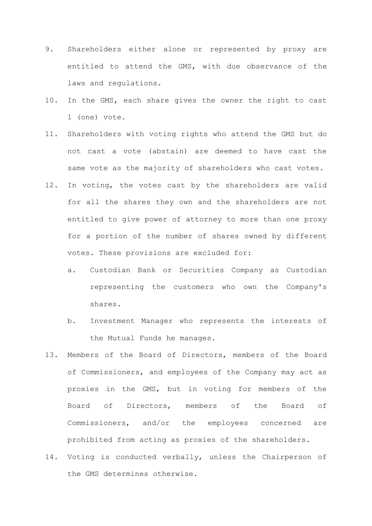- 9. Shareholders either alone or represented by proxy are entitled to attend the GMS, with due observance of the laws and regulations.
- 10. In the GMS, each share gives the owner the right to cast 1 (one) vote.
- 11. Shareholders with voting rights who attend the GMS but do not cast a vote (abstain) are deemed to have cast the same vote as the majority of shareholders who cast votes.
- 12. In voting, the votes cast by the shareholders are valid for all the shares they own and the shareholders are not entitled to give power of attorney to more than one proxy for a portion of the number of shares owned by different votes. These provisions are excluded for:
	- a. Custodian Bank or Securities Company as Custodian representing the customers who own the Company's shares.
	- b. Investment Manager who represents the interests of the Mutual Funds he manages.
- 13. Members of the Board of Directors, members of the Board of Commissioners, and employees of the Company may act as proxies in the GMS, but in voting for members of the Board of Directors, members of the Board of Commissioners, and/or the employees concerned are prohibited from acting as proxies of the shareholders.
- 14. Voting is conducted verbally, unless the Chairperson of the GMS determines otherwise.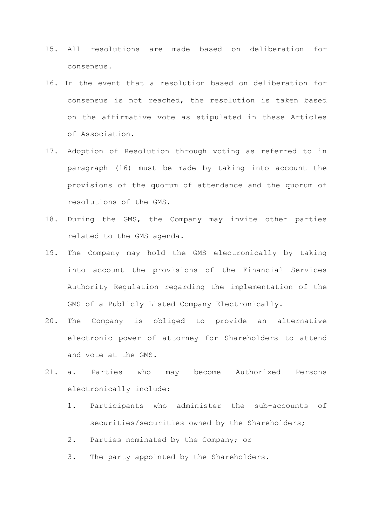- 15. All resolutions are made based on deliberation for consensus.
- 16. In the event that a resolution based on deliberation for consensus is not reached, the resolution is taken based on the affirmative vote as stipulated in these Articles of Association.
- 17. Adoption of Resolution through voting as referred to in paragraph (16) must be made by taking into account the provisions of the quorum of attendance and the quorum of resolutions of the GMS.
- 18. During the GMS, the Company may invite other parties related to the GMS agenda.
- 19. The Company may hold the GMS electronically by taking into account the provisions of the Financial Services Authority Regulation regarding the implementation of the GMS of a Publicly Listed Company Electronically.
- 20. The Company is obliged to provide an alternative electronic power of attorney for Shareholders to attend and vote at the GMS.
- 21. a. Parties who may become Authorized Persons electronically include:
	- 1. Participants who administer the sub-accounts of securities/securities owned by the Shareholders;
	- 2. Parties nominated by the Company; or
	- 3. The party appointed by the Shareholders.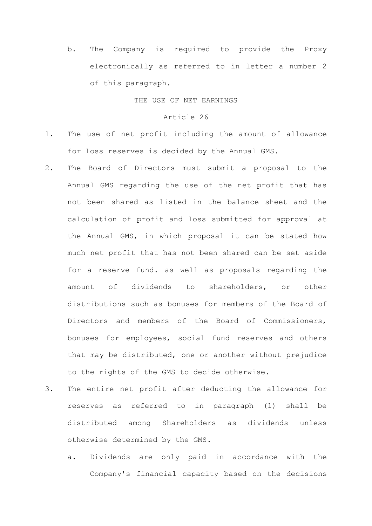b. The Company is required to provide the Proxy electronically as referred to in letter a number 2 of this paragraph.

THE USE OF NET EARNINGS

- 1. The use of net profit including the amount of allowance for loss reserves is decided by the Annual GMS.
- 2. The Board of Directors must submit a proposal to the Annual GMS regarding the use of the net profit that has not been shared as listed in the balance sheet and the calculation of profit and loss submitted for approval at the Annual GMS, in which proposal it can be stated how much net profit that has not been shared can be set aside for a reserve fund. as well as proposals regarding the amount of dividends to shareholders, or other distributions such as bonuses for members of the Board of Directors and members of the Board of Commissioners, bonuses for employees, social fund reserves and others that may be distributed, one or another without prejudice to the rights of the GMS to decide otherwise.
- 3. The entire net profit after deducting the allowance for reserves as referred to in paragraph (1) shall be distributed among Shareholders as dividends unless otherwise determined by the GMS.
	- a. Dividends are only paid in accordance with the Company's financial capacity based on the decisions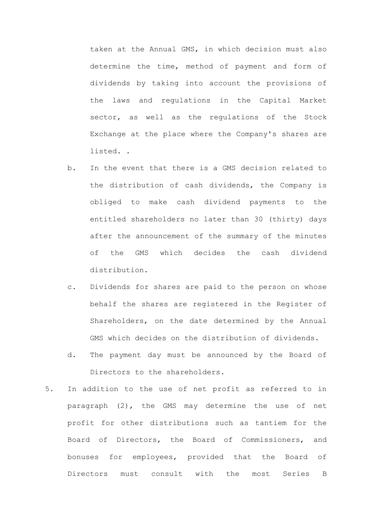taken at the Annual GMS, in which decision must also determine the time, method of payment and form of dividends by taking into account the provisions of the laws and regulations in the Capital Market sector, as well as the regulations of the Stock Exchange at the place where the Company's shares are listed. .

- b. In the event that there is a GMS decision related to the distribution of cash dividends, the Company is obliged to make cash dividend payments to the entitled shareholders no later than 30 (thirty) days after the announcement of the summary of the minutes of the GMS which decides the cash dividend distribution.
- c. Dividends for shares are paid to the person on whose behalf the shares are registered in the Register of Shareholders, on the date determined by the Annual GMS which decides on the distribution of dividends.
- d. The payment day must be announced by the Board of Directors to the shareholders.
- 5. In addition to the use of net profit as referred to in paragraph (2), the GMS may determine the use of net profit for other distributions such as tantiem for the Board of Directors, the Board of Commissioners, and bonuses for employees, provided that the Board of Directors must consult with the most Series B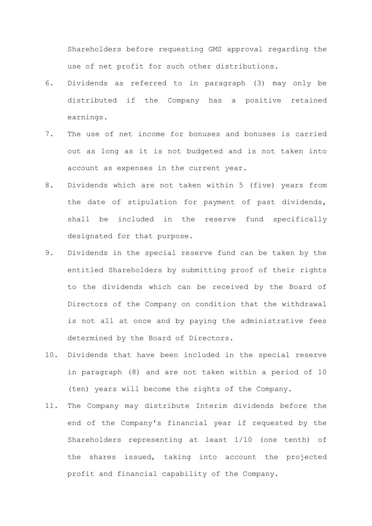Shareholders before requesting GMS approval regarding the use of net profit for such other distributions.

- 6. Dividends as referred to in paragraph (3) may only be distributed if the Company has a positive retained earnings.
- 7. The use of net income for bonuses and bonuses is carried out as long as it is not budgeted and is not taken into account as expenses in the current year.
- 8. Dividends which are not taken within 5 (five) years from the date of stipulation for payment of past dividends, shall be included in the reserve fund specifically designated for that purpose.
- 9. Dividends in the special reserve fund can be taken by the entitled Shareholders by submitting proof of their rights to the dividends which can be received by the Board of Directors of the Company on condition that the withdrawal is not all at once and by paying the administrative fees determined by the Board of Directors.
- 10. Dividends that have been included in the special reserve in paragraph (8) and are not taken within a period of 10 (ten) years will become the rights of the Company.
- 11. The Company may distribute Interim dividends before the end of the Company's financial year if requested by the Shareholders representing at least 1/10 (one tenth) of the shares issued, taking into account the projected profit and financial capability of the Company.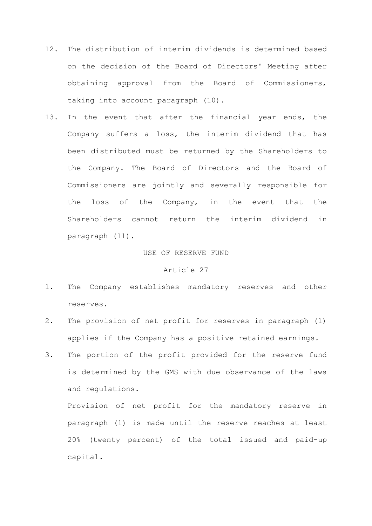- 12. The distribution of interim dividends is determined based on the decision of the Board of Directors' Meeting after obtaining approval from the Board of Commissioners, taking into account paragraph (10).
- 13. In the event that after the financial year ends, the Company suffers a loss, the interim dividend that has been distributed must be returned by the Shareholders to the Company. The Board of Directors and the Board of Commissioners are jointly and severally responsible for the loss of the Company, in the event that the Shareholders cannot return the interim dividend in paragraph (11).

#### USE OF RESERVE FUND

# Article 27

- 1. The Company establishes mandatory reserves and other reserves.
- 2. The provision of net profit for reserves in paragraph (1) applies if the Company has a positive retained earnings.
- 3. The portion of the profit provided for the reserve fund is determined by the GMS with due observance of the laws and regulations.

Provision of net profit for the mandatory reserve in paragraph (1) is made until the reserve reaches at least 20% (twenty percent) of the total issued and paid-up capital.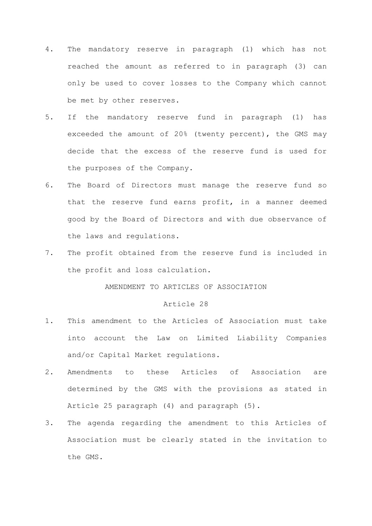- 4. The mandatory reserve in paragraph (1) which has not reached the amount as referred to in paragraph (3) can only be used to cover losses to the Company which cannot be met by other reserves.
- 5. If the mandatory reserve fund in paragraph (1) has exceeded the amount of 20% (twenty percent), the GMS may decide that the excess of the reserve fund is used for the purposes of the Company.
- 6. The Board of Directors must manage the reserve fund so that the reserve fund earns profit, in a manner deemed good by the Board of Directors and with due observance of the laws and regulations.
- 7. The profit obtained from the reserve fund is included in the profit and loss calculation.

AMENDMENT TO ARTICLES OF ASSOCIATION

# Article 28

- 1. This amendment to the Articles of Association must take into account the Law on Limited Liability Companies and/or Capital Market regulations.
- 2. Amendments to these Articles of Association are determined by the GMS with the provisions as stated in Article 25 paragraph (4) and paragraph (5).
- 3. The agenda regarding the amendment to this Articles of Association must be clearly stated in the invitation to the GMS.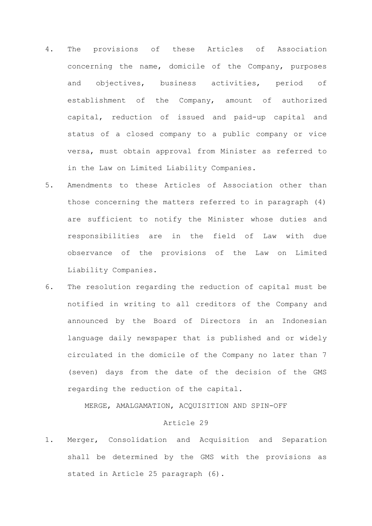- 4. The provisions of these Articles of Association concerning the name, domicile of the Company, purposes and objectives, business activities, period of establishment of the Company, amount of authorized capital, reduction of issued and paid-up capital and status of a closed company to a public company or vice versa, must obtain approval from Minister as referred to in the Law on Limited Liability Companies.
- 5. Amendments to these Articles of Association other than those concerning the matters referred to in paragraph (4) are sufficient to notify the Minister whose duties and responsibilities are in the field of Law with due observance of the provisions of the Law on Limited Liability Companies.
- 6. The resolution regarding the reduction of capital must be notified in writing to all creditors of the Company and announced by the Board of Directors in an Indonesian language daily newspaper that is published and or widely circulated in the domicile of the Company no later than 7 (seven) days from the date of the decision of the GMS regarding the reduction of the capital.

MERGE, AMALGAMATION, ACQUISITION AND SPIN-OFF

### Article 29

1. Merger, Consolidation and Acquisition and Separation shall be determined by the GMS with the provisions as stated in Article 25 paragraph (6).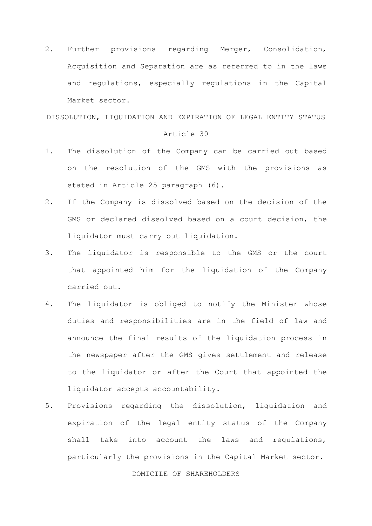2. Further provisions regarding Merger, Consolidation, Acquisition and Separation are as referred to in the laws and regulations, especially regulations in the Capital Market sector.

DISSOLUTION, LIQUIDATION AND EXPIRATION OF LEGAL ENTITY STATUS

# Article 30

- 1. The dissolution of the Company can be carried out based on the resolution of the GMS with the provisions as stated in Article 25 paragraph (6).
- 2. If the Company is dissolved based on the decision of the GMS or declared dissolved based on a court decision, the liquidator must carry out liquidation.
- 3. The liquidator is responsible to the GMS or the court that appointed him for the liquidation of the Company carried out.
- 4. The liquidator is obliged to notify the Minister whose duties and responsibilities are in the field of law and announce the final results of the liquidation process in the newspaper after the GMS gives settlement and release to the liquidator or after the Court that appointed the liquidator accepts accountability.
- 5. Provisions regarding the dissolution, liquidation and expiration of the legal entity status of the Company shall take into account the laws and regulations, particularly the provisions in the Capital Market sector.

#### DOMICILE OF SHAREHOLDERS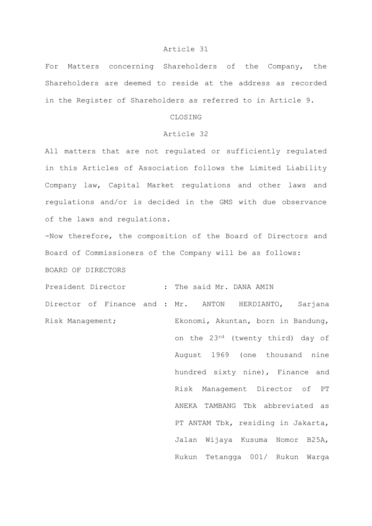#### Article 31

For Matters concerning Shareholders of the Company, the Shareholders are deemed to reside at the address as recorded in the Register of Shareholders as referred to in Article 9.

# CLOSING

# Article 32

All matters that are not regulated or sufficiently regulated in this Articles of Association follows the Limited Liability Company law, Capital Market regulations and other laws and regulations and/or is decided in the GMS with due observance of the laws and regulations.

-Now therefore, the composition of the Board of Directors and Board of Commissioners of the Company will be as follows: BOARD OF DIRECTORS

President Director : The said Mr. DANA AMIN Director of Finance and : Mr. ANTON HERDIANTO, Sarjana Risk Management; Ekonomi, Akuntan, born in Bandung, on the 23rd (twenty third) day of August 1969 (one thousand nine hundred sixty nine), Finance and Risk Management Director of PT ANEKA TAMBANG Tbk abbreviated as PT ANTAM Tbk, residing in Jakarta, Jalan Wijaya Kusuma Nomor B25A, Rukun Tetangga 001/ Rukun Warga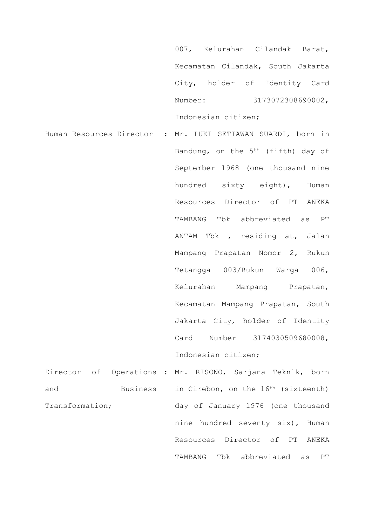007, Kelurahan Cilandak Barat, Kecamatan Cilandak, South Jakarta City, holder of Identity Card Number: 3173072308690002, Indonesian citizen;

Human Resources Director : Mr. LUKI SETIAWAN SUARDI, born in Bandung, on the 5th (fifth) day of September l968 (one thousand nine hundred sixty eight), Human Resources Director of PT ANEKA TAMBANG Tbk abbreviated as PT ANTAM Tbk , residing at, Jalan Mampang Prapatan Nomor 2, Rukun Tetangga 003/Rukun Warga 006, Kelurahan Mampang Prapatan, Kecamatan Mampang Prapatan, South Jakarta City, holder of Identity Card Number 3l74030509680008, Indonesian citizen;

Director of Operations : Mr. RISONO, Sarjana Teknik, born and Business in Cirebon, on the 16<sup>th</sup> (sixteenth) Transformation; day of January 1976 (one thousand nine hundred seventy six), Human Resources Director of PT ANEKA TAMBANG Tbk abbreviated as PT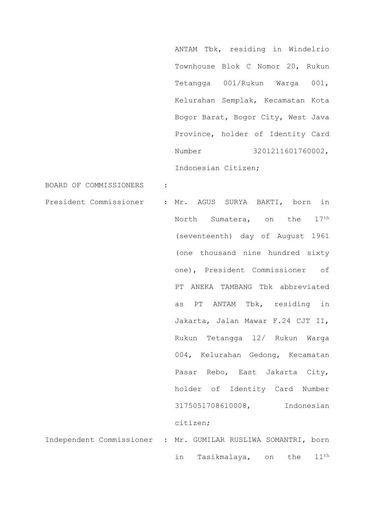ANTAM Tbk, residing in Windelrio Townhouse Blok C Nomor 20, Rukun Tetangga 001/Rukun Warga 001, Kelurahan Semplak, Kecamatan Kota Bogor Barat, Bogor City, West Java Province, holder of Identity Card Number 3201211601760002, Indonesian Citizen;

in Tasikmalaya, on the 11th

BOARD OF COMMISSIONERS :

President Commissioner : Mr. AGUS SURYA BAKTI, born in North Sumatera, on the 17<sup>th</sup> (seventeenth) day of August 1961 (one thousand nine hundred sixty one), President Commissioner of PT ANEKA TAMBANG Tbk abbreviated as PT ANTAM Tbk, residing in Jakarta, Jalan Mawar F.24 CJT II, Rukun Tetangga l2/ Rukun Warga 004, Kelurahan Gedong, Kecamatan Pasar Rebo, East Jakarta City, holder of Identity Card Number 3175051708610008, Indonesian citizen; Independent Commissioner : Mr. GUMILAR RUSLIWA SOMANTRI, born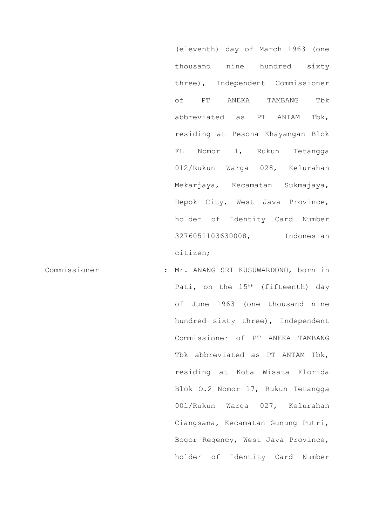(eleventh) day of March 1963 (one thousand nine hundred sixty three), Independent Commissioner of PT ANEKA TAMBANG Tbk abbreviated as PT ANTAM Tbk, residing at Pesona Khayangan Blok FL Nomor 1, Rukun Tetangga 012/Rukun Warga 028, Kelurahan Mekarjaya, Kecamatan Sukmajaya, Depok City, West Java Province, holder of Identity Card Number 3276051103630008, Indonesian citizen;

Commissioner : Mr. ANANG SRI KUSUWARDONO, born in Pati, on the 15<sup>th</sup> (fifteenth) day of June 1963 (one thousand nine hundred sixty three), Independent Commissioner of PT ANEKA TAMBANG Tbk abbreviated as PT ANTAM Tbk, residing at Kota Wisata Florida Blok O.2 Nomor 17, Rukun Tetangga 00l/Rukun Warga 027, Kelurahan Ciangsana, Kecamatan Gunung Putri, Bogor Regency, West Java Province, holder of Identity Card Number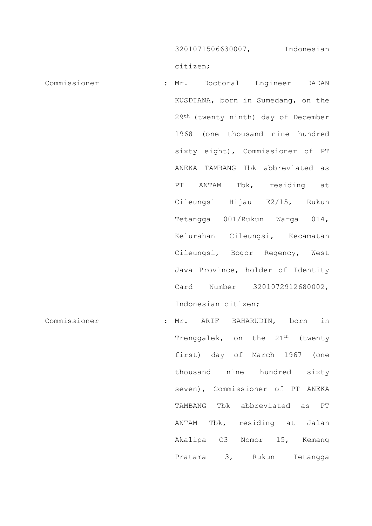3201071506630007, Indonesian

citizen;

- Commissioner : Mr. Doctoral Engineer DADAN KUSDIANA, born in Sumedang, on the 29th (twenty ninth) day of December 1968 (one thousand nine hundred sixty eight), Commissioner of PT ANEKA TAMBANG Tbk abbreviated as PT ANTAM Tbk, residing at Cileungsi Hijau E2/15, Rukun Tetangga 001/Rukun Warga 014, Kelurahan Cileungsi, Kecamatan Cileungsi, Bogor Regency, West Java Province, holder of Identity Card Number 3201072912680002, Indonesian citizen; Commissioner : Mr. ARIF BAHARUDIN, born in
	- Trenggalek, on the 21<sup>th</sup> (twenty first) day of March 1967 (one thousand nine hundred sixty seven), Commissioner of PT ANEKA TAMBANG Tbk abbreviated as PT ANTAM Tbk, residing at Jalan Akalipa C3 Nomor 15, Kemang Pratama 3, Rukun Tetangga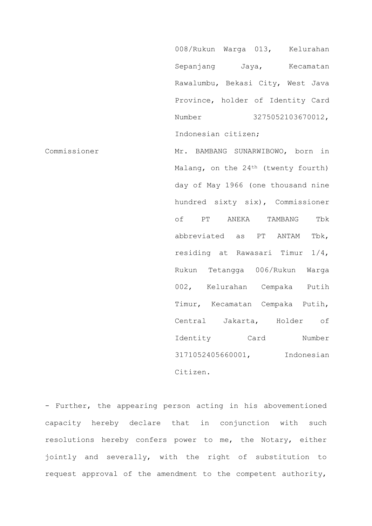008/Rukun Warga 013, Kelurahan Sepanjang Jaya, Kecamatan Rawalumbu, Bekasi City, West Java Province, holder of Identity Card Number 3275052103670012, Indonesian citizen;

Commissioner Mr. BAMBANG SUNARWIBOWO, born in Malang, on the 24<sup>th</sup> (twenty fourth) day of May 1966 (one thousand nine hundred sixty six), Commissioner of PT ANEKA TAMBANG Tbk abbreviated as PT ANTAM Tbk, residing at Rawasari Timur 1/4, Rukun Tetangga 006/Rukun Warga 002, Kelurahan Cempaka Putih Timur, Kecamatan Cempaka Putih, Central Jakarta, Holder of Identity Card Number 3171052405660001, Indonesian Citizen.

- Further, the appearing person acting in his abovementioned capacity hereby declare that in conjunction with such resolutions hereby confers power to me, the Notary, either jointly and severally, with the right of substitution to request approval of the amendment to the competent authority,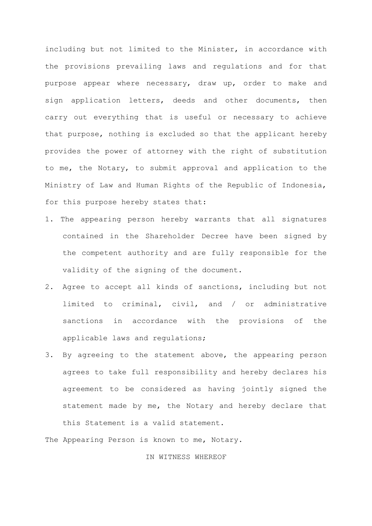including but not limited to the Minister, in accordance with the provisions prevailing laws and regulations and for that purpose appear where necessary, draw up, order to make and sign application letters, deeds and other documents, then carry out everything that is useful or necessary to achieve that purpose, nothing is excluded so that the applicant hereby provides the power of attorney with the right of substitution to me, the Notary, to submit approval and application to the Ministry of Law and Human Rights of the Republic of Indonesia, for this purpose hereby states that:

- 1. The appearing person hereby warrants that all signatures contained in the Shareholder Decree have been signed by the competent authority and are fully responsible for the validity of the signing of the document.
- 2. Agree to accept all kinds of sanctions, including but not limited to criminal, civil, and / or administrative sanctions in accordance with the provisions of the applicable laws and regulations;
- 3. By agreeing to the statement above, the appearing person agrees to take full responsibility and hereby declares his agreement to be considered as having jointly signed the statement made by me, the Notary and hereby declare that this Statement is a valid statement.

The Appearing Person is known to me, Notary.

# IN WITNESS WHEREOF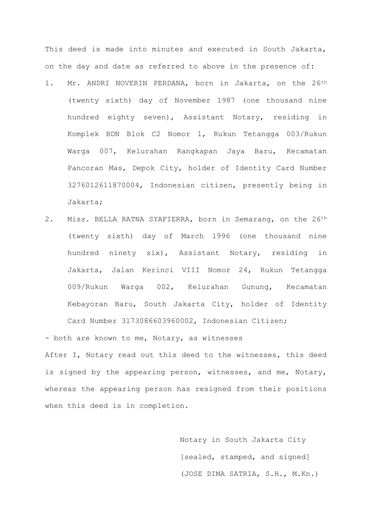This deed is made into minutes and executed in South Jakarta, on the day and date as referred to above in the presence of:

- 1. Mr. ANDRI NOVERIN PERDANA, born in Jakarta, on the 26<sup>th</sup> (twenty sixth) day of November 1987 (one thousand nine hundred eighty seven), Assistant Notary, residing in Komplek BDN Blok C2 Nomor l, Rukun Tetangga 003/Rukun Warga 007, Kelurahan Rangkapan Jaya Baru, Kecamatan Pancoran Mas, Depok City, holder of Identity Card Number 3276012611870004, Indonesian citizen, presently being in Jakarta;
- 2. Miss. BELLA RATNA SYAFIERRA, born in Semarang, on the 26<sup>th</sup> (twenty sixth) day of March 1996 (one thousand nine hundred ninety six), Assistant Notary, residing in Jakarta, Jalan Kerinci VIII Nomor 24, Rukun Tetangga 009/Rukun Warga 002, Kelurahan Gunung, Kecamatan Kebayoran Baru, South Jakarta City, holder of Identity Card Number 3l73086603960002, Indonesian Citizen;

- both are known to me, Notary, as witnesses

After I, Notary read out this deed to the witnesses, this deed is signed by the appearing person, witnesses, and me, Notary, whereas the appearing person has resigned from their positions when this deed is in completion.

> Notary in South Jakarta City [sealed, stamped, and signed] (JOSE DIMA SATRIA, S.H., M.Kn.)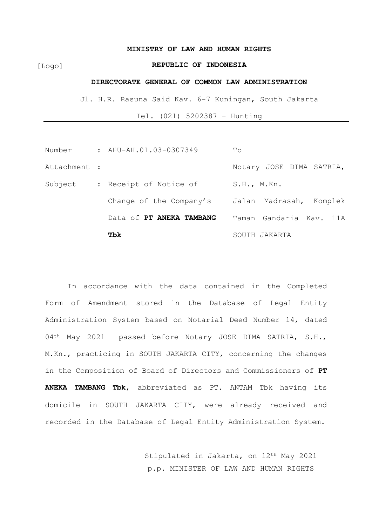#### **MINISTRY OF LAW AND HUMAN RIGHTS**

[Logo]

# **REPUBLIC OF INDONESIA**

#### **DIRECTORATE GENERAL OF COMMON LAW ADMINISTRATION**

Jl. H.R. Rasuna Said Kav. 6-7 Kuningan, South Jakarta

Tel. (021) 5202387 – Hunting

|              | Tbk                      | SOUTH JAKARTA              |
|--------------|--------------------------|----------------------------|
|              | Data of PT ANEKA TAMBANG | Taman Gandaria Kav. 11A    |
|              | Change of the Company's  | Jalan Madrasah,<br>Komplek |
| Subject      | : Receipt of Notice of   | S.H., M.Kn.                |
| Attachment : |                          | Notary JOSE DIMA SATRIA,   |
| Number       | : AHU-AH.01.03-0307349   | To                         |

In accordance with the data contained in the Completed Form of Amendment stored in the Database of Legal Entity Administration System based on Notarial Deed Number 14, dated 04<sup>th</sup> May 2021 passed before Notary JOSE DIMA SATRIA, S.H., M.Kn., practicing in SOUTH JAKARTA CITY, concerning the changes in the Composition of Board of Directors and Commissioners of **PT ANEKA TAMBANG Tbk**, abbreviated as PT. ANTAM Tbk having its domicile in SOUTH JAKARTA CITY, were already received and recorded in the Database of Legal Entity Administration System.

> Stipulated in Jakarta, on 12th May 2021 p.p. MINISTER OF LAW AND HUMAN RIGHTS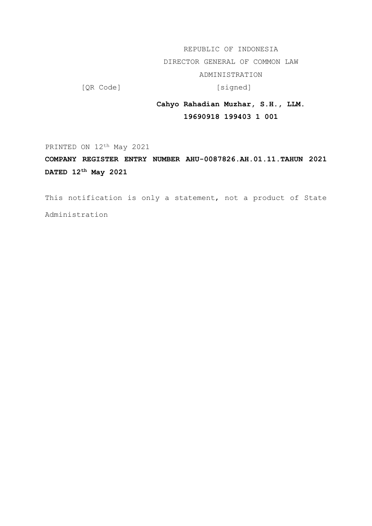REPUBLIC OF INDONESIA

DIRECTOR GENERAL OF COMMON LAW

ADMINISTRATION

[QR Code] [Signed]

# **Cahyo Rahadian Muzhar, S.H., LLM. 19690918 199403 1 001**

PRINTED ON 12<sup>th</sup> May 2021

# **COMPANY REGISTER ENTRY NUMBER AHU-0087826.AH.01.11.TAHUN 2021 DATED 12th May 2021**

This notification is only a statement, not a product of State Administration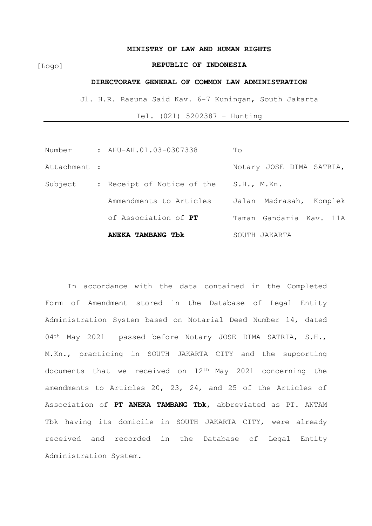#### **MINISTRY OF LAW AND HUMAN RIGHTS**

[Logo]

# **REPUBLIC OF INDONESIA**

#### **DIRECTORATE GENERAL OF COMMON LAW ADMINISTRATION**

Jl. H.R. Rasuna Said Kav. 6-7 Kuningan, South Jakarta

Tel. (021) 5202387 – Hunting

|              | ANEKA TAMBANG TOK          | SOUTH JAKARTA              |
|--------------|----------------------------|----------------------------|
|              | of Association of PT       | Taman Gandaria Kav. 11A    |
|              | Ammendments to Articles    | Jalan Madrasah,<br>Komplek |
| Subject      | : Receipt of Notice of the | S.H., M.Kn.                |
| Attachment : |                            | Notary JOSE DIMA SATRIA,   |
| Number       | : AHU-AH.01.03-0307338     | To                         |

In accordance with the data contained in the Completed Form of Amendment stored in the Database of Legal Entity Administration System based on Notarial Deed Number 14, dated 04<sup>th</sup> May 2021 passed before Notary JOSE DIMA SATRIA, S.H., M.Kn., practicing in SOUTH JAKARTA CITY and the supporting documents that we received on 12th May 2021 concerning the amendments to Articles 20, 23, 24, and 25 of the Articles of Association of **PT ANEKA TAMBANG Tbk**, abbreviated as PT. ANTAM Tbk having its domicile in SOUTH JAKARTA CITY, were already received and recorded in the Database of Legal Entity Administration System.